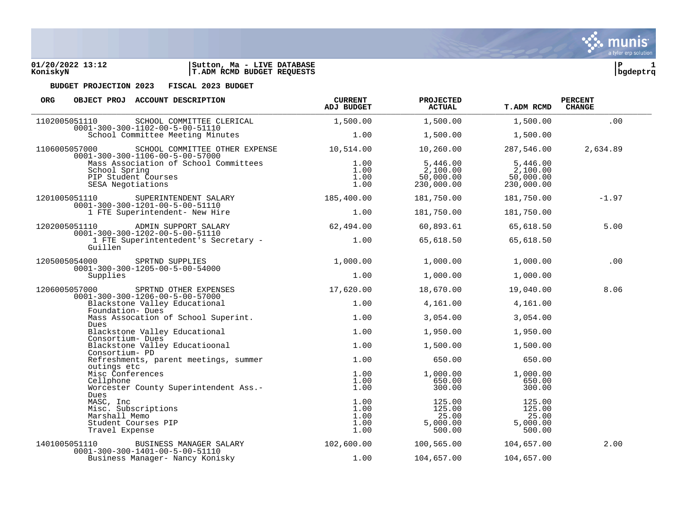

| ORG.<br>OBJECT PROJ ACCOUNT DESCRIPTION                                                            |                                       | <b>CURRENT</b><br><b>ADJ BUDGET</b>  | <b>PROJECTED</b><br><b>ACTUAL</b>               | T.ADM RCMD                                      | <b>PERCENT</b><br><b>CHANGE</b> |
|----------------------------------------------------------------------------------------------------|---------------------------------------|--------------------------------------|-------------------------------------------------|-------------------------------------------------|---------------------------------|
| 1102005051110<br>$0001 - 300 - 300 - 1102 - 00 - 5 - 00 - 51110$                                   | SCHOOL COMMITTEE CLERICAL             | 1,500.00                             | 1,500.00                                        | 1,500.00                                        | .00                             |
|                                                                                                    | School Committee Meeting Minutes      | 1.00                                 | 1,500.00                                        | 1,500.00                                        |                                 |
| 1106005057000<br>$0001 - 300 - 300 - 1106 - 00 - 5 - 00 - 57000$                                   | SCHOOL COMMITTEE OTHER EXPENSE        | 10,514.00                            | 10,260.00                                       | 287,546.00                                      | 2,634.89                        |
| School Spring<br>PIP Student Courses<br>SESA Negotiations                                          | Mass Association of School Committees | 1.00<br>1.00<br>1.00<br>1.00         | 5,446.00<br>2,100.00<br>50,000.00<br>230,000.00 | 5,446.00<br>2,100.00<br>50,000.00<br>230,000.00 |                                 |
| 1201005051110<br>$0001 - 300 - 300 - 1201 - 00 - 5 - 00 - 51110$                                   | SUPERINTENDENT SALARY                 | 185,400.00                           | 181,750.00                                      | 181,750.00                                      | $-1.97$                         |
| 1 FTE Superintendent- New Hire                                                                     |                                       | 1.00                                 | 181,750.00                                      | 181,750.00                                      |                                 |
| 1202005051110<br>$0001 - 300 - 300 - 1202 - 00 - 5 - 00 - 51110$                                   | ADMIN SUPPORT SALARY                  | 62,494.00                            | 60,893.61                                       | 65,618.50                                       | 5.00                            |
| Guillen                                                                                            | 1 FTE Superintentedent's Secretary -  | 1.00                                 | 65,618.50                                       | 65,618.50                                       |                                 |
| 1205005054000<br>$0001 - 300 - 300 - 1205 - 00 - 5 - 00 - 54000$                                   | SPRTND SUPPLIES                       | 1,000.00                             | 1,000.00                                        | 1,000.00                                        | .00                             |
| Supplies                                                                                           |                                       | 1.00                                 | 1,000.00                                        | 1,000.00                                        |                                 |
| 1206005057000<br>$0001 - 300 - 300 - 1206 - 00 - 5 - 00 - 57000$                                   | SPRTND OTHER EXPENSES                 | 17,620.00                            | 18,670.00                                       | 19,040.00                                       | 8.06                            |
| Blackstone Valley Educational<br>Foundation- Dues                                                  |                                       | 1.00                                 | 4,161.00                                        | 4,161.00                                        |                                 |
| Dues                                                                                               | Mass Assocation of School Superint.   | 1.00                                 | 3,054.00                                        | 3,054.00                                        |                                 |
| Blackstone Valley Educational<br>Consortium- Dues                                                  |                                       | 1.00                                 | 1,950.00                                        | 1,950.00                                        |                                 |
| Blackstone Valley Educatioonal<br>Consortium- PD                                                   |                                       | 1.00                                 | 1,500.00                                        | 1,500.00                                        |                                 |
| outings etc                                                                                        | Refreshments, parent meetings, summer | 1.00                                 | 650.00                                          | 650.00                                          |                                 |
| Misc Conferences<br>Cellphone                                                                      | Worcester County Superintendent Ass.- | 1.00<br>1.00<br>1.00                 | 1,000.00<br>650.00<br>300.00                    | 1,000.00<br>650.00<br>300.00                    |                                 |
| Dues<br>MASC, Inc<br>Misc. Subscriptions<br>Marshall Memo<br>Student Courses PIP<br>Travel Expense |                                       | 1.00<br>1.00<br>1.00<br>1.00<br>1.00 | 125.00<br>125.00<br>25.00<br>5,000.00<br>500.00 | 125.00<br>125.00<br>25.00<br>5,000.00<br>500.00 |                                 |
| 1401005051110                                                                                      | BUSINESS MANAGER SALARY               | 102,600.00                           | 100,565.00                                      | 104,657.00                                      | 2.00                            |
| $0001 - 300 - 300 - 1401 - 00 - 5 - 00 - 51110$                                                    | Business Manager- Nancy Konisky       | 1.00                                 | 104,657.00                                      | 104,657.00                                      |                                 |

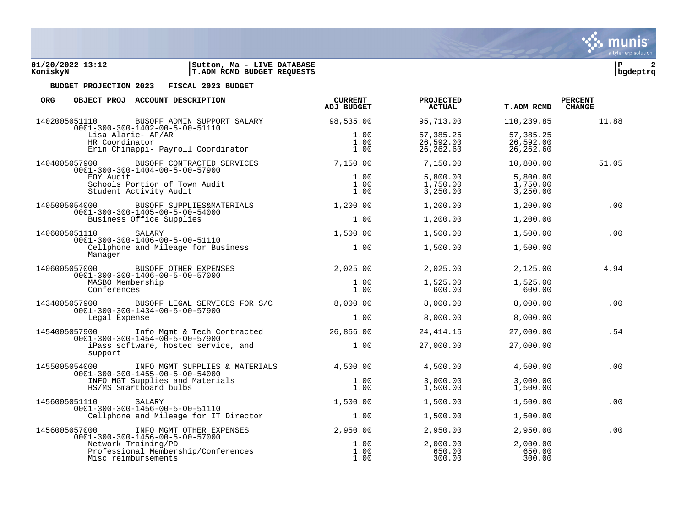

| ORG                                                                                                          | OBJECT PROJ ACCOUNT DESCRIPTION                                                                | <b>CURRENT</b><br><b>ADJ BUDGET</b> | PROJECTED<br><b>ACTUAL</b>           | <b>T.ADM RCMD</b>                    | <b>PERCENT</b><br><b>CHANGE</b> |
|--------------------------------------------------------------------------------------------------------------|------------------------------------------------------------------------------------------------|-------------------------------------|--------------------------------------|--------------------------------------|---------------------------------|
| 1402005051110                                                                                                | BUSOFF ADMIN SUPPORT SALARY<br>$0001 - 300 - 300 - 1402 - 00 - 5 - 00 - 51110$                 | 98,535.00                           | 95,713.00                            | 110,239.85                           | 11.88                           |
|                                                                                                              | Lisa Alarie- AP/AR<br>HR Coordinator<br>Erin Chinappi- Payroll Coordinator                     | 1.00<br>1.00<br>1.00                | 57,385.25<br>26,592.00<br>26, 262.60 | 57,385.25<br>26,592.00<br>26, 262.60 |                                 |
| 1404005057900                                                                                                | BUSOFF CONTRACTED SERVICES<br>$0001 - 300 - 300 - 1404 - 00 - 5 - 00 - 57900$                  | 7,150.00                            | 7,150.00                             | 10,800.00                            | 51.05                           |
| EOY Audit<br>Schools Portion of Town Audit<br>Student Activity Audit                                         | 1.00<br>1.00<br>1.00                                                                           | 5,800.00<br>1,750.00<br>3,250.00    | 5,800.00<br>1,750.00<br>3,250.00     |                                      |                                 |
| 1405005054000                                                                                                | BUSOFF SUPPLIES&MATERIALS                                                                      | 1,200.00                            | 1,200.00                             | 1,200.00                             | .00                             |
| $0001 - 300 - 300 - 1405 - 00 - 5 - 00 - 54000$<br>Business Office Supplies                                  | 1.00                                                                                           | 1,200.00                            | 1,200.00                             |                                      |                                 |
| 1406005051110                                                                                                | SALARY<br>$0001 - 300 - 300 - 1406 - 00 - 5 - 00 - 51110$                                      | 1,500.00                            | 1,500.00                             | 1,500.00                             | .00                             |
| Cellphone and Mileage for Business<br>Manager                                                                | 1.00                                                                                           | 1,500.00                            | 1,500.00                             |                                      |                                 |
| 1406005057000                                                                                                | BUSOFF OTHER EXPENSES                                                                          | 2,025.00                            | 2,025.00                             | 2,125.00                             | 4.94                            |
| $0001 - 300 - 300 - 1406 - 00 - 5 - 00 - 57000$<br>MASBO Membership<br>Conferences                           | 1.00<br>1.00                                                                                   | 1,525.00<br>600.00                  | 1,525.00<br>600.00                   |                                      |                                 |
|                                                                                                              | 1434005057900 BUSOFF LEGAL SERVICES FOR S/C<br>$0001 - 300 - 300 - 1434 - 00 - 5 - 00 - 57900$ | 8,000.00                            | 8,000.00                             | 8,000.00                             | .00                             |
| Legal Expense                                                                                                |                                                                                                | 1.00                                | 8,000.00                             | 8,000.00                             |                                 |
|                                                                                                              | 1454005057900 Info Mgmt & Tech Contracted<br>$0001 - 300 - 300 - 1454 - 00 - 5 - 00 - 57900$   | 26,856.00                           | 24, 414. 15                          | 27,000.00                            | .54                             |
| support                                                                                                      | iPass software, hosted service, and                                                            | 1.00                                | 27,000.00                            | 27,000.00                            |                                 |
| 1455005054000                                                                                                | INFO MGMT SUPPLIES & MATERIALS                                                                 | 4,500.00                            | 4,500.00                             | 4,500.00                             | .00                             |
| $0001 - 300 - 300 - 1455 - 00 - 5 - 00 - 54000$<br>INFO MGT Supplies and Materials<br>HS/MS Smartboard bulbs | 1.00<br>1.00                                                                                   | 3,000.00<br>1,500.00                | 3,000.00<br>1,500.00                 |                                      |                                 |
| 1456005051110                                                                                                | SALARY<br>$0001 - 300 - 300 - 1456 - 00 - 5 - 00 - 51110$                                      | 1,500.00                            | 1,500.00                             | 1,500.00                             | .00                             |
|                                                                                                              | Cellphone and Mileage for IT Director                                                          | 1.00                                | 1,500.00                             | 1,500.00                             |                                 |
| 1456005057000                                                                                                | INFO MGMT OTHER EXPENSES<br>$0001 - 300 - 300 - 1456 - 00 - 5 - 00 - 57000$                    | 2,950.00                            | 2,950.00                             | 2,950.00                             | .00                             |
|                                                                                                              | Network Training/PD<br>Professional Membership/Conferences<br>Misc reimbursements              | 1.00<br>1.00<br>1.00                | 2,000.00<br>650.00<br>300.00         | 2,000.00<br>650.00<br>300.00         |                                 |

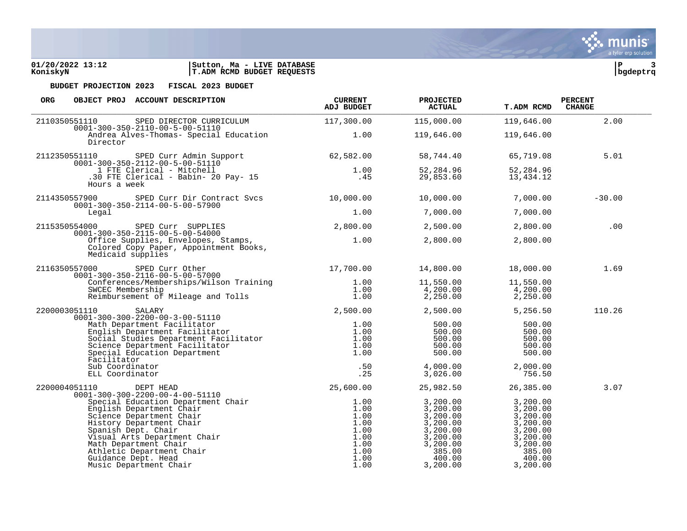| 01/20/2022 13:12 | <b>LIVE DATABASE</b><br>Ma -<br>Sutton, |          |  |
|------------------|-----------------------------------------|----------|--|
| KoniskyN         | T.ADM RCMD BUDGET REQUESTS              | bqdeptrq |  |

| <b>ORG</b><br>OBJECT PROJ ACCOUNT DESCRIPTION                                                                                                                                                                                                  | <b>CURRENT</b><br><b>ADJ BUDGET</b> | <b>PROJECTED</b><br><b>ACTUAL</b>                                                                                                                | <b>T.ADM RCMD</b>                                                                                                | <b>PERCENT</b><br><b>CHANGE</b> |  |
|------------------------------------------------------------------------------------------------------------------------------------------------------------------------------------------------------------------------------------------------|-------------------------------------|--------------------------------------------------------------------------------------------------------------------------------------------------|------------------------------------------------------------------------------------------------------------------|---------------------------------|--|
| 2110350551110<br>SPED DIRECTOR CURRICULUM 117,300.00                                                                                                                                                                                           |                                     | 115,000.00                                                                                                                                       | 119,646.00                                                                                                       | 2.00                            |  |
| $0001 - 300 - 350 - 2110 - 00 - 5 - 00 - 51110$<br>Andrea Alves-Thomas- Special Education 1.00<br>Director                                                                                                                                     |                                     | 119,646.00                                                                                                                                       | 119,646.00                                                                                                       |                                 |  |
| 2112350551110 SPED Curr Admin Support 62,582.00                                                                                                                                                                                                |                                     | 58,744.40                                                                                                                                        | 65,719.08                                                                                                        | 5.01                            |  |
| 1.00<br>1 FTE Clerical - Mitchell<br>1.00<br>30 FTE Clerical - Babin-20 Pay-15<br>1.00<br>30 FTE Clerical - Babin-20 Pay-15<br>Hours a week                                                                                                    |                                     | 52,284.96<br>29,853.60                                                                                                                           | 52,284.96<br>13,434.12                                                                                           |                                 |  |
| 2114350557900 SPED Curr Dir Contract Svcs 10,000.00<br>$0001 - 300 - 350 - 2114 - 00 - 5 - 00 - 57900$                                                                                                                                         |                                     | 10,000.00                                                                                                                                        | 7,000.00                                                                                                         | $-30.00$                        |  |
| Legal                                                                                                                                                                                                                                          | 1.00                                | 7,000.00                                                                                                                                         | 7,000.00                                                                                                         |                                 |  |
|                                                                                                                                                                                                                                                |                                     | 2,500.00                                                                                                                                         | 2,800.00                                                                                                         | .00                             |  |
| 2115350554000 SPED Curr SUPPLIES 2,800.00<br>0001-300-350-2115-00-5-00-54000 2,800.00<br>Office Supplies, Envelopes, Stamps, 2.00<br>Colored Copy Paper, Appointment Books, 2.00<br>Medicaid supplies                                          |                                     | 2,800.00                                                                                                                                         | 2,800.00                                                                                                         |                                 |  |
| 2116350557000 SPED Curr Other 17,700.00 14,800.00<br>0001-300-350-2116-00-5-00-57000 17,700.00 14,800.00                                                                                                                                       |                                     |                                                                                                                                                  | 18,000.00                                                                                                        | 1.69                            |  |
|                                                                                                                                                                                                                                                |                                     | 11,550.00<br>4,200.00<br>$2,250.00$ $2,250.00$                                                                                                   | 11,550.00<br>4,200.00                                                                                            |                                 |  |
| 2200003051110 SALARY                                                                                                                                                                                                                           | 2,500.00 2,500.00                   |                                                                                                                                                  | 5,256.50                                                                                                         | 110.26                          |  |
| 0001-300-300-2200-00-3-00-51110<br>0001-300-300-2200-00-3-00-51110<br>Math Department Facilitator<br>English Department Facilitator<br>Social Studies Department Facilitator<br>Social Studies Department Facilitator<br>Social Education      |                                     | $500.00$<br>$500.00$<br>$500.00$<br>$500.00$<br>$500.00$                                                                                         | 500.00<br>500.00<br>500.00<br>500.00<br>500.00                                                                   |                                 |  |
|                                                                                                                                                                                                                                                |                                     | 4,000.00<br>3,026.00                                                                                                                             | 2,000.00<br>756.50                                                                                               |                                 |  |
| 2200004051110 DEPT HEAD<br>$0001 - 300 - 300 - 2200 - 00 - 4 - 00 - 51110$                                                                                                                                                                     | 25,600.00                           | 25,982.50                                                                                                                                        | 26,385.00                                                                                                        | 3.07                            |  |
| 01-300-300-2200-00-4-00-51110<br>Special Education Department Chair<br>English Department Chair<br>Cience Department Chair<br>Science Department Chair<br>History Department Chair<br>Spanish Dept. Chair<br>Visual Arts Department Chair<br>M |                                     | 3,200.00<br>$3, 200.00$<br>$3, 200.00$<br>$3, 200.00$<br>$3, 200.00$<br>$3, 200.00$<br>$3, 200.00$<br>$385.00$<br>$400.00$<br>400.00<br>3,200.00 | 3,200.00<br>3,200.00<br>3,200.00<br>3,200.00<br>3,200.00<br>3,200.00<br>3,200.00<br>385.00<br>400.00<br>3,200.00 |                                 |  |

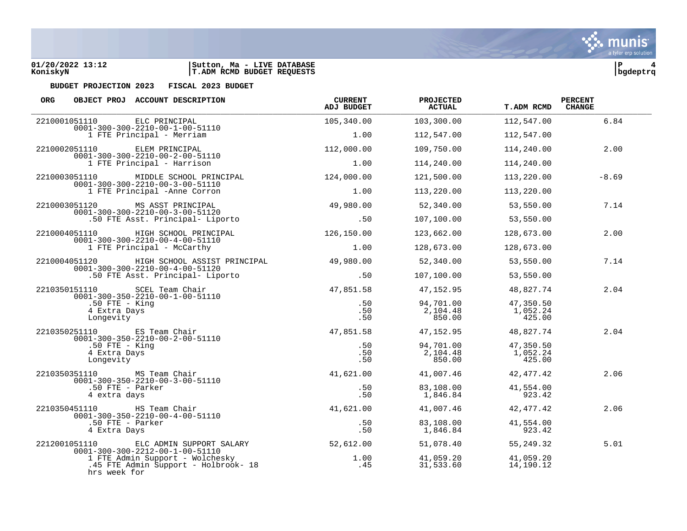



| ORG<br>OBJECT PROJ ACCOUNT DESCRIPTION                                                                                               | <b>CURRENT</b><br><b>ADJ BUDGET</b> | <b>PROJECTED</b><br><b>ACTUAL</b> | <b>T.ADM RCMD</b>               | <b>PERCENT</b><br><b>CHANGE</b> |
|--------------------------------------------------------------------------------------------------------------------------------------|-------------------------------------|-----------------------------------|---------------------------------|---------------------------------|
| 2210001051110<br>ELC PRINCIPAL                                                                                                       | 105,340.00                          | 103,300.00                        | 112,547.00                      | 6.84                            |
| $0001 - 300 - 300 - 2210 - 00 - 1 - 00 - 51110$<br>1 FTE Principal - Merriam                                                         | 1.00                                | 112,547.00                        | 112,547.00                      |                                 |
| 2210002051110<br>ELEM PRINCIPAL<br>$0001 - 300 - 300 - 2210 - 00 - 2 - 00 - 51110$<br>1 FTE Principal - Harrison                     | 112,000.00                          | 109,750.00                        | 114,240.00                      | 2.00                            |
|                                                                                                                                      | 1.00                                | 114,240.00                        | 114,240.00                      |                                 |
| MIDDLE SCHOOL PRINCIPAL<br>2210003051110                                                                                             | 124,000.00                          | 121,500.00                        | 113,220.00                      | $-8.69$                         |
| $0001 - 300 - 300 - 2210 - 00 - 3 - 00 - 51110$<br>1 FTE Principal -Anne Corron                                                      | 1.00                                | 113,220.00                        | 113,220.00                      |                                 |
| 2210003051120<br>MS ASST PRINCIPAL<br>$0001 - 300 - 300 - 2210 - 00 - 3 - 00 - 51120$                                                | 49,980.00                           | 52,340.00                         | 53,550.00                       | 7.14                            |
| .50 FTE Asst. Principal- Liporto                                                                                                     | .50                                 | 107,100.00                        | 53,550.00                       |                                 |
| 2210004051110 HIGH SCHOOL PRINCIPAL<br>$0001 - 300 - 300 - 2210 - 00 - 4 - 00 - 51110$                                               | 126,150.00                          | 123,662.00                        | 128,673.00                      | 2.00                            |
| 1 FTE Principal - McCarthy                                                                                                           | 1.00                                | 128,673.00                        | 128,673.00                      |                                 |
| 2210004051120<br>HIGH SCHOOL ASSIST PRINCIPAL<br>$0001 - 300 - 300 - 2210 - 00 - 4 - 00 - 51120$<br>.50 FTE Asst. Principal- Liporto | 49,980.00                           | 52,340.00                         | 53,550.00                       | 7.14                            |
|                                                                                                                                      | .50                                 | 107,100.00                        | 53,550.00                       |                                 |
| 2210350151110<br>SCEL Team Chair<br>$0001 - 300 - 350 - 2210 - 00 - 1 - 00 - 51110$<br>$.50$ FTE - King<br>4 Extra Days<br>Longevity | 47,851.58                           | 47,152.95                         | 48,827.74                       | 2.04                            |
|                                                                                                                                      | .50<br>.50<br>.50                   | 94,701.00<br>2,104.48<br>850.00   | 47,350.50<br>1,052.24<br>425.00 |                                 |
| 2210350251110 ES Team Chair<br>$0001 - 300 - 350 - 2210 - 00 - 2 - 00 - 51110$                                                       |                                     | 47,851.58 47,152.95               | 48,827.74                       | 2.04                            |
| $.50$ FTE - King<br>4 Extra Days<br>Longevity                                                                                        | .50<br>.50<br>.50                   | 94,701.00<br>2,104.48<br>850.00   | 47,350.50<br>1,052.24<br>425.00 |                                 |
| 2210350351110 MS Team Chair<br>$0001 - 300 - 350 - 2210 - 00 - 3 - 00 - 51110$                                                       | 41,621.00                           | 41,007.46                         | 42,477.42                       | 2.06                            |
| .50 FTE - Parker<br>4 extra days                                                                                                     | .50<br>.50                          | 83,108.00<br>1,846.84             | 41,554.00<br>923.42             |                                 |
| 2210350451110 HS Team Chair<br>$0001 - 300 - 350 - 2210 - 00 - 4 - 00 - 51110$                                                       | 41,621.00                           | 41,007.46                         | 42,477.42                       | 2.06                            |
| .50 FTE - Parker<br>4 Extra Days                                                                                                     | .50<br>.50                          | 83,108.00<br>1,846.84             | 41,554.00<br>923.42             |                                 |
| 2212001051110<br>ELC ADMIN SUPPORT SALARY<br>$0001 - 300 - 300 - 2212 - 00 - 1 - 00 - 51110$                                         | 52,612.00                           | 51,078.40                         | 55,249.32                       | 5.01                            |
| 1 FTE Admin Support - Wolchesky<br>.45 FTE Admin Support - Holbrook- 18<br>hrs week for                                              | 1.00<br>. 45                        | 41,059.20<br>31,533.60            | 41,059.20<br>14,190.12          |                                 |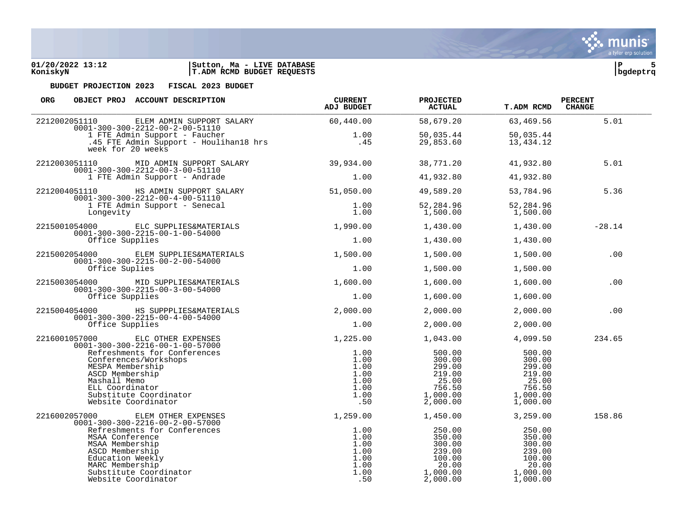

| ORG<br>OBJECT PROJ ACCOUNT DESCRIPTION                                                                                                                                           | <b>CURRENT</b><br><b>ADJ BUDGET</b>                         | <b>PROJECTED</b><br><b>ACTUAL</b>                                               | <b>T.ADM RCMD</b>                                                               | <b>PERCENT</b><br><b>CHANGE</b> |
|----------------------------------------------------------------------------------------------------------------------------------------------------------------------------------|-------------------------------------------------------------|---------------------------------------------------------------------------------|---------------------------------------------------------------------------------|---------------------------------|
| 2212002051110<br>ELEM ADMIN SUPPORT SALARY                                                                                                                                       | 60,440.00                                                   | 58,679.20                                                                       | 63,469.56                                                                       | 5.01                            |
| $0001 - 300 - 300 - 2212 - 00 - 2 - 00 - 51110$<br>1 FTE Admin Support - Faucher<br>.<br>45 FTE Admin Support - Houlihan18 hrs<br>week for 20 weeks                              | 1.00<br>.45                                                 | 50,035.44<br>29,853.60                                                          | 50,035.44<br>13,434.12                                                          |                                 |
| 2212003051110<br>MID ADMIN SUPPORT SALARY<br>$0001 - 300 - 300 - 2212 - 00 - 3 - 00 - 51110$                                                                                     | 39,934.00                                                   | 38,771.20                                                                       | 41,932.80                                                                       | 5.01                            |
| 1 FTE Admin Support - Andrade                                                                                                                                                    | 1.00                                                        | 41,932.80                                                                       | 41,932.80                                                                       |                                 |
| 2212004051110<br>HS ADMIN SUPPORT SALARY<br>$0001 - 300 - 300 - 2212 - 00 - 4 - 00 - 51110$                                                                                      | 51,050.00                                                   | 49,589.20                                                                       | 53,784.96                                                                       | 5.36                            |
| 1 FTE Admin Support - Senecal<br>Longevity                                                                                                                                       | 1.00<br>1.00                                                | 52,284.96<br>1,500.00                                                           | 52,284.96<br>1,500.00                                                           |                                 |
| 2215001054000 ELC SUPPLIES&MATERIALS<br>$0001 - 300 - 300 - 2215 - 00 - 1 - 00 - 54000$                                                                                          | 1,990.00                                                    | 1,430.00                                                                        | 1,430.00                                                                        | $-28.14$                        |
| Office Supplies                                                                                                                                                                  | 1.00                                                        | 1,430.00                                                                        | 1,430.00                                                                        |                                 |
| 2215002054000 ELEM SUPPLIES&MATERIALS<br>$0001 - 300 - 300 - 2215 - 00 - 2 - 00 - 54000$                                                                                         | 1,500.00                                                    | 1,500.00                                                                        | 1,500.00                                                                        | .00                             |
| Office Suplies                                                                                                                                                                   | 1.00                                                        | 1,500.00                                                                        | 1,500.00                                                                        |                                 |
| 2215003054000 MID SUPPLIES&MATERIALS                                                                                                                                             | 1,600.00                                                    | 1,600.00                                                                        | 1,600.00                                                                        | .00                             |
| $0001 - 300 - 300 - 2215 - 00 - 3 - 00 - 54000$<br>Office Supplies                                                                                                               | 1.00                                                        | 1,600.00                                                                        | 1,600.00                                                                        |                                 |
| 2215004054000 HS SUPPPLIES&MATERIALS<br>$0001 - 300 - 300 - 2215 - 00 - 4 - 00 - 54000$                                                                                          | 2,000.00                                                    | 2,000.00                                                                        | 2,000.00                                                                        | .00                             |
| Office Supplies                                                                                                                                                                  | 1.00                                                        | 2,000.00                                                                        | 2,000.00                                                                        |                                 |
| 2216001057000<br>ELC OTHER EXPENSES<br>$0001 - 300 - 300 - 2216 - 00 - 1 - 00 - 57000$                                                                                           | 1,225.00                                                    | 1,043.00                                                                        | 4,099.50                                                                        | 234.65                          |
| Refreshments for Conferences<br>Conferences/Workshops<br>MESPA Membership<br>ASCD Membership<br>Mashall Memo<br>ELL Coordinator<br>Substitute Coordinator<br>Website Coordinator | 1.00<br>1.00<br>1.00<br>1.00<br>1.00<br>1.00<br>1.00<br>.50 | 500.00<br>300.00<br>299.00<br>219.00<br>25.00<br>756.50<br>1,000.00<br>2,000.00 | 500.00<br>300.00<br>299.00<br>219.00<br>25.00<br>756.50<br>1,000.00<br>1,000.00 |                                 |
| 2216002057000<br>ELEM OTHER EXPENSES<br>$0001 - 300 - 300 - 2216 - 00 - 2 - 00 - 57000$                                                                                          | 1,259.00                                                    | 1,450.00                                                                        | 3,259.00                                                                        | 158.86                          |
| Refreshments for Conferences<br>MSAA Conference<br>MSAA Membership<br>ASCD Membership<br>Education Weekly<br>MARC Membership<br>Substitute Coordinator<br>Website Coordinator    | 1.00<br>1.00<br>1.00<br>1.00<br>1.00<br>1.00<br>1.00<br>.50 | 250.00<br>350.00<br>300.00<br>239.00<br>100.00<br>20.00<br>1,000.00<br>2,000.00 | 250.00<br>350.00<br>300.00<br>239.00<br>100.00<br>20.00<br>1,000.00<br>1,000.00 |                                 |

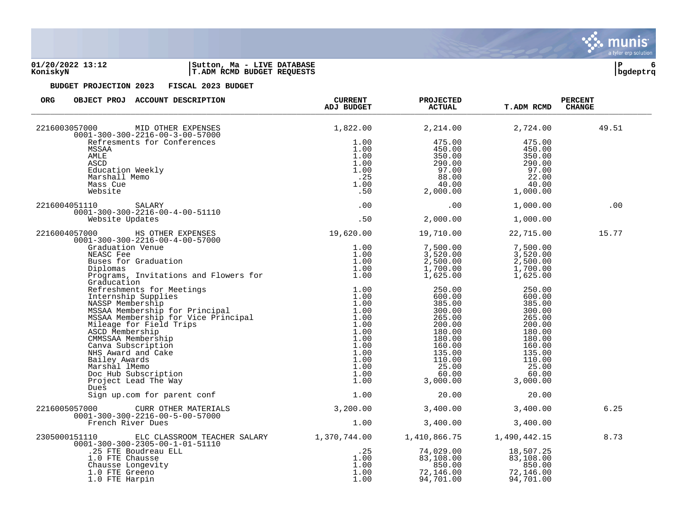### **01/20/2022 13:12 |Sutton, Ma - LIVE DATABASE |P 6 KoniskyN |T.ADM RCMD BUDGET REQUESTS |bgdeptrq**

| ORG<br>OBJECT PROJ ACCOUNT DESCRIPTION                                                                                                                                                                                         | <b>CURRENT</b><br><b>ADJ BUDGET</b>                             | <b>PROJECTED</b><br><b>ACTUAL</b>                                                                                                        | <b>T.ADM RCMD</b>                                                                                                                        | <b>PERCENT</b><br><b>CHANGE</b> |
|--------------------------------------------------------------------------------------------------------------------------------------------------------------------------------------------------------------------------------|-----------------------------------------------------------------|------------------------------------------------------------------------------------------------------------------------------------------|------------------------------------------------------------------------------------------------------------------------------------------|---------------------------------|
| 2216003057000<br>MID OTHER EXPENSES<br>$0001 - 300 - 300 - 2216 - 00 - 3 - 00 - 57000$                                                                                                                                         | 1,822.00                                                        | 2,214.00                                                                                                                                 | 2,724.00                                                                                                                                 | 49.51                           |
| Refresments for Conferences<br>MSSAA<br>AMLE<br>ASCD<br>Education Weekly<br>Marshall Memo<br>Mass Cue<br>Website                                                                                                               | 1.00<br>1.00<br>1.00<br>1.00<br>1.00<br>$\frac{1}{1.00}$<br>.50 | 475.00<br>450.00<br>350.00<br>290.00<br>97.00<br>$88.00$<br>$40.00$<br>2,000.00                                                          | 475.00<br>450.00<br>350.00<br>290.00<br>97.00<br>22.00<br>40.00<br>1,000.00                                                              |                                 |
| 2216004051110<br>SALARY<br>$0001 - 300 - 300 - 2216 - 00 - 4 - 00 - 51110$                                                                                                                                                     | .00                                                             | .00                                                                                                                                      | 1,000.00                                                                                                                                 | .00                             |
| Website Updates                                                                                                                                                                                                                | .50                                                             | 2,000.00                                                                                                                                 | 1,000.00                                                                                                                                 |                                 |
| 2216004057000<br>HS OTHER EXPENSES<br>$0001 - 300 - 300 - 2216 - 00 - 4 - 00 - 57000$                                                                                                                                          | 19,620.00    19,710.00                                          |                                                                                                                                          | 22,715.00                                                                                                                                | 15.77                           |
| Graduation Venue<br>Graduation Venue<br>NEASC Fee 1.00<br>Buses for Graduation 1.00<br>Diplomas 1.00<br>Programs, Invitations and Flowers for 1.00<br>Programs, Invitations and Flowers for 1.00                               | 1.00                                                            | 7,500.00<br>3,520.00<br>2,500.00<br>1,700.00<br>1,625.00                                                                                 | 7,500.00<br>3,520.00<br>2,500.00<br>1,700.00<br>1,625.00                                                                                 |                                 |
| Graducation                                                                                                                                                                                                                    |                                                                 | 250.00<br>600.00<br>385.00<br>300.00<br>265.00<br>200.00<br>180.00<br>180.00<br>160.00<br>135.00<br>110.00<br>25.00<br>60.00<br>3,000.00 | 250.00<br>600.00<br>385.00<br>300.00<br>265.00<br>200.00<br>180.00<br>180.00<br>160.00<br>135.00<br>110.00<br>25.00<br>60.00<br>3,000.00 |                                 |
| Sign up.com for parent conf                                                                                                                                                                                                    | 1.00                                                            | 20.00                                                                                                                                    | 20.00                                                                                                                                    |                                 |
| 2216005057000<br>CURR OTHER MATERIALS<br>0001-300-300-2316-00-5-00-57000<br>French Birgs Culle-00-5-00-57000                                                                                                                   | 3,200.00                                                        | 3,400.00                                                                                                                                 | 3,400.00                                                                                                                                 | 6.25                            |
| French River Dues                                                                                                                                                                                                              | 1.00                                                            | 3,400.00                                                                                                                                 | 3,400.00                                                                                                                                 |                                 |
| ELC CLASSROOM TEACHER SALARY 1,370,744.00 1,410,866.75<br>2305000151110<br>$0001 - 300 - 300 - 2305 - 00 - 1 - 01 - 51110$<br>.25 FTE Boudreau ELL<br>1.0 FTE Chausse<br>Chausse Longevity<br>1.0 FTE Greeno<br>1.0 FTE Harpin | .25<br>1.00<br>1.00<br>1.00<br>1.00                             | 74,029.00<br>83,108.00<br>850.00<br>72,146.00<br>94,701.00                                                                               | 1,490,442.15<br>18,507.25<br>83,108.00<br>850.00<br>72,146.00<br>94,701.00                                                               | 8.73                            |

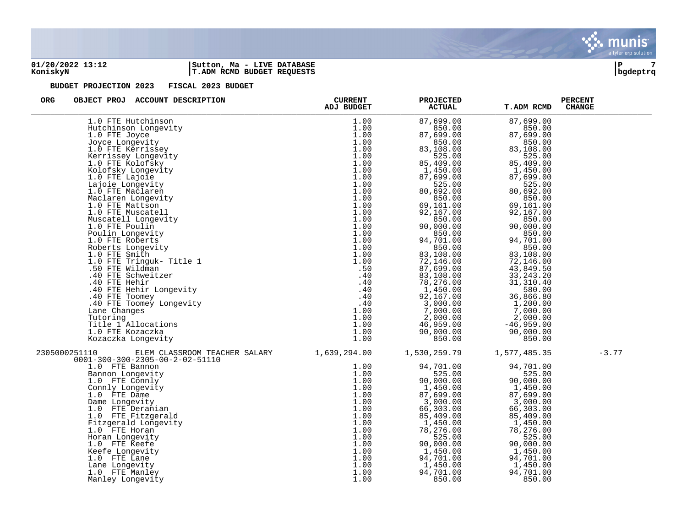

### **01/20/2022 13:12 |Sutton, Ma - LIVE DATABASE |P 7 KoniskyN |T.ADM RCMD BUDGET REQUESTS |bgdeptrq**



| <b>ORG</b><br>OBJECT PROJ ACCOUNT DESCRIPTION                                                                                                                                                                                                                                                           | <b>CURRENT</b>                                                                                                       | <b>PROJECTED</b>                                                                                                                                                                     | <b>T.ADM RCMD</b>                                                                                                                                                                                                                                                                                                     | <b>PERCENT</b><br><b>CHANGE</b> |
|---------------------------------------------------------------------------------------------------------------------------------------------------------------------------------------------------------------------------------------------------------------------------------------------------------|----------------------------------------------------------------------------------------------------------------------|--------------------------------------------------------------------------------------------------------------------------------------------------------------------------------------|-----------------------------------------------------------------------------------------------------------------------------------------------------------------------------------------------------------------------------------------------------------------------------------------------------------------------|---------------------------------|
|                                                                                                                                                                                                                                                                                                         |                                                                                                                      |                                                                                                                                                                                      | 87,699.00<br>850.00<br>87,699.00<br>850.00<br>83,108.00<br>525.00<br>85,409.00<br>1,450.00<br>87,699.00<br>525.00<br>80,692.00<br>850.00<br>69,161.00<br>92,167.00<br>850.00<br>90,000.00<br>850.00<br>94,701.00<br>850.00<br>83,108.00<br>72,146.00<br>43,849.50<br>33, 243. 20<br>31, 310.40<br>580.00<br>36,866.80 |                                 |
|                                                                                                                                                                                                                                                                                                         |                                                                                                                      |                                                                                                                                                                                      | 1,200.00<br>7,000.00<br>2,000.00<br>$-46,959.00$<br>90,000.00<br>850.00                                                                                                                                                                                                                                               |                                 |
| 2305000251110<br>1.0 FTE Connly<br>Connly Longevity<br>1.0 FTE Dame<br>Dame Longevity<br>1.0 FTE Deranian<br>1.0 FTE Fitzgerald<br>Fitzgerald Longevity<br>1.0 FTE Horan<br>Horan Longevity<br>1.0 FTE Keefe<br>Keefe Longevity<br>1.0 FTE Lane<br>Lane Longevity<br>1.0 FTE Manley<br>Manley Longevity | 1.00<br>1.00<br>1.00<br>1.00<br>1.00<br>1.00<br>1.00<br>1.00<br>1.00<br>1.00<br>1.00<br>1.00<br>1.00<br>1.00<br>1.00 | 90,000.00<br>1,450.00<br>87,699.00<br>3,000.00<br>66,303.00<br>85,409.00<br>1,450.00<br>78,276.00<br>525.00<br>90,000.00<br>1,450.00<br>94,701.00<br>1,450.00<br>94,701.00<br>850.00 | 1,577,485.35<br>94,701.00<br>525.00<br>90,000.00<br>1,450.00<br>87,699.00<br>3,000.00<br>66,303.00<br>85,409.00<br>1,450.00<br>78,276.00<br>525.00<br>90,000.00<br>1,450.00<br>94,701.00<br>1,450.00<br>94,701.00<br>850.00                                                                                           | $-3.77$                         |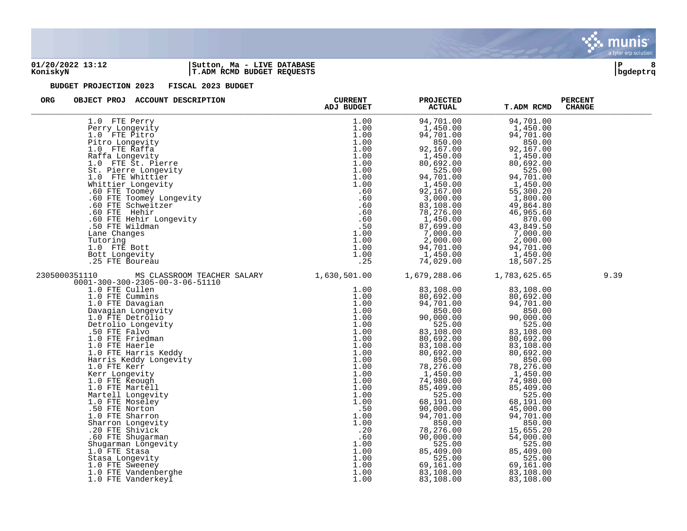

### **01/20/2022 13:12 |Sutton, Ma - LIVE DATABASE |P 8 KoniskyN |T.ADM RCMD BUDGET REQUESTS |bgdeptrq**



| <b>ORG</b><br>OBJECT PROJ ACCOUNT DESCRIPTION                                                                                                                                                                                                                                                                                                                                                                                                                                                                           | <b>CURRENT</b><br>ADJ BUDGET | <b>PROJECTED</b><br><b>ACTUAL</b> | <b>T.ADM RCMD</b>      | <b>PERCENT</b><br><b>CHANGE</b> |
|-------------------------------------------------------------------------------------------------------------------------------------------------------------------------------------------------------------------------------------------------------------------------------------------------------------------------------------------------------------------------------------------------------------------------------------------------------------------------------------------------------------------------|------------------------------|-----------------------------------|------------------------|---------------------------------|
|                                                                                                                                                                                                                                                                                                                                                                                                                                                                                                                         |                              | 94,701.00                         | 94,701.00              |                                 |
|                                                                                                                                                                                                                                                                                                                                                                                                                                                                                                                         |                              | 1,450.00                          | 1,450.00               |                                 |
|                                                                                                                                                                                                                                                                                                                                                                                                                                                                                                                         |                              | 94,701.00                         | 94,701.00              |                                 |
|                                                                                                                                                                                                                                                                                                                                                                                                                                                                                                                         |                              | 850.00                            | 850.00                 |                                 |
|                                                                                                                                                                                                                                                                                                                                                                                                                                                                                                                         |                              | 92,167.00<br>1,450.00             | 92,167.00<br>1,450.00  |                                 |
|                                                                                                                                                                                                                                                                                                                                                                                                                                                                                                                         |                              | 80,692.00                         | 80,692.00              |                                 |
|                                                                                                                                                                                                                                                                                                                                                                                                                                                                                                                         |                              | 525.00                            | 525.00                 |                                 |
|                                                                                                                                                                                                                                                                                                                                                                                                                                                                                                                         |                              | 94,701.00                         | 94,701.00              |                                 |
|                                                                                                                                                                                                                                                                                                                                                                                                                                                                                                                         |                              | 1,450.00                          | 1,450.00               |                                 |
|                                                                                                                                                                                                                                                                                                                                                                                                                                                                                                                         |                              | 92,167.00                         | 55,300.20              |                                 |
|                                                                                                                                                                                                                                                                                                                                                                                                                                                                                                                         |                              | 3,000.00<br>83,108.00             | 1,800.00<br>49,864.80  |                                 |
|                                                                                                                                                                                                                                                                                                                                                                                                                                                                                                                         |                              | 78,276.00                         | 46,965.60              |                                 |
|                                                                                                                                                                                                                                                                                                                                                                                                                                                                                                                         |                              | 1,450.00                          | 870.00                 |                                 |
|                                                                                                                                                                                                                                                                                                                                                                                                                                                                                                                         |                              | 87,699.00                         | 43,849.50              |                                 |
|                                                                                                                                                                                                                                                                                                                                                                                                                                                                                                                         |                              | 7,000.00                          | 7,000.00               |                                 |
|                                                                                                                                                                                                                                                                                                                                                                                                                                                                                                                         |                              | 2,000.00                          | 2,000.00               |                                 |
|                                                                                                                                                                                                                                                                                                                                                                                                                                                                                                                         |                              | 94,701.00<br>1,450.00             | 94,701.00<br>1,450.00  |                                 |
|                                                                                                                                                                                                                                                                                                                                                                                                                                                                                                                         |                              | 74,029.00                         | 18,507.25              |                                 |
| ADJ BUDGET<br>Perry Longevity<br>1.00 TTE Pitro<br>1.00 TTE Pitro<br>1.00 1.0 FTE Pitro<br>1.00 1.0 FTE Raffa<br>1.00<br>1.00 TTE Mark<br>1.00 1.0 FTE Mark<br>1.00 1.0 FTE Mark<br>1.00 1.0 FTE Schweitz<br>1.00 5t. Pierre Longevity<br>1.00 5t. Pie<br>CLID (MSC CLASSROOM TRACHER SALARY 1.630,501.00<br>11.0 MSC CLASSROOM TRACHER SALARY 1.630,501.00<br>11.0 FTE Cullen<br>11.0 FTE Cullen<br>1.0 FTE Cullen<br>1.0 FTE Davagian Longevity<br>1.00 FTE Detrolio (MSC Prince Culter)<br>1.00 FTE<br>2305000351110 |                              | 1,679,288.06                      | 1,783,625.65           | 9.39                            |
| $0001 - 300 - 300 - 2305 - 00 - 3 - 06 - 51110$                                                                                                                                                                                                                                                                                                                                                                                                                                                                         |                              |                                   |                        |                                 |
|                                                                                                                                                                                                                                                                                                                                                                                                                                                                                                                         |                              | 83,108.00                         | 83,108.00              |                                 |
|                                                                                                                                                                                                                                                                                                                                                                                                                                                                                                                         |                              | 80,692.00                         | 80,692.00              |                                 |
|                                                                                                                                                                                                                                                                                                                                                                                                                                                                                                                         | 1.00                         | 94,701.00<br>850.00               | 94,701.00<br>850.00    |                                 |
|                                                                                                                                                                                                                                                                                                                                                                                                                                                                                                                         | 1.00                         | 90,000.00                         | 90,000.00              |                                 |
|                                                                                                                                                                                                                                                                                                                                                                                                                                                                                                                         | 1.00                         | 525.00                            | 525.00                 |                                 |
|                                                                                                                                                                                                                                                                                                                                                                                                                                                                                                                         | 1.00                         | 83,108.00                         | 83,108.00              |                                 |
|                                                                                                                                                                                                                                                                                                                                                                                                                                                                                                                         |                              | 80,692.00                         | 80,692.00              |                                 |
|                                                                                                                                                                                                                                                                                                                                                                                                                                                                                                                         | 1.00                         | 83,108.00                         | 83,108.00              |                                 |
|                                                                                                                                                                                                                                                                                                                                                                                                                                                                                                                         | 1.00                         | 80,692.00<br>850.00               | 80,692.00<br>850.00    |                                 |
|                                                                                                                                                                                                                                                                                                                                                                                                                                                                                                                         |                              | 78,276.00                         | 78,276.00              |                                 |
|                                                                                                                                                                                                                                                                                                                                                                                                                                                                                                                         |                              | 1,450.00                          | 1,450.00               |                                 |
|                                                                                                                                                                                                                                                                                                                                                                                                                                                                                                                         |                              | 74,980.00                         | 74,980.00              |                                 |
|                                                                                                                                                                                                                                                                                                                                                                                                                                                                                                                         |                              | 85,409.00                         | 85,409.00              |                                 |
|                                                                                                                                                                                                                                                                                                                                                                                                                                                                                                                         |                              | 525.00                            | 525.00                 |                                 |
|                                                                                                                                                                                                                                                                                                                                                                                                                                                                                                                         |                              | 68,191.00<br>90,000.00            | 68,191.00<br>45,000.00 |                                 |
|                                                                                                                                                                                                                                                                                                                                                                                                                                                                                                                         |                              | 94,701.00                         | 94,701.00              |                                 |
|                                                                                                                                                                                                                                                                                                                                                                                                                                                                                                                         |                              | 850.00                            | 850.00                 |                                 |
|                                                                                                                                                                                                                                                                                                                                                                                                                                                                                                                         | .20                          | 78,276.00                         | 15,655.20              |                                 |
|                                                                                                                                                                                                                                                                                                                                                                                                                                                                                                                         |                              | 90,000.00                         | 54,000.00              |                                 |
|                                                                                                                                                                                                                                                                                                                                                                                                                                                                                                                         |                              | 525.00                            | 525.00                 |                                 |
|                                                                                                                                                                                                                                                                                                                                                                                                                                                                                                                         | 1.00                         | 85,409.00<br>525.00               | 85,409.00<br>525.00    |                                 |
|                                                                                                                                                                                                                                                                                                                                                                                                                                                                                                                         |                              | 69,161.00                         | 69,161.00              |                                 |
|                                                                                                                                                                                                                                                                                                                                                                                                                                                                                                                         |                              | 83,108.00                         | 83,108.00              |                                 |
|                                                                                                                                                                                                                                                                                                                                                                                                                                                                                                                         |                              | 83,108.00                         | 83,108.00              |                                 |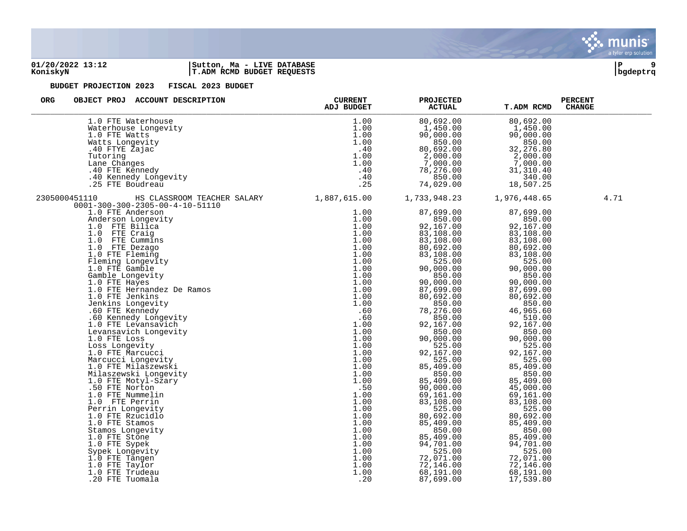

### **01/20/2022 13:12 |Sutton, Ma - LIVE DATABASE |P 9 KoniskyN |T.ADM RCMD BUDGET REQUESTS |bgdeptrq**



| <b>ORG</b><br>OBJECT PROJ ACCOUNT DESCRIPTION                                                                                                                                                                                                                                                                           | <b>CURRENT</b><br>ADJ BUDGET | <b>PROJECTED</b><br><b>ACTUAL</b> | T.ADM RCMD             | <b>PERCENT</b><br><b>CHANGE</b> |
|-------------------------------------------------------------------------------------------------------------------------------------------------------------------------------------------------------------------------------------------------------------------------------------------------------------------------|------------------------------|-----------------------------------|------------------------|---------------------------------|
| 1.0 FTE Waterhouse                                                                                                                                                                                                                                                                                                      | 1.00                         | 80,692.00                         | 80,692.00              |                                 |
|                                                                                                                                                                                                                                                                                                                         | 1.00                         | 1,450.00                          | 1,450.00               |                                 |
|                                                                                                                                                                                                                                                                                                                         | 1.00                         | 90,000.00                         | 90,000.00              |                                 |
|                                                                                                                                                                                                                                                                                                                         | 1.00                         | 850.00                            | 850.00                 |                                 |
|                                                                                                                                                                                                                                                                                                                         | .40                          | 80,692.00                         | 32,276.80              |                                 |
|                                                                                                                                                                                                                                                                                                                         | 1.00                         | 2,000.00                          | 2,000.00               |                                 |
|                                                                                                                                                                                                                                                                                                                         | 1.00                         | 7,000.00                          | 7,000.00               |                                 |
|                                                                                                                                                                                                                                                                                                                         | .40<br>.40                   | 78,276.00<br>850.00               | 31, 310.40<br>340.00   |                                 |
| 1.0 FTE Waterhouse<br>Waterhouse Longevity<br>1.0 FTE Watts<br>Watts Longevity<br>40 FTE Zajac<br>Tutoring<br>Lane Changes<br>40 FTE Kennedy<br>40 Kennedy Longevity<br>25 FTE Boudreau                                                                                                                                 | .25                          | 74,029.00                         | 18,507.25              |                                 |
| HS CLASSROOM TEACHER SALARY 1,887,615.00<br>2305000451110<br>10<br>110 BS CLASSROOM TEACHER SALARY<br>1.0 FTE Anderson<br>1.0 FTE Anderson<br>Anderson<br>Anderson<br>Anderson<br>1.0 FTE Craigo<br>1.0 FTE Craigo<br>1.0 FTE Craigo<br>1.0 FTE Craigo<br>1.0 FTE Craigo<br>1.0 FTE Craigo<br>1.0 FTE Fleming<br>1.0 FT |                              | 1,733,948.23                      | 1,976,448.65           | 4.71                            |
| $0001 - 300 - 300 - 2305 - 00 - 4 - 10 - 51110$                                                                                                                                                                                                                                                                         | 1.00                         | 87,699.00                         | 87,699.00              |                                 |
|                                                                                                                                                                                                                                                                                                                         | 1.00                         | 850.00                            | 850.00                 |                                 |
|                                                                                                                                                                                                                                                                                                                         | 1.00                         | 92,167.00                         | 92,167.00              |                                 |
|                                                                                                                                                                                                                                                                                                                         | 1.00                         | 83,108.00                         | 83,108.00              |                                 |
|                                                                                                                                                                                                                                                                                                                         | 1.00                         | 83,108.00                         | 83,108.00              |                                 |
|                                                                                                                                                                                                                                                                                                                         | 1.00                         | 80,692.00                         | 80,692.00              |                                 |
|                                                                                                                                                                                                                                                                                                                         | 1.00                         | 83,108.00                         | 83,108.00              |                                 |
|                                                                                                                                                                                                                                                                                                                         | 1.00                         | 525.00                            | 525.00                 |                                 |
|                                                                                                                                                                                                                                                                                                                         | 1.00                         | 90,000.00                         | 90,000.00              |                                 |
|                                                                                                                                                                                                                                                                                                                         | 1.00                         | 850.00                            | 850.00                 |                                 |
|                                                                                                                                                                                                                                                                                                                         | 1.00                         | 90,000.00                         | 90,000.00              |                                 |
|                                                                                                                                                                                                                                                                                                                         | 1.00<br>1.00                 | 87,699.00<br>80,692.00            | 87,699.00<br>80,692.00 |                                 |
|                                                                                                                                                                                                                                                                                                                         | 1.00                         | 850.00                            | 850.00                 |                                 |
|                                                                                                                                                                                                                                                                                                                         | .60                          | 78,276.00                         | 46,965.60              |                                 |
|                                                                                                                                                                                                                                                                                                                         | .60                          | 850.00                            | 510.00                 |                                 |
|                                                                                                                                                                                                                                                                                                                         | 1.00                         | 92,167.00                         | 92,167.00              |                                 |
|                                                                                                                                                                                                                                                                                                                         | 1.00                         | 850.00                            | 850.00                 |                                 |
|                                                                                                                                                                                                                                                                                                                         | 1.00                         | 90,000.00                         | 90,000.00              |                                 |
|                                                                                                                                                                                                                                                                                                                         | 1.00                         | 525.00                            | 525.00                 |                                 |
|                                                                                                                                                                                                                                                                                                                         | 1.00                         | 92,167.00                         | 92,167.00              |                                 |
|                                                                                                                                                                                                                                                                                                                         | 1.00                         | 525.00                            | 525.00                 |                                 |
|                                                                                                                                                                                                                                                                                                                         | 1.00                         | 85,409.00                         | 85,409.00              |                                 |
|                                                                                                                                                                                                                                                                                                                         | 1.00<br>1.00                 | 850.00<br>85,409.00               | 850.00<br>85,409.00    |                                 |
|                                                                                                                                                                                                                                                                                                                         | .50                          | 90,000.00                         | 45,000.00              |                                 |
|                                                                                                                                                                                                                                                                                                                         | 1.00                         | 69,161.00                         | 69,161.00              |                                 |
|                                                                                                                                                                                                                                                                                                                         | 1.00                         | 83,108.00                         | 83,108.00              |                                 |
|                                                                                                                                                                                                                                                                                                                         | 1.00                         | 525.00                            | 525.00                 |                                 |
|                                                                                                                                                                                                                                                                                                                         | 1.00                         | 80,692.00                         | 80,692.00              |                                 |
|                                                                                                                                                                                                                                                                                                                         | 1.00                         | 85,409.00                         | 85,409.00              |                                 |
|                                                                                                                                                                                                                                                                                                                         | 1.00                         | 850.00                            | 850.00                 |                                 |
|                                                                                                                                                                                                                                                                                                                         | 1.00                         | 85,409.00                         | 85,409.00              |                                 |
|                                                                                                                                                                                                                                                                                                                         | 1.00                         | 94,701.00                         | 94,701.00              |                                 |
|                                                                                                                                                                                                                                                                                                                         | 1.00                         | 525.00                            | 525.00                 |                                 |
|                                                                                                                                                                                                                                                                                                                         | 1.00                         | 72,071.00                         | 72,071.00              |                                 |
|                                                                                                                                                                                                                                                                                                                         | 1.00<br>1.00                 | 72,146.00                         | 72,146.00              |                                 |
|                                                                                                                                                                                                                                                                                                                         | .20                          | 68,191.00<br>87,699.00            | 68,191.00<br>17,539.80 |                                 |
|                                                                                                                                                                                                                                                                                                                         |                              |                                   |                        |                                 |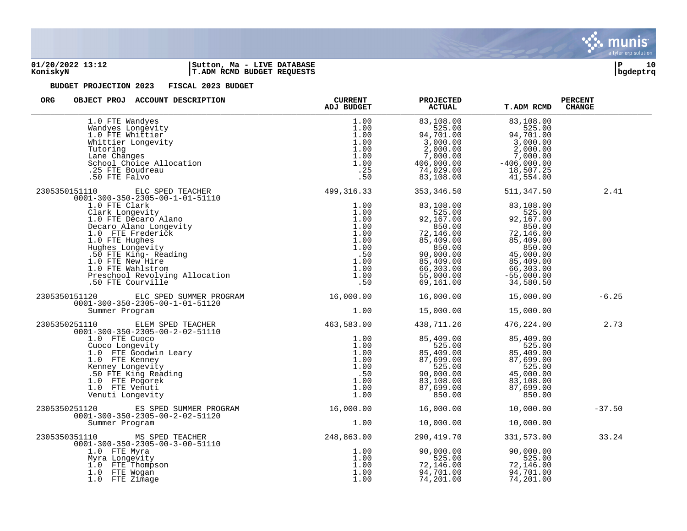

### **01/20/2022 13:12 |Sutton, Ma - LIVE DATABASE |P 10 KoniskyN |T.ADM RCMD BUDGET REQUESTS |bgdeptrq**



| <b>ORG</b><br>OBJECT PROJ ACCOUNT DESCRIPTION                                                                                                                                                                                                      | ADJ BUDGET                                                         | <b>PROJECTED</b><br><b>ACTUAL</b>                                                                                                                                                                                                                                                                                            | <b>T.ADM RCMD</b>                                                        | <b>PERCENT</b><br><b>CHANGE</b> |
|----------------------------------------------------------------------------------------------------------------------------------------------------------------------------------------------------------------------------------------------------|--------------------------------------------------------------------|------------------------------------------------------------------------------------------------------------------------------------------------------------------------------------------------------------------------------------------------------------------------------------------------------------------------------|--------------------------------------------------------------------------|---------------------------------|
| 1.0 FTE Wandyes<br>1.0 FTE Wandyes<br>Wandyes Longevity<br>1.0 FTE Whittier<br>Whittier Longevity<br>Tutoring<br>Lane Changes<br>School Choice Allocation<br>.25 FTE Boudreau<br>50 FTE Falvo                                                      | 1.00<br>1.00<br>1.00<br>1.00<br>1.00<br>1.00<br>1.00<br>.25<br>.50 | 83,108.00<br>525.00<br>94,701 00<br>$525.00$<br>94,701.00 94,                                                                                                                                                                                                                                                                | 83,108.00<br>525.00<br>94,701.00                                         |                                 |
|                                                                                                                                                                                                                                                    |                                                                    | 353,346.50<br>83,108.00<br>525.00<br>92,167.00<br>850.00<br>$850.00$<br>$72,146.00$<br>$85,409.00$<br>$90,000.00$<br>$85,409.00$<br>$85,409.00$<br>$85,409.00$<br>$85,409.00$<br>$85,409.00$<br>$85,409.00$<br>$85,409.00$<br>$85,409.00$<br>$85,409.00$<br>$85,409.00$<br>$66,303.00$<br>$55,000.00$<br>$69,161.00$<br>$34$ | 511,347.50<br>$83,108.00$<br>525.00<br>92,167.00<br>850.00               | 2.41                            |
| 2305350151120 ELC SPED SUMMER PROGRAM 16,000.00 16,000.00 15,000.00 15,000.00<br>0001-300-350-2305-00-1-01-51120 16,000.00 16,000.00 16,000.00 15,000.00<br>Summer Program                                                                         |                                                                    | 1.00    15,000.00    15,000.00                                                                                                                                                                                                                                                                                               |                                                                          | $-6.25$                         |
| 2305350251110<br>0001-300-350-2305-00-2-02-51110<br>1.0 FTE Cuoco<br>Cuoco Longevity<br>1.0 FTE Goodwin Leary<br>1.0 FTE Goodwin Leary<br>1.00 Cuoco Longevity<br>1.00 Cuore Leary<br>1.00 Kenney Longevity<br>50 FTE King Reading<br>1.00 SPTE Ki |                                                                    | 438,711.26                                                                                                                                                                                                                                                                                                                   | 476,224.00                                                               | 2.73                            |
| 2305350251120 ES SPED SUMMER PROGRAM<br>0001-300-350-2305-00-2-02-51120<br>Summer Program                                                                                                                                                          | 16,000.00    16,000.00<br>1.00                                     | 10,000.00                                                                                                                                                                                                                                                                                                                    | 10,000.00<br>10,000.00                                                   | $-37.50$                        |
| 2305350351110 MS SPED TEACHER<br>0001-300-350-2305-00-3-00-51110<br>1.0 FTE Myra<br>Myra Longevity<br>1.0 FTE Thompson<br>1.0 FTE Wogan<br>1.0 FTE Wogan<br>1.0 FTE Zimage                                                                         | 248,863.00<br>1.00<br>1.00<br>1.00<br>1.00<br>1.00                 | 290,419.70<br>90,000.00<br>525.00<br>$72,146.00$<br>94.701.00<br>94,701.00<br>74,201.00                                                                                                                                                                                                                                      | 331,573.00<br>90,000.00<br>525.00<br>72,146.00<br>94,701.00<br>74,201.00 | 33.24                           |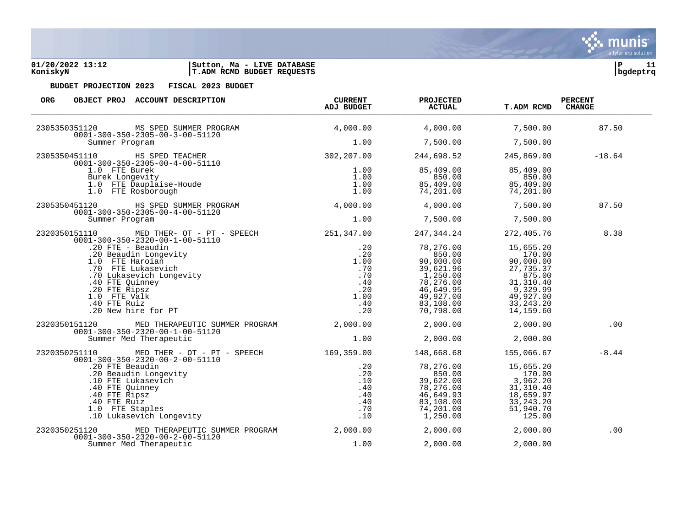### **01/20/2022 13:12 |Sutton, Ma - LIVE DATABASE |P 11 KoniskyN |T.ADM RCMD BUDGET REQUESTS |bgdeptrq**

| <b>ORG</b><br>OBJECT PROJ ACCOUNT DESCRIPTION                                                                                                                                                                                                               | <b>CURRENT</b><br>ADJ BUDGET | <b>PROJECTED</b><br><b>ACTUAL</b>                                                                                          | <b>T.ADM RCMD</b>                                                                                                           | <b>PERCENT</b><br><b>CHANGE</b> |
|-------------------------------------------------------------------------------------------------------------------------------------------------------------------------------------------------------------------------------------------------------------|------------------------------|----------------------------------------------------------------------------------------------------------------------------|-----------------------------------------------------------------------------------------------------------------------------|---------------------------------|
| 2305350351120 MS SPED SUMMER PROGRAM                                                                                                                                                                                                                        | 4,000.00                     | 4,000.00                                                                                                                   | 7,500.00                                                                                                                    | 87.50                           |
| $0001 - 300 - 350 - 2305 - 00 - 3 - 00 - 51120$<br>Summer Program                                                                                                                                                                                           | 1.00                         | 7,500.00                                                                                                                   | 7,500.00                                                                                                                    |                                 |
|                                                                                                                                                                                                                                                             |                              | 244,698.52                                                                                                                 | 245,869.00                                                                                                                  | $-18.64$                        |
| Summer Program<br>1.00<br>2305350451110<br>0001-300-350-2305-00-4-00-51110<br>1.0 FTE Burek<br>Burek Longevity<br>1.00<br>1.0 FTE Dauplaise-Houde<br>1.0 FTE Dauplaise-Houde<br>1.00<br>2305350451120<br>BIC HE ROSDOTOUR<br>HE ROGRAM<br>2305350451120<br> |                              | 85,409.00<br>850.00<br>85,409.00<br>74,201.00                                                                              | 85,409.00<br>850.00<br>85,409.00<br>74,201.00                                                                               |                                 |
|                                                                                                                                                                                                                                                             |                              | 4,000.00                                                                                                                   | 7,500.00                                                                                                                    | 87.50                           |
| $0001 - 300 - 350 - 2305 - 00 - 4 - 00 - 51120$<br>Summer Program                                                                                                                                                                                           | 1.00                         | 7,500.00                                                                                                                   | 7,500.00                                                                                                                    |                                 |
| 2320350151110 MED THER- OT - PT - SPEECH 251,347.00<br>$0001 - 300 - 350 - 2320 - 00 - 1 - 00 - 51110$                                                                                                                                                      |                              | 247,344.24                                                                                                                 | 272,405.76                                                                                                                  | 8.38                            |
| -1300-350-2220-00-1-00-51110<br>-300-350-2220-00-1-00-51110<br>-20 FTE - Beaudin<br>-20 Beaudin Longevity<br>-20 Beaudin Longevity<br>-20 Beaudin Longevity<br>-20 FTE Haroian<br>-70 Lukasevich<br>-70 Lukasevich<br>-70 Lukasevich<br>-70 Lukase          |                              | 78,276.00<br>850.00<br>90,000.00<br>39,621.96<br>1,250.00<br>78,276.00<br>46,649.95<br>49,927.00<br>83,108.00<br>70,798.00 | 15,655.20<br>170.00<br>90,000.00<br>27,735.37<br>875.00<br>31, 310.40<br>9, 329.99<br>49,927.00<br>33, 243. 20<br>14,159.60 |                                 |
| 2320350151120 MED THERAPEUTIC SUMMER PROGRAM $2,000.00$ 2,000.00<br>$0001 - 300 - 350 - 2320 - 00 - 1 - 00 - 51120$                                                                                                                                         |                              |                                                                                                                            | 2,000.00                                                                                                                    | .00                             |
| Summer Med Therapeutic                                                                                                                                                                                                                                      | 1.00                         | 2,000.00                                                                                                                   | 2,000.00                                                                                                                    |                                 |
| 2320350251110 MED THER - OT - PT - SPEECH 169,359.00<br>$0001 - 300 - 350 - 2320 - 00 - 2 - 00 - 51110$                                                                                                                                                     |                              | 148,668.68                                                                                                                 | 155,066.67                                                                                                                  | $-8.44$                         |
| 01-300-350-2320-00-2-00-51110<br>.20 FTE Beaudin<br>.20 FTE Beaudin<br>.20 Mean Longevity<br>.20 Mean Longevity<br>.20 Mean Sales .20<br>.10 FTE Lukasevich<br>.40 FTE Ruiz<br>.40 FTE Ruiz<br>.40 FTE Ruiz<br>.40 FTE Ruiz<br>.40 Mean Sales .40<br>.      |                              | 78,276.00<br>850.00<br>39,622.00<br>78,276.00<br>46,649.93<br>83,108.00<br>74,201.00<br>1,250.00                           | 15,655.20<br>170.00<br>3,962.20<br>31, 310.40<br>18,659.97<br>33, 243. 20<br>51,940.70<br>125.00                            |                                 |
| MED THERAPEUTIC SUMMER PROGRAM 2,000.00<br>2320350251120<br>$0001 - 300 - 350 - 2320 - 00 - 2 - 00 - 51120$                                                                                                                                                 |                              | 2,000.00                                                                                                                   | 2,000.00                                                                                                                    | .00                             |
| Summer Med Therapeutic                                                                                                                                                                                                                                      | 1.00                         | 2,000.00                                                                                                                   | 2,000.00                                                                                                                    |                                 |

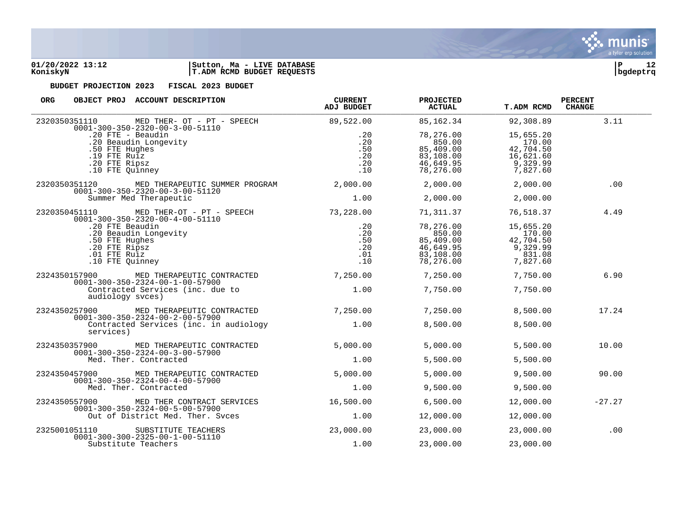



| <b>ORG</b><br>OBJECT PROJ ACCOUNT DESCRIPTION                                                      | <b>CURRENT</b><br><b>ADJ BUDGET</b> | <b>PROJECTED</b><br>ACTUAL | <b>T.ADM RCMD</b> | <b>PERCENT</b><br><b>CHANGE</b> |
|----------------------------------------------------------------------------------------------------|-------------------------------------|----------------------------|-------------------|---------------------------------|
| MED THER- OT - PT - SPEECH<br>2320350351110<br>$0001 - 300 - 350 - 2320 - 00 - 3 - 00 - 51110$     | 89,522.00                           | 85,162.34                  | 92,308.89         | 3.11                            |
| .20 FTE - Beaudin                                                                                  | .20                                 | 78,276.00                  | 15,655.20         |                                 |
| .20 Beaudin Longevity                                                                              | .20                                 | 850.00                     | 170.00            |                                 |
| .50 FTE Hughes                                                                                     | .50                                 | 85,409.00                  | 42,704.50         |                                 |
| $.19$ FTE Ru $iz$                                                                                  | .20                                 | 83,108.00                  | 16,621.60         |                                 |
| .20 FTE Ripsz                                                                                      | .20                                 | 46,649.95                  | 9,329.99          |                                 |
| .10 FTE Quinney                                                                                    | .10                                 | 78,276.00                  | 7,827.60          |                                 |
| 2320350351120<br>MED THERAPEUTIC SUMMER PROGRAM<br>$0001 - 300 - 350 - 2320 - 00 - 3 - 00 - 51120$ | 2,000.00                            | 2,000.00                   | 2,000.00          | .00                             |
| Summer Med Therapeutic                                                                             | 1.00                                | 2,000.00                   | 2,000.00          |                                 |
| 2320350451110 MED THER-OT - PT - SPEECH<br>$0001 - 300 - 350 - 2320 - 00 - 4 - 00 - 51110$         | 73,228.00                           | 71,311.37                  | 76,518.37         | 4.49                            |
| .20 FTE Beaudin                                                                                    | .20                                 | 78,276.00                  | 15,655.20         |                                 |
| .20 Beaudin Longevity                                                                              | .20                                 | 850.00                     | 170.00            |                                 |
| .50 FTE Hughes                                                                                     | .50                                 | 85,409.00                  | 42,704.50         |                                 |
| .20 FTE Ripsz                                                                                      | .20                                 | 46,649.95                  | 9,329.99          |                                 |
| .01 FTE Ruiz                                                                                       | .01                                 | 83,108.00                  | 831.08            |                                 |
| .10 FTE Ouinney                                                                                    | .10                                 | 78,276.00                  | 7,827.60          |                                 |
| 2324350157900<br>MED THERAPEUTIC CONTRACTED<br>$0001 - 300 - 350 - 2324 - 00 - 1 - 00 - 57900$     | 7,250.00                            | 7,250.00                   | 7,750.00          | 6.90                            |
| Contracted Services (inc. due to<br>audiology syces)                                               | 1.00                                | 7,750.00                   | 7,750.00          |                                 |
| 2324350257900<br>MED THERAPEUTIC CONTRACTED<br>$0001 - 300 - 350 - 2324 - 00 - 2 - 00 - 57900$     | 7,250.00                            | 7,250.00                   | 8,500.00          | 17.24                           |
| Contracted Services (inc. in audiology<br>services)                                                | 1.00                                | 8,500.00                   | 8,500.00          |                                 |
| 2324350357900<br>MED THERAPEUTIC CONTRACTED                                                        | 5,000.00                            | 5,000.00                   | 5,500.00          | 10.00                           |
| $0001 - 300 - 350 - 2324 - 00 - 3 - 00 - 57900$<br>Med. Ther. Contracted                           | 1.00                                | 5,500.00                   | 5,500.00          |                                 |
| 2324350457900<br>MED THERAPEUTIC CONTRACTED<br>$0001 - 300 - 350 - 2324 - 00 - 4 - 00 - 57900$     | 5,000.00                            | 5,000.00                   | 9,500.00          | 90.00                           |
| Med. Ther. Contracted                                                                              | 1.00                                | 9,500.00                   | 9,500.00          |                                 |
| 2324350557900<br>MED THER CONTRACT SERVICES<br>$0001 - 300 - 350 - 2324 - 00 - 5 - 00 - 57900$     | 16,500.00                           | 6,500.00                   | 12,000.00         | $-27.27$                        |
| Out of District Med. Ther. Svces                                                                   | 1.00                                | 12,000.00                  | 12,000.00         |                                 |
| 2325001051110<br>SUBSTITUTE TEACHERS<br>$0001 - 300 - 300 - 2325 - 00 - 1 - 00 - 51110$            | 23,000.00                           | 23,000.00                  | 23,000.00         | .00                             |
| Substitute Teachers                                                                                | 1.00                                | 23,000.00                  | 23,000.00         |                                 |

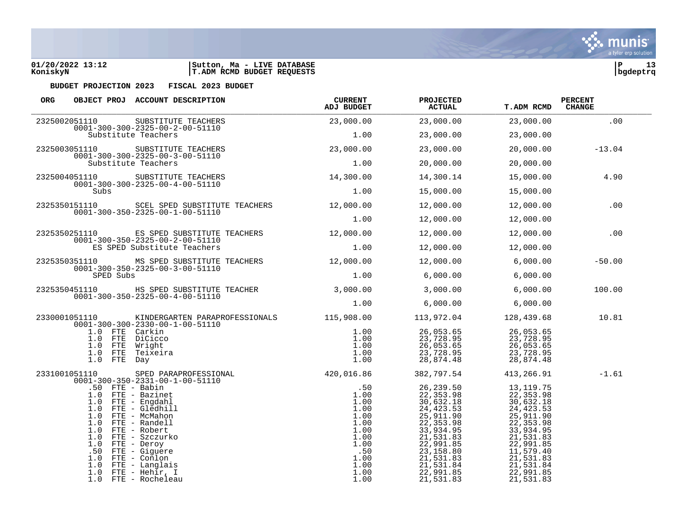

| ORG<br>OBJECT PROJ ACCOUNT DESCRIPTION                                                                                                                                                                                                                                                                                         | <b>CURRENT</b><br>ADJ BUDGET                                                                                                                                                                                                                                                                                                                                     | <b>PROJECTED</b><br><b>ACTUAL</b>                     | <b>T.ADM RCMD</b> | <b>PERCENT</b><br><b>CHANGE</b> |  |
|--------------------------------------------------------------------------------------------------------------------------------------------------------------------------------------------------------------------------------------------------------------------------------------------------------------------------------|------------------------------------------------------------------------------------------------------------------------------------------------------------------------------------------------------------------------------------------------------------------------------------------------------------------------------------------------------------------|-------------------------------------------------------|-------------------|---------------------------------|--|
|                                                                                                                                                                                                                                                                                                                                |                                                                                                                                                                                                                                                                                                                                                                  | $23,000.00$ $23,000.00$ $23,000.00$ $23,000.00$ $100$ |                   |                                 |  |
| 2325002051110 SUBSTITUTE TEACHERS<br>0001-300-300-2325-00-2-00-51110<br>Substitute Teachers                                                                                                                                                                                                                                    | 1.00                                                                                                                                                                                                                                                                                                                                                             | 23,000.00                                             | 23,000.00         |                                 |  |
| 2325003051110 SUBSTITUTE TEACHERS 23,000.00 23,000.00                                                                                                                                                                                                                                                                          |                                                                                                                                                                                                                                                                                                                                                                  |                                                       |                   | 20,000.00 -13.04                |  |
| $0001-300-300-2325-00-3-00-51110$<br>Substitute Teachers                                                                                                                                                                                                                                                                       | $1.00$ 20,000.00                                                                                                                                                                                                                                                                                                                                                 |                                                       | 20,000.00         |                                 |  |
| SUBSTITUTE TEACHERS 14,300.00 14,300.14                                                                                                                                                                                                                                                                                        |                                                                                                                                                                                                                                                                                                                                                                  |                                                       |                   | 15,000.00 4.90                  |  |
| $0001 - 300 - 300 - 2325 - 00 - 4 - 00 - 51110$<br>Subs                                                                                                                                                                                                                                                                        |                                                                                                                                                                                                                                                                                                                                                                  | $1.00$ $15,000.00$                                    | 15,000.00         |                                 |  |
| 2325350151110 SCEL SPED SUBSTITUTE TEACHERS $12,000.00$ $12,000.00$ $12,000.00$ $12,000.00$ .00<br>$0001 - 300 - 350 - 2325 - 00 - 1 - 00 - 51110$                                                                                                                                                                             |                                                                                                                                                                                                                                                                                                                                                                  |                                                       |                   |                                 |  |
|                                                                                                                                                                                                                                                                                                                                |                                                                                                                                                                                                                                                                                                                                                                  | $1.00$ $12,000.00$                                    | 12,000.00         |                                 |  |
| 2325350251110 ES SPED SUBSTITUTE TEACHERS 12,000.00 12,000.00 12,000.00 12,000.00<br>0001-300-350-2325-00-2-00-51110                                                                                                                                                                                                           |                                                                                                                                                                                                                                                                                                                                                                  |                                                       |                   |                                 |  |
| ES SPED Substitute Teachers                                                                                                                                                                                                                                                                                                    | $1.00$ $12,000.00$ $12,000.00$                                                                                                                                                                                                                                                                                                                                   |                                                       |                   |                                 |  |
| 2325350351110 MS SPED SUBSTITUTE TEACHERS 12,000.00 12,000.00 6,000.00 6,000.00<br>$0001 - 300 - 350 - 2325 - 00 - 3 - 00 - 51110$                                                                                                                                                                                             |                                                                                                                                                                                                                                                                                                                                                                  |                                                       |                   | $-50.00$                        |  |
| SPED Subs                                                                                                                                                                                                                                                                                                                      | $1.00$ 6,000.00 6,000.00                                                                                                                                                                                                                                                                                                                                         |                                                       |                   |                                 |  |
| 2325350451110 HS SPED SUBSTITUTE TEACHER 3,000.00 3,000.00 3,000.00 6,000.00<br>0001-300-350-2325-00-4-00-51110                                                                                                                                                                                                                |                                                                                                                                                                                                                                                                                                                                                                  |                                                       |                   | 100.00                          |  |
|                                                                                                                                                                                                                                                                                                                                | $1.00$ 6,000.00 6,000.00                                                                                                                                                                                                                                                                                                                                         |                                                       |                   |                                 |  |
| 2330001051110 KINDERGARTEN PARAPROFESSIONALS 115,908.00 113,972.04 128,439.68 10.81<br>$0001 - 300 - 300 - 2330 - 00 - 1 - 00 - 51110$                                                                                                                                                                                         |                                                                                                                                                                                                                                                                                                                                                                  |                                                       |                   |                                 |  |
| 1.0 FTE Carkin<br>1.0 FTE DiCicco<br>1.0 FTE Wright<br>1.0 FTE Teixeira<br>1.0 FTE Day                                                                                                                                                                                                                                         | $\begin{array}{cccccc} 1.00 & 26,053.65 & 26,053.65 \\ -00-51110 & 1.00 & 25,053.65 & 26,053.65 \\ 1.00 & 23,728.95 & 23,728.95 \\ 1.00 & 26,053.65 & 26,053.65 \\ 1.00 & 23,728.95 & 26,053.65 \\ 1.00 & 23,728.95 & 23,728.95 \\ 1.00 & 28,874.48 & 28,874.48 \end{array}$                                                                                     |                                                       |                   |                                 |  |
| 2331001051110 SPED PARAPROFESSIONAL 420,016.86 382,797.54 413,266.91<br>0001-300-350-2331-00-1-00-51110<br>50 FD FTF - Pabin                                                                                                                                                                                                   |                                                                                                                                                                                                                                                                                                                                                                  |                                                       |                   | $-1.61$                         |  |
| .50 FTE - Babin<br>1.0 FTE - Bazinet<br>1.0 FTE - Engdahl<br>1.0 FTE - Gledhill<br>1.0 FTE - McMahon<br>1.0 FTE - Randell<br>1.0 FTE - Robert<br>1.0 FTE - Szczurko<br>$1.0$ FTE - Deroy<br>.50 FTE - Giguere<br>$1.0$ FTE - Conlon<br>1.0 FTE - Langlais<br>$1.0$ FTE - Heh $\overline{\text{ir}}$ , I<br>1.0 FTE - Rocheleau | $\begin{array}{cccc} \texttt{PPROFESSIONAL} \ -00-51110 \end{array} \hspace{.5in} \begin{array}{cccc} \texttt{50} & \texttt{382,797.54} & \texttt{413,266.91} \ \texttt{1.00} & \texttt{26,239.50} & \texttt{13,119.75} \ \texttt{1.00} & \texttt{22,353.98} & \texttt{22,353.98} \ \texttt{1.00} & \texttt{24,423.53} & \texttt{23,423.53} \ \texttt{1.00} & \$ |                                                       |                   |                                 |  |

munis a tyler erp solution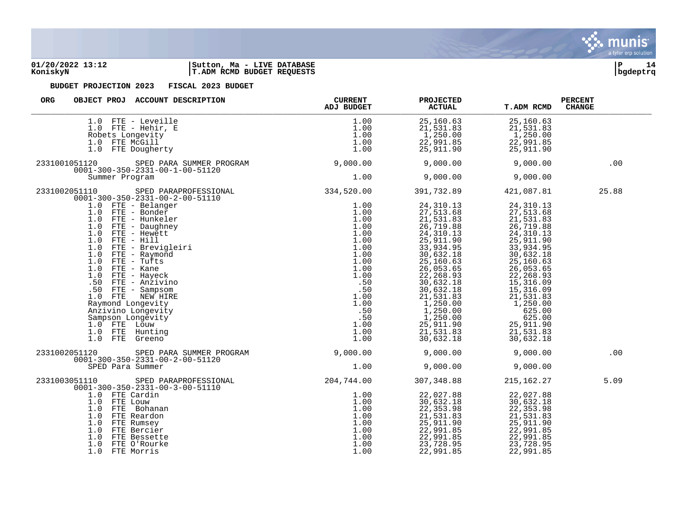

### **01/20/2022 13:12 |Sutton, Ma - LIVE DATABASE |P 14 KoniskyN |T.ADM RCMD BUDGET REQUESTS |bgdeptrq**



| ORG<br>OBJECT PROJ ACCOUNT DESCRIPTION                                                                                                                                                                                                                                                                                                                                                                      | <b>PROJECTED</b><br><b>ACTUAL</b> | <b>T.ADM RCMD</b> | <b>PERCENT</b><br><b>CHANGE</b> |
|-------------------------------------------------------------------------------------------------------------------------------------------------------------------------------------------------------------------------------------------------------------------------------------------------------------------------------------------------------------------------------------------------------------|-----------------------------------|-------------------|---------------------------------|
| 1.0 FTE - Leveille<br>$\begin{array}{cccccc} \texttt{le} & & & & 1.00 & & & 25,160.63 & & & 25,160.63 \\ \texttt{E} & & & & 1.00 & & & 21,531.83 & & 21,531.83 \\ & & & 1.00 & & & 1,250.00 & & 1,250.00 \\ & & & 1.00 & & & 22,991.85 & & & 22,991.85 \\ & & & & & 1.00 & & & 25,911.90 & & & 25,911.90 \\ \end{array}$<br>$1.0$ FTE - Hehir, E<br>Robets Longevity<br>1.0 FTE McGill<br>1.0 FTE Dougherty |                                   |                   |                                 |
| 2331001051120                                                                                                                                                                                                                                                                                                                                                                                               |                                   |                   | .00                             |
|                                                                                                                                                                                                                                                                                                                                                                                                             |                                   |                   |                                 |
| 2331002051110                                                                                                                                                                                                                                                                                                                                                                                               |                                   |                   | 25.88                           |
|                                                                                                                                                                                                                                                                                                                                                                                                             |                                   |                   |                                 |
| 2331002051120                                                                                                                                                                                                                                                                                                                                                                                               |                                   |                   | .00                             |
| 2331003051110                                                                                                                                                                                                                                                                                                                                                                                               |                                   |                   | 5.09                            |
| 051110<br>0001-300-350-2331-00-3-00-51110<br>1.0 FTE Cardin<br>1.0 FTE Cardin<br>1.0 FTE Cardin<br>1.0 FTE Cardin<br>1.0 22, 027.88<br>1.0 22, 027.88<br>1.0 22, 031.83<br>22, 353.98<br>22, 353.98<br>22, 353.98<br>22, 353.98<br>22, 353.98<br>22, 353.                                                                                                                                                   |                                   |                   |                                 |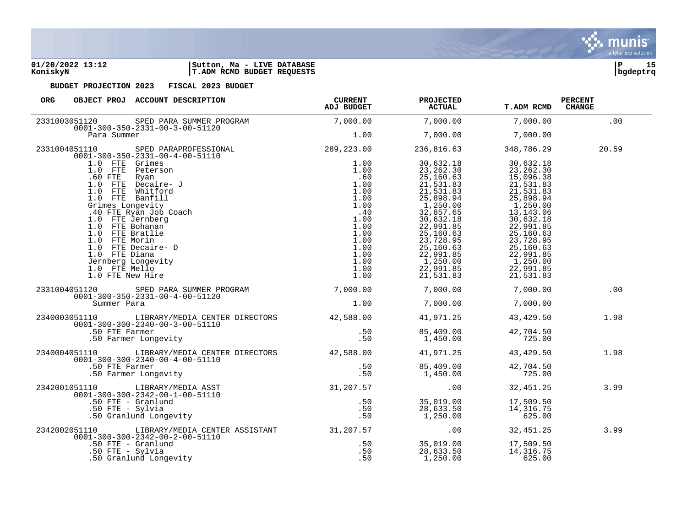**01/20/2022 13:12 |Sutton, Ma - LIVE DATABASE |P 15 KoniskyN |T.ADM RCMD BUDGET REQUESTS |bgdeptrq**

| ORG<br>OBJECT PROJ ACCOUNT DESCRIPTION                                                                                                                                                                                                                                                                                                                                                          | <b>CURRENT</b><br>ADJ BUDGET | <b>PROJECTED</b><br><b>ACTUAL</b>      | <b>T.ADM RCMD</b> | <b>PERCENT</b><br><b>CHANGE</b> |
|-------------------------------------------------------------------------------------------------------------------------------------------------------------------------------------------------------------------------------------------------------------------------------------------------------------------------------------------------------------------------------------------------|------------------------------|----------------------------------------|-------------------|---------------------------------|
|                                                                                                                                                                                                                                                                                                                                                                                                 |                              |                                        | 7,000.00          | .00                             |
| 2331003051120 SPED PARA SUMMER PROGRAM 7,000.00 7,000.00 7,000.00 7,000.00 7,000.00<br>0001-300-350-2331-00-3-00-51120 7,000.00 Para Summer Para Summer 1.00 7,000.00 7,000.00                                                                                                                                                                                                                  |                              |                                        |                   |                                 |
|                                                                                                                                                                                                                                                                                                                                                                                                 |                              |                                        |                   | 20.59                           |
| $\begin{tabular}{l c c c c} \multicolumn{4}{c}{\textbf{7,000.00}} & \multicolumn{4}{c}{\textbf{7,000.00}} & \multicolumn{4}{c}{\textbf{7,000.00}} & \multicolumn{4}{c}{\textbf{7,000.00}} & \multicolumn{4}{c}{\textbf{7,000.00}} & \multicolumn{4}{c}{\textbf{7,000.00}} & \multicolumn{4}{c}{\textbf{7,000.00}} & \multicolumn{4}{c}{\textbf{7,000.00}} & \multicolumn{4}{c}{\textbf{7,000.0$ |                              |                                        |                   |                                 |
|                                                                                                                                                                                                                                                                                                                                                                                                 |                              |                                        |                   |                                 |
|                                                                                                                                                                                                                                                                                                                                                                                                 |                              |                                        |                   |                                 |
|                                                                                                                                                                                                                                                                                                                                                                                                 |                              |                                        |                   |                                 |
| 2331004051120 SPED PARA SUMMER PROGRAM 7,000.00 7,000.00 7,000.00 7,000.00<br>$0001 - 300 - 350 - 2331 - 00 - 4 - 00 - 51120$                                                                                                                                                                                                                                                                   |                              |                                        |                   | .00                             |
| Summer Para                                                                                                                                                                                                                                                                                                                                                                                     |                              | $1.00$ $7,000.00$ $7,000.00$           |                   |                                 |
| 2340003051110 LIBRARY/MEDIA CENTER DIRECTORS 42,588.00 41,971.25 43,429.50<br>$0001 - 300 - 300 - 2340 - 00 - 3 - 00 - 51110$                                                                                                                                                                                                                                                                   |                              |                                        |                   | 1.98                            |
| 11-300-300-2340-00-3-00-51110<br>50 FTE Farmer (1990)<br>50 Farmer Longevity (1990)                                                                                                                                                                                                                                                                                                             |                              | 85,409.00 42,704.50<br>1,450.00 725.00 |                   |                                 |
| 2340004051110 LIBRARY/MEDIA CENTER DIRECTORS 42,588.00 41,971.25                                                                                                                                                                                                                                                                                                                                |                              |                                        | 43,429.50         | 1.98                            |
|                                                                                                                                                                                                                                                                                                                                                                                                 |                              | 85,409.00 42,704.50<br>1,450.00 725.00 |                   |                                 |
|                                                                                                                                                                                                                                                                                                                                                                                                 |                              |                                        |                   | 3.99                            |
| 2342001051110 LIBRARY/MEDIA ASST 0001-300-300-2342-00-1-00-51110 LIBRARY/MEDIA ASST 0001-300-300-2342-00-1-00-51110<br>0001-300-2342-00-1-00-51110 50 FTE - Granlund<br>50 FTE - Sylvia 50 FTE - Sylvia 50 FTE - Sylvia 50 FTE - S                                                                                                                                                              |                              |                                        |                   |                                 |
| 2342002051110 LIBRARY/MEDIA CENTER ASSISTANT 31, 207.57 00 32, 451.25                                                                                                                                                                                                                                                                                                                           |                              |                                        |                   | 3.99                            |
| 10001-300-300-2342-00-2-00-51110<br>50 FTE - Granlund<br>50 FTE - Sylvia<br>50 Granlund Longevity<br>50 Granlund Longevity<br>50 Granlund Longevity                                                                                                                                                                                                                                             |                              | 1,250.00                               | 625.00            |                                 |

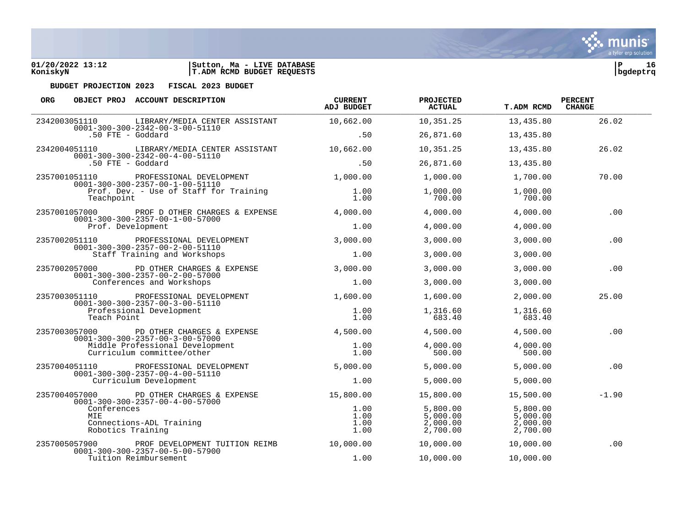| 01/20/2022 13:12 | <b>LIVE DATABASE</b><br>Ma -<br>  Sutton, |          |  |
|------------------|-------------------------------------------|----------|--|
| KoniskyN         | T.ADM RCMD BUDGET REQUESTS                | bgdeptrg |  |

| <b>ORG</b>                                                                                                             |                                                                                                            | OBJECT PROJ ACCOUNT DESCRIPTION                                                   | <b>CURRENT</b><br>ADJ BUDGET                 | <b>PROJECTED</b><br><b>ACTUAL</b>            | T.ADM RCMD         | <b>PERCENT</b><br><b>CHANGE</b> |
|------------------------------------------------------------------------------------------------------------------------|------------------------------------------------------------------------------------------------------------|-----------------------------------------------------------------------------------|----------------------------------------------|----------------------------------------------|--------------------|---------------------------------|
| 2342003051110                                                                                                          |                                                                                                            | LIBRARY/MEDIA CENTER ASSISTANT<br>$0001 - 300 - 300 - 2342 - 00 - 3 - 00 - 51110$ | 10,662.00                                    | 10,351.25                                    | 13,435.80          | 26.02                           |
|                                                                                                                        | .50 FTE - Goddard                                                                                          |                                                                                   | .50                                          | 26,871.60                                    | 13,435.80          |                                 |
| 2342004051110                                                                                                          |                                                                                                            | LIBRARY/MEDIA CENTER ASSISTANT<br>$0001 - 300 - 300 - 2342 - 00 - 4 - 00 - 51110$ | 10,662.00                                    | 10,351.25                                    | 13,435.80          | 26.02                           |
|                                                                                                                        | .50 FTE - Goddard                                                                                          |                                                                                   | .50                                          | 26,871.60                                    | 13,435.80          |                                 |
| 2357001051110                                                                                                          |                                                                                                            | PROFESSIONAL DEVELOPMENT<br>$0001 - 300 - 300 - 2357 - 00 - 1 - 00 - 51110$       | 1,000.00                                     | 1,000.00                                     | 1,700.00           | 70.00                           |
|                                                                                                                        | Teachpoint                                                                                                 | Prof. Dev. - Use of Staff for Training                                            | 1.00<br>1.00                                 | 1,000.00<br>700.00                           | 1,000.00<br>700.00 |                                 |
| 2357001057000                                                                                                          |                                                                                                            | PROF D OTHER CHARGES & EXPENSE<br>$0001 - 300 - 300 - 2357 - 00 - 1 - 00 - 57000$ | 4,000.00                                     | 4,000.00                                     | 4,000.00           | .00                             |
|                                                                                                                        | Prof. Development                                                                                          |                                                                                   | 1.00                                         | 4,000.00                                     | 4,000.00           |                                 |
| 2357002051110                                                                                                          |                                                                                                            | PROFESSIONAL DEVELOPMENT                                                          | 3,000.00                                     | 3,000.00                                     | 3,000.00           | .00                             |
|                                                                                                                        |                                                                                                            | $0001 - 300 - 300 - 2357 - 00 - 2 - 00 - 51110$<br>Staff Training and Workshops   | 1.00                                         | 3,000.00                                     | 3,000.00           |                                 |
| 2357002057000                                                                                                          | PD OTHER CHARGES & EXPENSE<br>$0001 - 300 - 300 - 2357 - 00 - 2 - 00 - 57000$<br>Conferences and Workshops | 3,000.00                                                                          | 3,000.00                                     | 3,000.00                                     | .00                |                                 |
|                                                                                                                        |                                                                                                            | 1.00                                                                              | 3,000.00                                     | 3,000.00                                     |                    |                                 |
| 2357003051110<br>$0001 - 300 - 300 - 2357 - 00 - 3 - 00 - 51110$<br>Teach Point                                        | PROFESSIONAL DEVELOPMENT                                                                                   | 1,600.00                                                                          | 1,600.00                                     | 2,000.00                                     | 25.00              |                                 |
|                                                                                                                        | Professional Development                                                                                   | 1.00<br>1.00                                                                      | 1,316.60<br>683.40                           | 1,316.60<br>683.40                           |                    |                                 |
| 2357003057000                                                                                                          |                                                                                                            | PD OTHER CHARGES & EXPENSE<br>$0001 - 300 - 300 - 2357 - 00 - 3 - 00 - 57000$     | 4,500.00                                     | 4,500.00                                     | 4,500.00           | .00                             |
|                                                                                                                        |                                                                                                            | Middle Professional Development<br>Curriculum committee/other                     | 1.00<br>1.00                                 | 4,000.00<br>500.00                           | 4,000.00<br>500.00 |                                 |
| 2357004051110                                                                                                          |                                                                                                            | PROFESSIONAL DEVELOPMENT<br>$0001 - 300 - 300 - 2357 - 00 - 4 - 00 - 51110$       | 5,000.00                                     | 5,000.00                                     | 5,000.00           | .00                             |
|                                                                                                                        |                                                                                                            | Curriculum Development                                                            | 1.00                                         | 5,000.00                                     | 5,000.00           |                                 |
| 2357004057000                                                                                                          |                                                                                                            | PD OTHER CHARGES & EXPENSE                                                        | 15,800.00                                    | 15,800.00                                    | 15,500.00          | $-1.90$                         |
| $0001 - 300 - 300 - 2357 - 00 - 4 - 00 - 57000$<br>Conferences<br>MIE<br>Connections-ADL Training<br>Robotics Training |                                                                                                            | 1.00<br>1.00<br>1.00<br>1.00                                                      | 5,800.00<br>5,000.00<br>2,000.00<br>2,700.00 | 5,800.00<br>5,000.00<br>2,000.00<br>2,700.00 |                    |                                 |
| 2357005057900                                                                                                          |                                                                                                            | PROF DEVELOPMENT TUITION REIMB<br>$0001 - 300 - 300 - 2357 - 00 - 5 - 00 - 57900$ | 10,000.00                                    | 10,000.00                                    | 10,000.00          | .00                             |
|                                                                                                                        |                                                                                                            | Tuition Reimbursement                                                             | 1.00                                         | 10,000.00                                    | 10,000.00          |                                 |

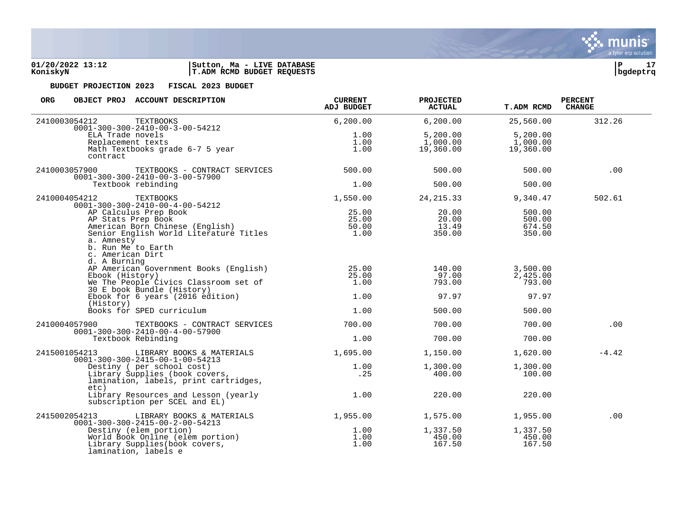

| <b>ORG</b><br>OBJECT PROJ ACCOUNT DESCRIPTION                                                                                                                                                                                             | <b>CURRENT</b><br>ADJ BUDGET    | <b>PROJECTED</b><br><b>ACTUAL</b> | <b>T.ADM RCMD</b>                    | <b>PERCENT</b><br><b>CHANGE</b> |
|-------------------------------------------------------------------------------------------------------------------------------------------------------------------------------------------------------------------------------------------|---------------------------------|-----------------------------------|--------------------------------------|---------------------------------|
| 2410003054212<br><b>TEXTBOOKS</b><br>$0001 - 300 - 300 - 2410 - 00 - 3 - 00 - 54212$                                                                                                                                                      | 6, 200.00                       | 6, 200.00                         | 25,560.00                            | 312.26                          |
| ELA Trade novels<br>Replacement texts<br>Math Textbooks grade 6-7 5 year<br>contract                                                                                                                                                      | 1.00<br>1.00<br>1.00            | 5,200.00<br>1,000.00<br>19,360.00 | 5,200.00<br>1,000.00<br>19,360.00    |                                 |
| 2410003057900<br>TEXTBOOKS - CONTRACT SERVICES<br>$0001 - 300 - 300 - 2410 - 00 - 3 - 00 - 57900$                                                                                                                                         | 500.00                          | 500.00                            | 500.00                               | .00                             |
| Textbook rebinding                                                                                                                                                                                                                        | 1.00                            | 500.00                            | 500.00                               |                                 |
| 2410004054212<br><b>TEXTBOOKS</b><br>$0001 - 300 - 300 - 2410 - 00 - 4 - 00 - 54212$                                                                                                                                                      | 1,550.00                        | 24, 215.33                        | 9,340.47                             | 502.61                          |
| AP Calculus Prep Book<br>AP Stats Prep Book<br>Ar Stats Frep Book<br>American Born Chinese (English)<br>Senior English World Literature Titles<br>American Born Chinese (English)<br>a. Amnesty<br>b. Run Me to Earth<br>c. American Dirt | 25.00<br>25.00<br>50.00<br>1.00 | 20.00<br>20.00<br>13.49<br>350.00 | 500.00<br>500.00<br>674.50<br>350.00 |                                 |
| d. A Burning<br>AP American Government Books (English)<br>Ebook (History)<br>We The People Civics Classroom set of<br>30 E book Bundle (History)                                                                                          | 25.00<br>25.00<br>1.00          | 140.00<br>97.00<br>793.00         | 3,500.00<br>2,425.00<br>793.00       |                                 |
| Ebook for 6 years (2016 edition)<br>(History)                                                                                                                                                                                             | 1.00                            | 97.97                             | 97.97                                |                                 |
| Books for SPED curriculum                                                                                                                                                                                                                 | 1.00                            | 500.00                            | 500.00                               |                                 |
| 2410004057900<br>TEXTBOOKS - CONTRACT SERVICES<br>$0001 - 300 - 300 - 2410 - 00 - 4 - 00 - 57900$                                                                                                                                         | 700.00                          | 700.00                            | 700.00                               | .00                             |
| Textbook Rebinding                                                                                                                                                                                                                        | 1.00                            | 700.00                            | 700.00                               |                                 |
| 2415001054213<br>LIBRARY BOOKS & MATERIALS<br>$0001 - 300 - 300 - 2415 - 00 - 1 - 00 - 54213$                                                                                                                                             | 1,695.00                        | 1,150.00                          | 1,620.00                             | $-4.42$                         |
| Destiny ( per school cost)<br>Library Supplies (book covers,<br>lamination, labels, print cartridges,<br>etc)                                                                                                                             | 1.00<br>.25                     | 1,300.00<br>400.00                | 1,300.00<br>100.00                   |                                 |
| Library Resources and Lesson (yearly<br>subscription per SCEL and EL)                                                                                                                                                                     | 1.00                            | 220.00                            | 220.00                               |                                 |
| 2415002054213<br>LIBRARY BOOKS & MATERIALS<br>$0001 - 300 - 300 - 2415 - 00 - 2 - 00 - 54213$                                                                                                                                             | 1,955.00                        | 1,575.00                          | 1,955.00                             | .00                             |
| J1-300-300-2315 ov 2 v.<br>Destiny (elem portion)<br>World Book Online (elem portion)<br>Library Supplies(book covers,<br>lamination, labels e                                                                                            | 1.00<br>1.00<br>1.00            | 1,337.50<br>450.00<br>167.50      | 1,337.50<br>450.00<br>167.50         |                                 |

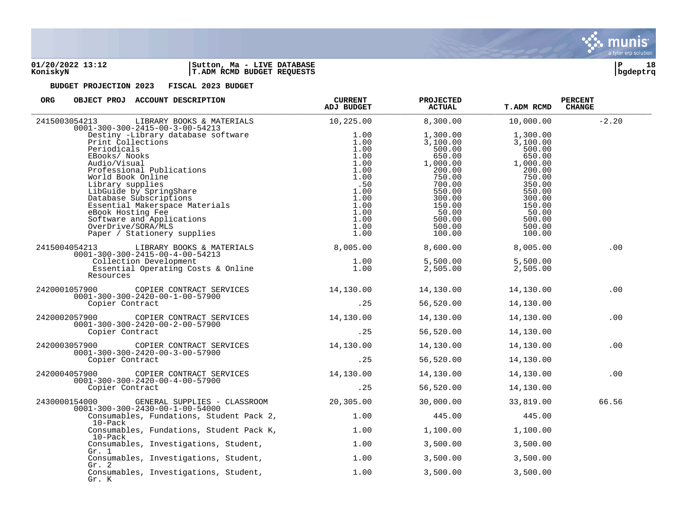

| ORG<br>OBJECT PROJ ACCOUNT DESCRIPTION                                                                                                                                                                                                                                                                                                                                                                                                                      | <b>CURRENT</b><br>ADJ BUDGET                                                                                        | <b>PROJECTED</b><br><b>ACTUAL</b>                                                                                                                       | <b>T.ADM RCMD</b>                                                                                                                                       | <b>PERCENT</b><br><b>CHANGE</b> |
|-------------------------------------------------------------------------------------------------------------------------------------------------------------------------------------------------------------------------------------------------------------------------------------------------------------------------------------------------------------------------------------------------------------------------------------------------------------|---------------------------------------------------------------------------------------------------------------------|---------------------------------------------------------------------------------------------------------------------------------------------------------|---------------------------------------------------------------------------------------------------------------------------------------------------------|---------------------------------|
| 2415003054213<br>LIBRARY BOOKS & MATERIALS                                                                                                                                                                                                                                                                                                                                                                                                                  | 10,225.00                                                                                                           | 8,300.00                                                                                                                                                | 10,000.00                                                                                                                                               | $-2.20$                         |
| $0001 - 300 - 300 - 2415 - 00 - 3 - 00 - 54213$<br>Destiny -Library database software<br>Print Collections<br>Periodicals<br>Periodicals<br>EBooks/Nooks<br>Audio/Visual<br>Professional Publications<br>World Book Online<br>Library supplies<br>Library supplies<br>Distance Subscriptions<br>Distantial Makerspace Materials<br>APOOK Hosting Fee<br>eBook Hosting Fee<br>Software and Applications<br>OverDrive/SORA/MLS<br>Paper / Stationery supplies | 1.00<br>1.00<br>1.00<br>1.00<br>1.00<br>1.00<br>1.00<br>.50<br>1.00<br>1.00<br>1.00<br>1.00<br>1.00<br>1.00<br>1.00 | 1,300.00<br>3,100.00<br>500.00<br>650.00<br>1,000.00<br>200.00<br>750.00<br>700.00<br>550.00<br>300.00<br>150.00<br>50.00<br>500.00<br>500.00<br>100.00 | 1,300.00<br>3,100.00<br>500.00<br>650.00<br>1,000.00<br>200.00<br>750.00<br>350.00<br>550.00<br>300.00<br>150.00<br>50.00<br>500.00<br>500.00<br>100.00 |                                 |
| LIBRARY BOOKS & MATERIALS 6,005.00<br>2415004054213                                                                                                                                                                                                                                                                                                                                                                                                         |                                                                                                                     | 8,600.00                                                                                                                                                | 8,005.00                                                                                                                                                | .00                             |
| $0001 - 300 - 300 - 2415 - 00 - 4 - 00 - 54213$<br>Collection Development<br>Essential Operating Costs & Online<br>Resources                                                                                                                                                                                                                                                                                                                                | 1.00<br>1.00                                                                                                        | 5,500.00<br>2,505.00                                                                                                                                    | 5,500.00<br>2,505.00                                                                                                                                    |                                 |
| 2420001057900<br>COPIER CONTRACT SERVICES<br>$0001 - 300 - 300 - 2420 - 00 - 1 - 00 - 57900$                                                                                                                                                                                                                                                                                                                                                                | 14,130.00                                                                                                           | 14,130.00                                                                                                                                               | 14,130.00                                                                                                                                               | .00                             |
| Copier Contract                                                                                                                                                                                                                                                                                                                                                                                                                                             | .25                                                                                                                 | 56,520.00                                                                                                                                               | 14,130.00                                                                                                                                               |                                 |
| 2420002057900 COPIER CONTRACT SERVICES<br>$0001 - 300 - 300 - 2420 - 00 - 2 - 00 - 57900$                                                                                                                                                                                                                                                                                                                                                                   | 14,130.00                                                                                                           | 14,130.00                                                                                                                                               | 14,130.00                                                                                                                                               | .00                             |
| Copier Contract                                                                                                                                                                                                                                                                                                                                                                                                                                             | .25                                                                                                                 | 56,520.00                                                                                                                                               | 14,130.00                                                                                                                                               |                                 |
| 2420003057900 COPIER CONTRACT SERVICES<br>$0001 - 300 - 300 - 2420 - 00 - 3 - 00 - 57900$                                                                                                                                                                                                                                                                                                                                                                   | 14,130.00                                                                                                           | 14,130.00                                                                                                                                               | 14,130.00                                                                                                                                               | .00                             |
| Copier Contract                                                                                                                                                                                                                                                                                                                                                                                                                                             | .25                                                                                                                 | 56,520.00                                                                                                                                               | 14,130.00                                                                                                                                               |                                 |
| COPIER CONTRACT SERVICES<br>2420004057900<br>$0001 - 300 - 300 - 2420 - 00 - 4 - 00 - 57900$                                                                                                                                                                                                                                                                                                                                                                | 14,130.00                                                                                                           | 14,130.00                                                                                                                                               | 14,130.00                                                                                                                                               | .00                             |
| Copier Contract                                                                                                                                                                                                                                                                                                                                                                                                                                             | .25                                                                                                                 | 56,520.00                                                                                                                                               | 14,130.00                                                                                                                                               |                                 |
| 2430000154000<br>GENERAL SUPPLIES - CLASSROOM<br>$0001 - 300 - 300 - 2430 - 00 - 1 - 00 - 54000$                                                                                                                                                                                                                                                                                                                                                            | 20,305.00                                                                                                           | 30,000.00                                                                                                                                               | 33,819.00                                                                                                                                               | 66.56                           |
| Consumables, Fundations, Student Pack 2,<br>$10$ -Pac $k$                                                                                                                                                                                                                                                                                                                                                                                                   | 1.00                                                                                                                | 445.00                                                                                                                                                  | 445.00                                                                                                                                                  |                                 |
| Consumables, Fundations, Student Pack K,<br>10-Pack                                                                                                                                                                                                                                                                                                                                                                                                         | 1.00                                                                                                                | 1,100.00                                                                                                                                                | 1,100.00                                                                                                                                                |                                 |
| Consumables, Investigations, Student,<br>Gr. 1                                                                                                                                                                                                                                                                                                                                                                                                              | 1.00                                                                                                                | 3,500.00                                                                                                                                                | 3,500.00                                                                                                                                                |                                 |
| Consumables, Investigations, Student,<br>Gr. 2                                                                                                                                                                                                                                                                                                                                                                                                              | 1.00                                                                                                                | 3,500.00                                                                                                                                                | 3,500.00                                                                                                                                                |                                 |
| Consumables, Investigations, Student,<br>Gr. K                                                                                                                                                                                                                                                                                                                                                                                                              | 1.00                                                                                                                | 3,500.00                                                                                                                                                | 3,500.00                                                                                                                                                |                                 |

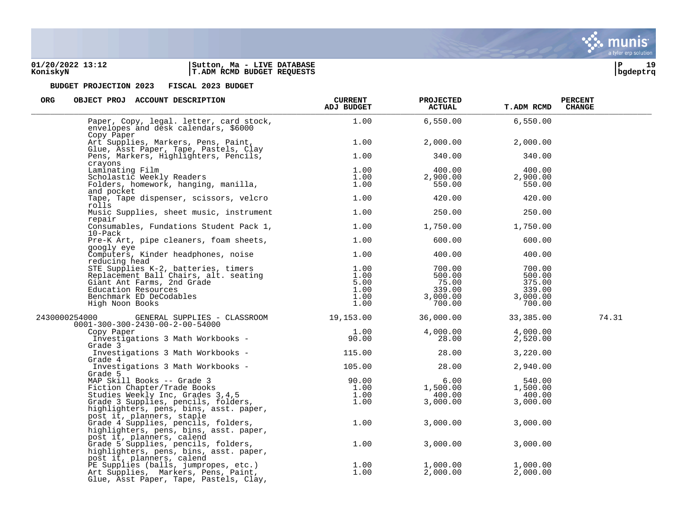### **01/20/2022 13:12 |Sutton, Ma - LIVE DATABASE |P 19 KoniskyN |T.ADM RCMD BUDGET REQUESTS |bgdeptrq**

munis a tyler erp solution

| ORG | OBJECT PROJ |  | ACCOUNT DESCRIPTION |
|-----|-------------|--|---------------------|

| ORG<br>OBJECT PROJ ACCOUNT DESCRIPTION                                                                                                                                                 | <b>CURRENT</b><br>ADJ BUDGET | <b>PROJECTED</b><br><b>ACTUAL</b> | <b>T.ADM RCMD</b> | <b>PERCENT</b><br><b>CHANGE</b> |
|----------------------------------------------------------------------------------------------------------------------------------------------------------------------------------------|------------------------------|-----------------------------------|-------------------|---------------------------------|
| Paper, Copy, legal. letter, card stock,<br>envelopes and desk calendars, \$6000<br>Copy Paper                                                                                          | 1.00                         | 6,550.00                          | 6,550.00          |                                 |
| Art Supplies, Markers, Pens, Paint,<br>Glue, Asst Paper, Tape, Pastels, Clay                                                                                                           | 1.00                         | 2,000.00                          | 2,000.00          |                                 |
| Pens, Markers, Highlighters, Pencils,                                                                                                                                                  | 1.00                         | 340.00                            | 340.00            |                                 |
| crayons<br>Laminating Film                                                                                                                                                             | 1.00                         | 400.00                            | 400.00            |                                 |
| Laminating Film<br>Scholastic Weekly Readers<br>Folders, homework, hanging, manilla,<br>Polonect                                                                                       | 1.00                         | 2,900.00                          | 2,900.00          |                                 |
|                                                                                                                                                                                        | 1.00                         | 550.00                            | 550.00            |                                 |
| and pocket                                                                                                                                                                             |                              |                                   |                   |                                 |
| Tape, Tape dispenser, scissors, velcro<br>rolls                                                                                                                                        | 1.00                         | 420.00                            | 420.00            |                                 |
| Music Supplies, sheet music, instrument<br>repair                                                                                                                                      | 1.00                         | 250.00                            | 250.00            |                                 |
| Consumables, Fundations Student Pack 1,<br>$10$ -Pac $k$                                                                                                                               | 1.00                         | 1,750.00                          | 1,750.00          |                                 |
| Pre-K Art, pipe cleaners, foam sheets,<br>googly eye                                                                                                                                   | 1.00                         | 600.00                            | 600.00            |                                 |
| Computers, Kinder headphones, noise<br>reducing head                                                                                                                                   | 1.00                         | 400.00                            | 400.00            |                                 |
| reducing head<br>STE Supplies K-2, batteries, timers<br>Replacement Ball Chairs, alt. seating<br>Giant Ant Farms, 2nd Grade<br>Education Resources<br>Benchmark ED DeCodables          | 1.00                         | 700.00                            | 700.00            |                                 |
|                                                                                                                                                                                        | 1.00                         | 500.00                            | 500.00            |                                 |
|                                                                                                                                                                                        | 5.00                         | 75.00                             | 375.00            |                                 |
|                                                                                                                                                                                        | 1.00                         | 339.00                            | 339.00            |                                 |
|                                                                                                                                                                                        | 1.00                         | 3,000.00                          | 3,000.00          |                                 |
| High Noon Books                                                                                                                                                                        | 1.00                         | 700.00                            | 700.00            |                                 |
| GENERAL SUPPLIES - CLASSROOM 19,153.00<br>2430000254000<br>$0001 - 300 - 300 - 2430 - 00 - 2 - 00 - 54000$                                                                             |                              | 36,000.00                         | 33,385.00         | 74.31                           |
| Copy Paper                                                                                                                                                                             | 1.00                         | 4,000.00                          | 4,000.00          |                                 |
| Investigations 3 Math Workbooks -<br>Grade 3                                                                                                                                           | 90.00                        | 28.00                             | 2,520.00          |                                 |
| Investigations 3 Math Workbooks -<br>Grade 4                                                                                                                                           | 115.00                       | 28.00                             | 3,220.00          |                                 |
| Investigations 3 Math Workbooks -<br>Trade 5<br>MAP Skill Books -- Grade 3<br>Fiction Chapter/Trade Books<br>Studies Weekly Inc, Grades 3,4,5<br>Andres Description Chapter of Studies | 105.00                       | 28.00                             | 2,940.00          |                                 |
|                                                                                                                                                                                        | 90.00                        | 6.00                              | 540.00            |                                 |
|                                                                                                                                                                                        | 1.00                         | 1,500.00                          | 1,500.00          |                                 |
|                                                                                                                                                                                        | 1.00                         | 400.00                            | 400.00            |                                 |
|                                                                                                                                                                                        | 1.00                         | 3,000.00                          | 3,000.00          |                                 |
| highlighters, pens, bins, asst. paper,<br>post it, planners, staple                                                                                                                    |                              |                                   |                   |                                 |
| Grade 4 Supplies, pencils, folders,<br>highlighters, pens, bins, asst. paper,<br>post it, planners, calend                                                                             | 1.00                         | 3,000.00                          | 3,000.00          |                                 |
| Grade 5 Supplies, pencils, folders,<br>highlighters, pens, bins, asst. paper,<br>post it, planners, calend                                                                             | 1.00                         | 3,000.00                          | 3,000.00          |                                 |
| PE Supplies (balls, jumpropes, etc.)                                                                                                                                                   | 1.00                         | 1,000.00                          | 1,000.00          |                                 |
| Art Supplies, Markers, Pens, Paint,<br>Glue, Asst Paper, Tape, Pastels, Clay,                                                                                                          | 1.00                         | 2,000.00                          | 2,000.00          |                                 |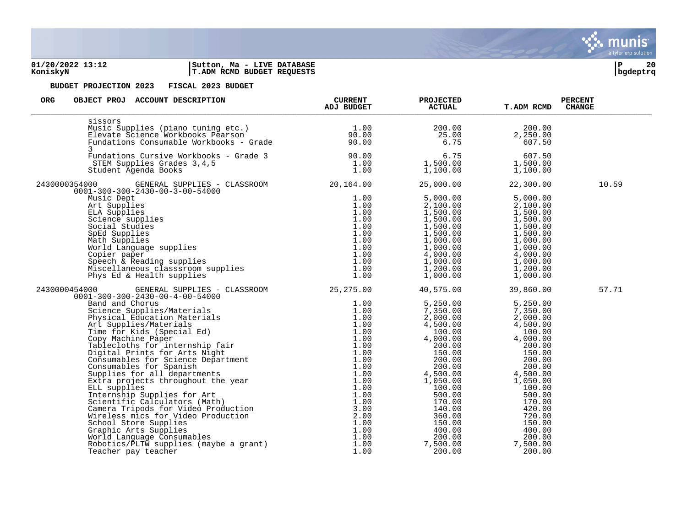### **01/20/2022 13:12 |Sutton, Ma - LIVE DATABASE |P 20 KoniskyN |T.ADM RCMD BUDGET REQUESTS |bgdeptrq**



| <b>ORG</b><br>OBJECT PROJ ACCOUNT DESCRIPTION                                                                                                                                                                                                    | <b>CURRENT</b><br>ADJ BUDGET | <b>PROJECTED</b><br><b>ACTUAL</b>                                                                                                                                                                                                                                                                  | <b>T.ADM RCMD</b>                                                                                                                                                                                                                                                                   | <b>PERCENT</b><br><b>CHANGE</b> |
|--------------------------------------------------------------------------------------------------------------------------------------------------------------------------------------------------------------------------------------------------|------------------------------|----------------------------------------------------------------------------------------------------------------------------------------------------------------------------------------------------------------------------------------------------------------------------------------------------|-------------------------------------------------------------------------------------------------------------------------------------------------------------------------------------------------------------------------------------------------------------------------------------|---------------------------------|
| sissors<br>1.00<br>Music Supplies (piano tuning etc.) 1.00<br>Elevate Science Workbooks Pearson 90.00<br>Fundations Consumable Workbooks - Grade 90.00<br>3                                                                                      |                              | $200.00$<br>$25.00$<br>$6.75$                                                                                                                                                                                                                                                                      | 200.00<br>2,250.00<br>607.50                                                                                                                                                                                                                                                        |                                 |
| Fundations Cursive Workbooks - Grade 3 (90.00)<br>STEM Supplies Grades 3,4,5 (1.00)<br>Student Agenda Books (1.00)                                                                                                                               |                              | $1,500.00$<br>$1,100.00$<br>$1,100.00$<br>$1,100.00$<br>$1,100.00$                                                                                                                                                                                                                                 |                                                                                                                                                                                                                                                                                     |                                 |
| 2430000354000 GENERAL SUPPLIES - CLASSROOM 20,164.00<br>$0001 - 300 - 300 - 2430 - 00 - 3 - 00 - 54000$                                                                                                                                          |                              | 25,000.00                                                                                                                                                                                                                                                                                          | 22,300.00                                                                                                                                                                                                                                                                           | 10.59                           |
|                                                                                                                                                                                                                                                  |                              | $\begin{array}{cccc} 5\,,\,0\,0\,0\,.\,0\,0\,\\ 2\,,\,1\,0\,0\,.\,0\,0\,\\ 1\,,\,5\,0\,0\,.\,0\,0\,\\ 1\,,\,5\,0\,0\,.\,0\,0\,\\ 1\,,\,5\,0\,0\,.\,0\,0\,\\ 1\,,\,5\,0\,0\,.\,0\,0\,\\ 1\,,\,5\,0\,0\,.\,0\,0\,\\ 1\,,\,5\,0\,0\,.\,0\,0\,\\ 1\,,\,5\,0\,0\,.\,0\,0$                               |                                                                                                                                                                                                                                                                                     |                                 |
| 2430000454000 GENERAL SUPPLIES - CLASSROOM 25,275.00 40,575.00                                                                                                                                                                                   |                              |                                                                                                                                                                                                                                                                                                    | 39,860.00                                                                                                                                                                                                                                                                           | 57.71                           |
| 454000 GENERAL SUPPLIES - CLASSROOM 25,275.00<br>0001-300-300-2430-00-4-00-54000<br>Band and Chorus<br>25,275.00<br>26,1000 Band and Chorus<br>26,1000 Science Supplies/Materials<br>21.00<br>20 Physical Education Materials<br>21.00<br>20 Phy |                              | $\begin{array}{cccc} 5,250.00 & 5,250.00 \\ 7,350.00 & 7,350.00 \\ 2,000.00 & 2,000.00 \\ 4,500.00 & 4,500.00 \\ 100.00 & 4,000.00 \\ 200.00 & 200.00 \\ 200.00 & 200.00 \\ 200.00 & 200.00 \\ 200.00 & 200.00 \\ 4,500.00 & 200.00 \\ 4,500.00 & 4,500.00 \\ 1,050.00 & 1,$<br>7,500.00<br>200.00 | $\begin{array}{cccc} 1,030.00 & & & & 1,030.00 \ 100.00 & & & & 100.00 \ 500.00 & & & & 100.00 \ 170.00 & & & & 170.00 \ 140.00 & & & & 170.00 \ 150.00 & & & & 120.00 \ 150.00 & & & & 150.00 \ 400.00 & & & & 150.00 \ 200.00 & & & & & 200.00 \end{array}$<br>7,500.00<br>200.00 |                                 |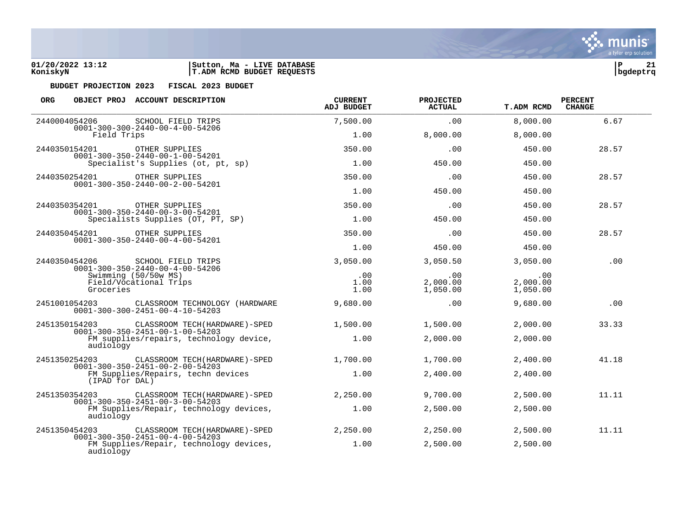

| <b>ORG</b>                                                                                                                                            |                | OBJECT PROJ ACCOUNT DESCRIPTION                                                      | <b>CURRENT</b><br><b>ADJ BUDGET</b> | PROJECTED<br><b>ACTUAL</b>  | <b>T.ADM RCMD</b> | <b>PERCENT</b><br><b>CHANGE</b> |
|-------------------------------------------------------------------------------------------------------------------------------------------------------|----------------|--------------------------------------------------------------------------------------|-------------------------------------|-----------------------------|-------------------|---------------------------------|
| 2440004054206                                                                                                                                         |                | SCHOOL FIELD TRIPS<br>$0001 - 300 - 300 - 2440 - 00 - 4 - 00 - 54206$                | 7,500.00                            | .00                         | 8,000.00          | 6.67                            |
|                                                                                                                                                       | Field Trips    |                                                                                      | 1.00                                | 8,000.00                    | 8,000.00          |                                 |
| 2440350154201                                                                                                                                         |                | OTHER SUPPLIES<br>$0001 - 300 - 350 - 2440 - 00 - 1 - 00 - 54201$                    | 350.00                              | .00                         | 450.00            | 28.57                           |
|                                                                                                                                                       |                | Specialist's Supplies (ot, pt, sp)                                                   | 1.00                                | 450.00                      | 450.00            |                                 |
| 2440350254201                                                                                                                                         |                | OTHER SUPPLIES                                                                       | 350.00                              | .00                         | 450.00            | 28.57                           |
|                                                                                                                                                       |                | $0001 - 300 - 350 - 2440 - 00 - 2 - 00 - 54201$                                      | 1.00                                | 450.00                      | 450.00            |                                 |
| 2440350354201                                                                                                                                         |                | OTHER SUPPLIES                                                                       | 350.00                              | .00                         | 450.00            | 28.57                           |
|                                                                                                                                                       |                | $0001 - 300 - 350 - 2440 - 00 - 3 - 00 - 54201$<br>Specialists Supplies (OT, PT, SP) | 1.00                                | 450.00                      | 450.00            |                                 |
| 2440350454201                                                                                                                                         |                | OTHER SUPPLIES<br>$0001 - 300 - 350 - 2440 - 00 - 4 - 00 - 54201$                    | 350.00                              | .00                         | 450.00            | 28.57                           |
|                                                                                                                                                       |                |                                                                                      | 1.00                                | 450.00                      | 450.00            |                                 |
| 2440350454206<br>SCHOOL FIELD TRIPS<br>$0001 - 300 - 350 - 2440 - 00 - 4 - 00 - 54206$<br>Swimming (50/50w MS)<br>Field/Vocational Trips<br>Groceries |                | 3,050.00                                                                             | 3,050.50                            | 3,050.00                    | .00               |                                 |
|                                                                                                                                                       |                | .00<br>1.00<br>1.00                                                                  | .00<br>2,000.00<br>1,050.00         | .00<br>2,000.00<br>1,050.00 |                   |                                 |
| 2451001054203                                                                                                                                         |                | CLASSROOM TECHNOLOGY (HARDWARE<br>$0001 - 300 - 300 - 2451 - 00 - 4 - 10 - 54203$    | 9,680.00                            | .00                         | 9,680.00          | .00                             |
| 2451350154203                                                                                                                                         |                | CLASSROOM TECH (HARDWARE)-SPED<br>$0001 - 300 - 350 - 2451 - 00 - 1 - 00 - 54203$    | 1,500.00                            | 1,500.00                    | 2,000.00          | 33.33                           |
|                                                                                                                                                       | audiology      | FM supplies/repairs, technology device,                                              | 1.00                                | 2,000.00                    | 2,000.00          |                                 |
| 2451350254203                                                                                                                                         |                | CLASSROOM TECH (HARDWARE) - SPED<br>$0001 - 300 - 350 - 2451 - 00 - 2 - 00 - 54203$  | 1,700.00                            | 1,700.00                    | 2,400.00          | 41.18                           |
|                                                                                                                                                       | (IPAD for DAL) | FM Supplies/Repairs, techn devices                                                   | 1.00                                | 2,400.00                    | 2,400.00          |                                 |
| 2451350354203                                                                                                                                         |                | CLASSROOM TECH (HARDWARE) - SPED<br>$0001 - 300 - 350 - 2451 - 00 - 3 - 00 - 54203$  | 2,250.00                            | 9,700.00                    | 2,500.00          | 11.11                           |
|                                                                                                                                                       | audiology      | FM Supplies/Repair, technology devices,                                              | 1.00                                | 2,500.00                    | 2,500.00          |                                 |
| 2451350454203                                                                                                                                         |                | CLASSROOM TECH (HARDWARE) - SPED<br>$0001 - 300 - 350 - 2451 - 00 - 4 - 00 - 54203$  | 2,250.00                            | 2,250.00                    | 2,500.00          | 11.11                           |
|                                                                                                                                                       | audiology      | FM Supplies/Repair, technology devices,                                              | 1.00                                | 2,500.00                    | 2,500.00          |                                 |



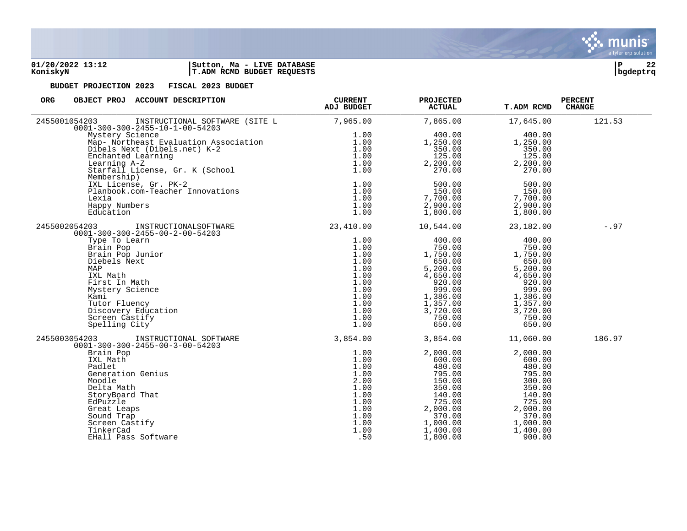

| ORG<br>OBJECT PROJ ACCOUNT DESCRIPTION                                                                                                         | <b>CURRENT</b><br><b>ADJ BUDGET</b> | <b>PROJECTED</b><br><b>ACTUAL</b> | <b>T.ADM RCMD</b> | <b>PERCENT</b><br><b>CHANGE</b> |
|------------------------------------------------------------------------------------------------------------------------------------------------|-------------------------------------|-----------------------------------|-------------------|---------------------------------|
| 2455001054203<br>INSTRUCTIONAL SOFTWARE (SITE L<br>$0001 - 300 - 300 - 2455 - 10 - 1 - 00 - 54203$                                             | 7,965.00                            | 7,865.00                          | 17,645.00         | 121.53                          |
| Mystery Science                                                                                                                                | 1.00                                | 400.00                            | 400.00            |                                 |
| Map- Northeast Evaluation Association<br>Dibels Next (Dibels.net) K-2<br>Enchanted Learning<br>Learning A-Z<br>Starfall License, Gr. K (School | 1.00                                | 1,250.00                          | 1,250.00          |                                 |
|                                                                                                                                                | 1.00                                | 350.00                            | 350.00            |                                 |
|                                                                                                                                                | 1.00                                | 125.00                            | 125.00            |                                 |
|                                                                                                                                                | 1.00                                | 2,200.00                          | 2,200.00          |                                 |
|                                                                                                                                                | 1.00                                | 270.00                            | 270.00            |                                 |
| Membership)                                                                                                                                    |                                     |                                   |                   |                                 |
| IXL License, Gr. PK-2                                                                                                                          | 1.00                                | 500.00                            | 500.00            |                                 |
| Planbook.com-Teacher Innovations                                                                                                               | 1.00                                | 150.00                            | 150.00            |                                 |
| Lexia                                                                                                                                          | 1.00                                | 7,700.00                          | 7,700.00          |                                 |
| Happy Numbers                                                                                                                                  | 1.00                                | 2,900.00                          | 2,900.00          |                                 |
| Education                                                                                                                                      | 1.00                                | 1,800.00                          | 1,800.00          |                                 |
| INSTRUCTIONALSOFTWARE<br>2455002054203<br>$0001 - 300 - 300 - 2455 - 00 - 2 - 00 - 54203$                                                      | 23,410.00                           | 10,544.00                         | 23,182.00         | $-.97$                          |
| Type To Learn                                                                                                                                  | 1.00                                | 400.00                            | 400.00            |                                 |
| Brain Pop                                                                                                                                      | 1.00                                | 750.00                            | 750.00            |                                 |
| Brain Pop Junior                                                                                                                               | 1.00                                | 1,750.00                          | 1,750.00          |                                 |
| Diebels Next                                                                                                                                   | 1.00                                | 650.00                            | 650.00            |                                 |
| MAP                                                                                                                                            | 1.00                                | 5,200.00                          | 5,200.00          |                                 |
| IXL Math                                                                                                                                       | 1.00                                | 4,650.00                          | 4,650.00          |                                 |
| First In Math                                                                                                                                  | 1.00                                | 920.00                            | 920.00            |                                 |
| Mystery Science                                                                                                                                | 1.00                                | 999.00                            | 999.00            |                                 |
| Kami                                                                                                                                           | 1.00                                | 1,386.00                          | 1,386.00          |                                 |
| Tutor Fluency                                                                                                                                  | 1.00                                | 1,357.00                          | 1,357.00          |                                 |
| Discovery Education                                                                                                                            | 1.00                                | 3,720.00                          | 3,720.00          |                                 |
| Screen Castify                                                                                                                                 | 1.00                                | 750.00                            | 750.00            |                                 |
| Spelling City                                                                                                                                  | 1.00                                | 650.00                            | 650.00            |                                 |
| 2455003054203<br>INSTRUCTIONAL SOFTWARE<br>$0001 - 300 - 300 - 2455 - 00 - 3 - 00 - 54203$                                                     | 3,854.00                            | 3,854.00                          | 11,060.00         | 186.97                          |
| Brain Pop                                                                                                                                      | 1.00                                | 2,000.00                          | 2,000.00          |                                 |
| IXL Math                                                                                                                                       | 1.00                                | 600.00                            | 600.00            |                                 |
| Padlet                                                                                                                                         | 1.00                                | 480.00                            | 480.00            |                                 |
| Generation Genius                                                                                                                              | 1.00                                | 795.00                            | 795.00            |                                 |
| Moodle                                                                                                                                         | 2.00                                | 150.00                            | 300.00            |                                 |
| Delta Math                                                                                                                                     | 1.00                                | 350.00                            | 350.00            |                                 |
| StoryBoard That                                                                                                                                | 1.00                                | 140.00                            | 140.00            |                                 |
| EdPuzzle                                                                                                                                       | 1.00                                | 725.00                            | 725.00            |                                 |
| Great Leaps                                                                                                                                    | 1.00                                | 2,000.00                          | 2,000.00          |                                 |
| Sound Trap                                                                                                                                     | 1.00                                | 370.00                            | 370.00            |                                 |
| Screen Castify                                                                                                                                 | 1.00                                | 1,000.00                          | 1,000.00          |                                 |
| TinkerCad                                                                                                                                      | 1.00                                | 1,400.00                          | 1,400.00          |                                 |
| EHall Pass Software                                                                                                                            | .50                                 | 1,800.00                          | 900.00            |                                 |

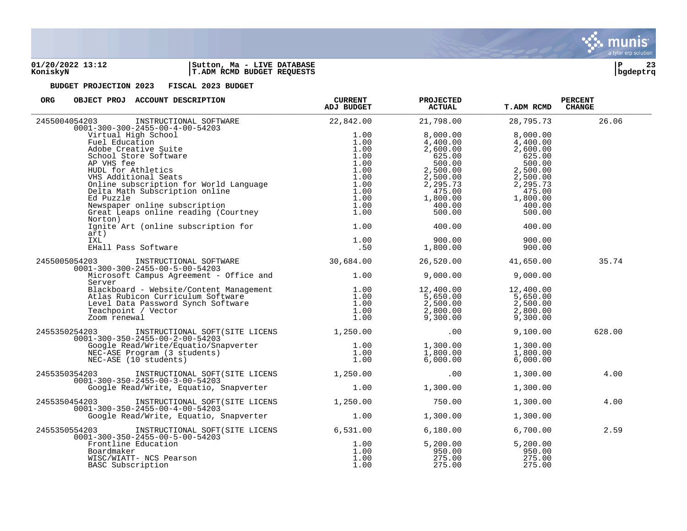

| ORG<br>OBJECT PROJ ACCOUNT DESCRIPTION                                                                                                                                                                                                                        | <b>CURRENT</b><br>ADJ BUDGET | <b>PROJECTED</b><br><b>ACTUAL</b>                                           | <b>T.ADM RCMD</b> | <b>PERCENT</b><br><b>CHANGE</b> |
|---------------------------------------------------------------------------------------------------------------------------------------------------------------------------------------------------------------------------------------------------------------|------------------------------|-----------------------------------------------------------------------------|-------------------|---------------------------------|
| 2455004054203<br>$0001 - 300 - 300 - 2455 - 00 - 4 - 00 - 54203$                                                                                                                                                                                              | 22,842.00                    | 21,798.00                                                                   | 28,795.73         | 26.06                           |
|                                                                                                                                                                                                                                                               |                              | 8,000.00                                                                    | 8,000.00          |                                 |
|                                                                                                                                                                                                                                                               |                              | 4,400.00                                                                    | 4,400.00          |                                 |
|                                                                                                                                                                                                                                                               |                              | 2,600.00                                                                    | 2,600.00          |                                 |
|                                                                                                                                                                                                                                                               |                              | ,000.00<br>625.00<br>500.00                                                 | 625.00            |                                 |
|                                                                                                                                                                                                                                                               |                              |                                                                             | 500.00            |                                 |
|                                                                                                                                                                                                                                                               |                              |                                                                             | 2,500.00          |                                 |
|                                                                                                                                                                                                                                                               |                              |                                                                             | 2,500.00          |                                 |
|                                                                                                                                                                                                                                                               |                              | 2,500.00<br>2,500.00<br>2,295.73<br>475.00                                  | 2,295.73          |                                 |
|                                                                                                                                                                                                                                                               |                              |                                                                             | 475.00            |                                 |
|                                                                                                                                                                                                                                                               |                              |                                                                             | 1,800.00          |                                 |
|                                                                                                                                                                                                                                                               |                              |                                                                             | 400.00            |                                 |
| 01-300-300-2455-00-4-00-54203<br>Virtual High School 1.00<br>Fuel Education 1.00<br>Adobe Creative Suite 1.00<br>School Store Software 1.00<br>AP VHS fee 1.00<br>AP VHS fee 1.00<br>AP VHS fee 1.00<br>AP VHS fee 1.00<br>AP VHS fee 1.00<br>AD V<br>Norton) | $\frac{1.00}{1.00}$          | $1,800.00$<br>400.00<br>500.00                                              | 500.00            |                                 |
| Ignite Art (online subscription for 1.00<br>art)                                                                                                                                                                                                              |                              | 400.00                                                                      | 400.00            |                                 |
| IXL                                                                                                                                                                                                                                                           |                              | 900.00                                                                      | 900.00            |                                 |
| EHall Pass Software                                                                                                                                                                                                                                           | $1.00$<br>.50<br>.50         | 1,800.00                                                                    | 900.00            |                                 |
| INSTRUCTIONAL SOFTWARE 30,684.00<br>2455005054203<br>$0001 - 300 - 300 - 2455 - 00 - 5 - 00 - 54203$                                                                                                                                                          |                              | 26,520.00                                                                   | 41,650.00         | 35.74                           |
| Microsoft Campus Agreement - Office and 1.00<br>Server                                                                                                                                                                                                        |                              | 9,000.00                                                                    | 9,000.00          |                                 |
|                                                                                                                                                                                                                                                               |                              |                                                                             | 12,400.00         |                                 |
|                                                                                                                                                                                                                                                               |                              |                                                                             | 5,650.00          |                                 |
|                                                                                                                                                                                                                                                               |                              |                                                                             | 2,500.00          |                                 |
|                                                                                                                                                                                                                                                               |                              |                                                                             | 2,800.00          |                                 |
| Elackboard - Website/Content Management<br>Atlas Rubicon Curriculum Software<br>Level Data Password Synch Software<br>Teachpoint / Vector<br>Zoom renewal<br>1.00<br>2000 renewal<br>1.00                                                                     |                              | $12$ , $400.00$<br>5, $650.00$<br>2, $500.00$<br>2, $800.00$<br>9, $300.00$ | 9,300.00          |                                 |
| INSTRUCTIONAL SOFT(SITE LICENS 1,250.00 100<br>2455350254203<br>$0001 - 300 - 350 - 2455 - 00 - 2 - 00 - 54203$                                                                                                                                               |                              |                                                                             | 9,100.00          | 628.00                          |
| J1-300-350-2455-00-24-00-34-203<br>Google Read/Write/Equatio/Snapverter 1.00<br>NEC-ASE Program (3 students) 1.00<br>NEC-ASE (10 students) 1.00                                                                                                               |                              | 1,300.00                                                                    | 1,300.00          |                                 |
|                                                                                                                                                                                                                                                               |                              | 1,800.00                                                                    | 1,800.00          |                                 |
|                                                                                                                                                                                                                                                               |                              | 6,000.00                                                                    | 6,000.00          |                                 |
|                                                                                                                                                                                                                                                               |                              |                                                                             |                   |                                 |
| INSTRUCTIONAL SOFT(SITE LICENS 1,250.00<br>2455350354203<br>$0001 - 300 - 350 - 2455 - 00 - 3 - 00 - 54203$                                                                                                                                                   |                              | .00                                                                         | 1,300.00          | 4.00                            |
| Google Read/Write, Equatio, Snapverter 1.00                                                                                                                                                                                                                   |                              | 1,300.00                                                                    | 1,300.00          |                                 |
| INSTRUCTIONAL SOFT(SITE LICENS 1,250.00<br>2455350454203<br>$0001 - 300 - 350 - 2455 - 00 - 4 - 00 - 54203$                                                                                                                                                   |                              | 750.00                                                                      | 1,300.00          | 4.00                            |
| Google Read/Write, Equatio, Snapverter 1.00                                                                                                                                                                                                                   |                              | 1,300.00                                                                    | 1,300.00          |                                 |
| 2455350554203 INSTRUCTIONAL SOFT(SITE LICENS 6,531.00<br>$0001 - 300 - 350 - 2455 - 00 - 5 - 00 - 54203$                                                                                                                                                      |                              | 6,180.00                                                                    | 6,700.00          | 2.59                            |
| Frontline Education                                                                                                                                                                                                                                           | 1.00                         | 5,200.00                                                                    | 5,200.00          |                                 |
| Boardmaker                                                                                                                                                                                                                                                    | 1.00                         | 950.00                                                                      | 950.00            |                                 |
| WISC/WIATT- NCS Pearson                                                                                                                                                                                                                                       | 1.00                         | 275.00                                                                      | 275.00            |                                 |
| BASC Subscription                                                                                                                                                                                                                                             | 1.00                         | 275.00                                                                      | 275.00            |                                 |

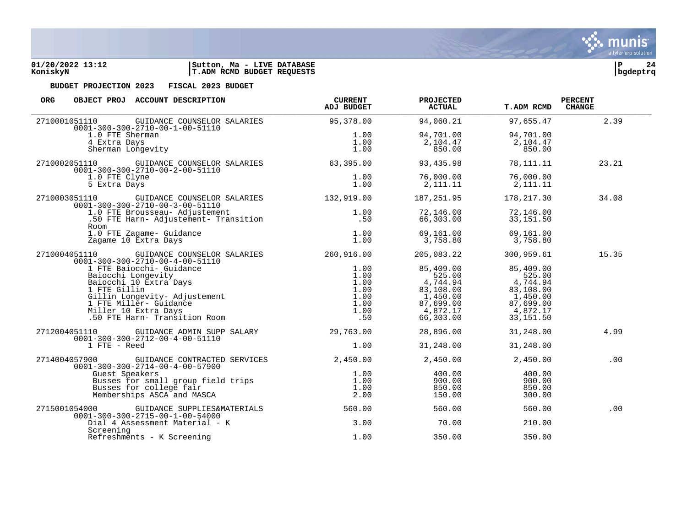

| <b>ORG</b>    | OBJECT PROJ ACCOUNT DESCRIPTION                                                                                                                                                                                                   | <b>CURRENT</b><br><b>ADJ BUDGET</b> | <b>PROJECTED</b><br><b>ACTUAL</b> | <b>T.ADM RCMD</b>     | <b>PERCENT</b><br><b>CHANGE</b> |
|---------------|-----------------------------------------------------------------------------------------------------------------------------------------------------------------------------------------------------------------------------------|-------------------------------------|-----------------------------------|-----------------------|---------------------------------|
| 2710001051110 | GUIDANCE COUNSELOR SALARIES<br>$0001 - 300 - 300 - 2710 - 00 - 1 - 00 - 51110$                                                                                                                                                    | 95,378.00                           | 94,060.21                         | 97,655.47             | 2.39                            |
|               | 1.0 FTE Sherman                                                                                                                                                                                                                   |                                     | 94,701.00                         | 94,701.00             |                                 |
|               | 4 Extra Days                                                                                                                                                                                                                      |                                     | 2,104.47                          | 2,104.47              |                                 |
|               | $1.00$<br>$1.00$<br>$1.00$<br>Sherman Longevity                                                                                                                                                                                   |                                     | 850.00                            | 850.00                |                                 |
|               | 2710002051110 GUIDANCE COUNSELOR SALARIES<br>$0001 - 300 - 300 - 2710 - 00 - 2 - 00 - 51110$                                                                                                                                      | 63,395.00                           | 93,435.98                         | 78,111.11             | 23.21                           |
|               | 1.0 FTE Clyne                                                                                                                                                                                                                     | 1.00                                | 76,000.00                         | 76,000.00             |                                 |
|               | 5 Extra Days                                                                                                                                                                                                                      | 1.00                                | 2,111.11                          | 2,111.11              |                                 |
|               | 2710003051110 GUIDANCE COUNSELOR SALARIES 132,919.00<br>$0001 - 300 - 300 - 2710 - 00 - 3 - 00 - 51110$                                                                                                                           |                                     | 187,251.95                        | 178,217.30            | 34.08                           |
|               | 1.0 FTE Brousseau- Adjustement                                                                                                                                                                                                    | 1.00                                | 72,146.00                         | 72,146.00             |                                 |
|               |                                                                                                                                                                                                                                   | .50                                 | 66,303.00                         | 33, 151.50            |                                 |
|               | 1.0 FTE Zagame- Guidance                                                                                                                                                                                                          | 1.00                                | 69,161.00                         | 69,161.00             |                                 |
|               | Zagame 10 Extra Days                                                                                                                                                                                                              | 1.00                                | 3,758.80                          | 3,758.80              |                                 |
|               | 2710004051110 GUIDANCE COUNSELOR SALARIES 260,916.00<br>$0001 - 300 - 300 - 2710 - 00 - 4 - 00 - 51110$                                                                                                                           |                                     | 205,083.22                        | 300,959.61            | 15.35                           |
|               |                                                                                                                                                                                                                                   | 1.00                                | 85,409.00                         | 85,409.00             |                                 |
|               |                                                                                                                                                                                                                                   | 1.00                                | 525.00                            | 525.00                |                                 |
|               |                                                                                                                                                                                                                                   | 1.00<br>1.00                        | 4,744.94<br>83,108.00             | 4,744.94              |                                 |
|               |                                                                                                                                                                                                                                   | 1.00                                | 1,450.00                          | 83,108.00<br>1,450.00 |                                 |
|               |                                                                                                                                                                                                                                   | 1.00                                | 87,699.00                         | 87,699.00             |                                 |
|               |                                                                                                                                                                                                                                   | 1.00                                | 4,872.17                          | 4,872.17              |                                 |
|               | Un-Suo-Suo-Zindone<br>1 FTE Baiocchi- Guidance<br>Baiocchi Longevity<br>Baiocchi 10 Extra Days<br>1 FTE Gillin<br>Gillin Longevity- Adjustement<br>6 TTE Miller- Guidance<br>Miller 10 Extra Days<br>50 FTE Harn- Transition Room | .50                                 | 66,303.00                         | 33, 151.50            |                                 |
|               | 2712004051110 GUIDANCE ADMIN SUPP SALARY<br>$0001 - 300 - 300 - 2712 - 00 - 4 - 00 - 51110$                                                                                                                                       | 29,763,00                           | 28,896.00                         | 31,248.00             | 4.99                            |
|               | 1 FTE - Reed                                                                                                                                                                                                                      | 1.00                                | 31,248.00                         | 31,248.00             |                                 |
| 2714004057900 | GUIDANCE CONTRACTED SERVICES<br>$0001 - 300 - 300 - 2714 - 00 - 4 - 00 - 57900$                                                                                                                                                   | 2,450.00                            | 2,450.00                          | 2,450.00              | .00                             |
|               | Guest Speakers                                                                                                                                                                                                                    | 1.00                                | 400.00                            | 400.00                |                                 |
|               | Busses for small group field trips                                                                                                                                                                                                | 1.00                                | 900.00                            | 900.00                |                                 |
|               | Busses for college fair<br>Memberships ASCA and MASCA                                                                                                                                                                             | 1.00<br>2.00                        | 850.00<br>150.00                  | 850.00<br>300.00      |                                 |
|               |                                                                                                                                                                                                                                   |                                     |                                   |                       |                                 |
| 2715001054000 | GUIDANCE SUPPLIES&MATERIALS<br>$0001 - 300 - 300 - 2715 - 00 - 1 - 00 - 54000$                                                                                                                                                    | 560.00                              | 560.00                            | 560.00                | .00                             |
|               | Dial 4 Assessment Material - K                                                                                                                                                                                                    | 3.00                                | 70.00                             | 210.00                |                                 |
|               | Screening<br>Refreshments - K Screening                                                                                                                                                                                           | 1.00                                | 350.00                            | 350.00                |                                 |

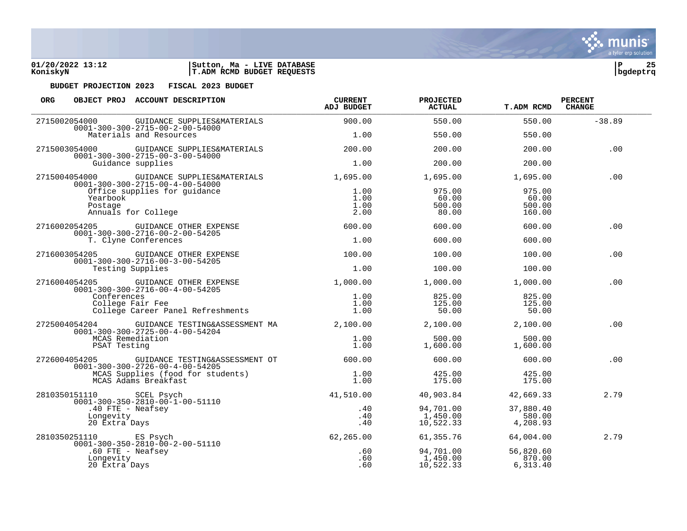

| <b>ORG</b>                                                                                           | OBJECT PROJ ACCOUNT DESCRIPTION                                                              | <b>CURRENT</b><br><b>ADJ BUDGET</b> | <b>PROJECTED</b><br><b>ACTUAL</b>  | <b>T.ADM RCMD</b>                   | <b>PERCENT</b><br><b>CHANGE</b> |
|------------------------------------------------------------------------------------------------------|----------------------------------------------------------------------------------------------|-------------------------------------|------------------------------------|-------------------------------------|---------------------------------|
| 2715002054000                                                                                        | GUIDANCE SUPPLIES&MATERIALS<br>$0001 - 300 - 300 - 2715 - 00 - 2 - 00 - 54000$               | 900.00                              | 550.00                             | 550.00                              | $-38.89$                        |
|                                                                                                      | Materials and Resources                                                                      | 1.00                                | 550.00                             | 550.00                              |                                 |
| 2715003054000                                                                                        | GUIDANCE SUPPLIES&MATERIALS<br>$0001 - 300 - 300 - 2715 - 00 - 3 - 00 - 54000$               | 200.00                              | 200.00                             | 200.00                              | .00                             |
|                                                                                                      | Guidance supplies                                                                            | 1.00                                | 200.00                             | 200.00                              |                                 |
|                                                                                                      | 2715004054000 GUIDANCE SUPPLIES&MATERIALS<br>$0001 - 300 - 300 - 2715 - 00 - 4 - 00 - 54000$ | 1,695.00                            | 1,695.00                           | 1,695.00                            | .00                             |
| Yearbook<br>Postage                                                                                  | Office supplies for quidance<br>Annuals for College                                          | 1.00<br>1.00<br>1.00<br>2.00        | 975.00<br>60.00<br>500.00<br>80.00 | 975.00<br>60.00<br>500.00<br>160.00 |                                 |
| 2716002054205                                                                                        | GUIDANCE OTHER EXPENSE<br>$0001 - 300 - 300 - 2716 - 00 - 2 - 00 - 54205$                    | 600.00                              | 600.00                             | 600.00                              | .00                             |
|                                                                                                      | T. Clyne Conferences                                                                         | 1.00                                | 600.00                             | 600.00                              |                                 |
| 2716003054205                                                                                        | GUIDANCE OTHER EXPENSE<br>$0001 - 300 - 300 - 2716 - 00 - 3 - 00 - 54205$                    | 100.00                              | 100.00                             | 100.00                              | .00                             |
| Testing Supplies                                                                                     | 1.00                                                                                         | 100.00                              | 100.00                             |                                     |                                 |
| 2716004054205                                                                                        | GUIDANCE OTHER EXPENSE<br>$0001 - 300 - 300 - 2716 - 00 - 4 - 00 - 54205$                    | 1,000.00                            | 1,000.00                           | 1,000.00                            | .00                             |
| Conferences<br>College Fair Fee<br>College Career Panel Refreshments                                 |                                                                                              | 1.00<br>1.00<br>1.00                | 825.00<br>125.00<br>50.00          | 825.00<br>125.00<br>50.00           |                                 |
| 2725004054204                                                                                        | GUIDANCE TESTING&ASSESSMENT MA<br>$0001 - 300 - 300 - 2725 - 00 - 4 - 00 - 54204$            | 2,100.00                            | 2,100.00                           | 2,100.00                            | .00                             |
| PSAT Testing                                                                                         | MCAS Remediation                                                                             | 1.00<br>1.00                        | 500.00<br>1,600.00                 | 500.00<br>1,600.00                  |                                 |
| 2726004054205                                                                                        | GUIDANCE TESTING&ASSESSMENT OT<br>$0001 - 300 - 300 - 2726 - 00 - 4 - 00 - 54205$            | 600.00                              | 600.00                             | 600.00                              | .00                             |
|                                                                                                      | MCAS Supplies (food for students)<br>MCAS Adams Breakfast                                    | 1.00<br>1.00                        | 425.00<br>175.00                   | 425.00<br>175.00                    |                                 |
| 2810350151110 SCEL Psych                                                                             |                                                                                              | 41,510.00                           | 40,903.84                          | 42,669.33                           | 2.79                            |
| $0001 - 300 - 350 - 2810 - 00 - 1 - 00 - 51110$<br>$.40$ FTE - Neafsey<br>Longevity<br>20 Extra Days |                                                                                              | .40<br>.40<br>.40                   | 94,701.00<br>1,450.00<br>10,522.33 | 37,880.40<br>580.00<br>4,208.93     |                                 |
| 2810350251110 ES Psych                                                                               | $0001 - 300 - 350 - 2810 - 00 - 2 - 00 - 51110$                                              | 62,265.00                           | 61,355.76                          | 64,004.00                           | 2.79                            |
| Longevity<br>20 Extra Days                                                                           | $.60$ FTE - Neafsey                                                                          | .60<br>.60<br>.60                   | 94,701.00<br>1,450.00<br>10,522.33 | 56,820.60<br>870.00<br>6, 313.40    |                                 |

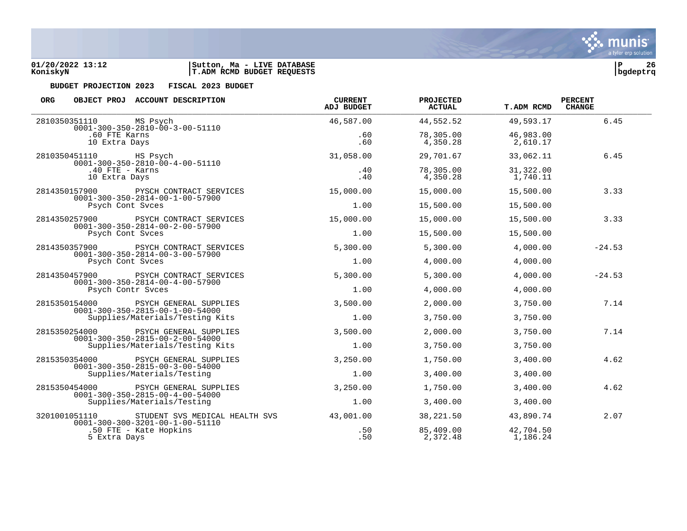

| ORG                                                                 | OBJECT PROJ ACCOUNT DESCRIPTION                                                          | <b>CURRENT</b><br>ADJ BUDGET | <b>PROJECTED</b><br><b>ACTUAL</b> | <b>T.ADM RCMD</b>     | <b>PERCENT</b><br><b>CHANGE</b> |
|---------------------------------------------------------------------|------------------------------------------------------------------------------------------|------------------------------|-----------------------------------|-----------------------|---------------------------------|
| 2810350351110                                                       | MS Psych<br>$0001 - 300 - 350 - 2810 - 00 - 3 - 00 - 51110$                              | 46,587.00                    | 44,552.52                         | 49,593.17             | 6.45                            |
| .60 FTE Karns<br>10 Extra Days                                      |                                                                                          | .60<br>.60                   | 78,305.00<br>4,350.28             | 46,983.00<br>2,610.17 |                                 |
| 2810350451110 HS Psych                                              | $0001 - 300 - 350 - 2810 - 00 - 4 - 00 - 51110$                                          | 31,058.00                    | 29,701.67                         | 33,062.11             | 6.45                            |
| 10 Extra Days                                                       | $.40$ FTE - Karns                                                                        | .40<br>.40                   | 78,305.00<br>4,350.28             | 31,322.00<br>1,740.11 |                                 |
|                                                                     | 2814350157900 PYSCH CONTRACT SERVICES<br>$0001 - 300 - 350 - 2814 - 00 - 1 - 00 - 57900$ | 15,000.00                    | 15,000.00                         | 15,500.00             | 3.33                            |
|                                                                     | Psych Cont Svces                                                                         | 1.00                         | 15,500.00                         | 15,500.00             |                                 |
| 2814350257900                                                       | PSYCH CONTRACT SERVICES<br>$0001 - 300 - 350 - 2814 - 00 - 2 - 00 - 57900$               | 15,000.00                    | 15,000.00                         | 15,500.00             | 3.33                            |
|                                                                     | Psych Cont Svces                                                                         | 1.00                         | 15,500.00                         | 15,500.00             |                                 |
| 2814350357900                                                       | PSYCH CONTRACT SERVICES                                                                  | 5,300.00                     | 5,300.00                          | 4,000.00              | $-24.53$                        |
| $0001 - 300 - 350 - 2814 - 00 - 3 - 00 - 57900$<br>Psych Cont Syces | 1.00                                                                                     | 4,000.00                     | 4,000.00                          |                       |                                 |
| 2814350457900                                                       | PSYCH CONTRACT SERVICES                                                                  | 5,300.00                     | 5,300.00                          | 4,000.00              | $-24.53$                        |
|                                                                     | $0001 - 300 - 350 - 2814 - 00 - 4 - 00 - 57900$<br>Psych Contr Svces                     | 1.00                         | 4,000.00                          | 4,000.00              |                                 |
| 2815350154000                                                       | PSYCH GENERAL SUPPLIES                                                                   | 3,500.00                     | 2,000.00                          | 3,750.00              | 7.14                            |
|                                                                     | $0001 - 300 - 350 - 2815 - 00 - 1 - 00 - 54000$<br>Supplies/Materials/Testing Kits       | 1.00                         | 3,750.00                          | 3,750.00              |                                 |
| 2815350254000                                                       | PSYCH GENERAL SUPPLIES                                                                   | 3,500.00                     | 2,000.00                          | 3,750.00              | 7.14                            |
|                                                                     | $0001 - 300 - 350 - 2815 - 00 - 2 - 00 - 54000$<br>Supplies/Materials/Testing Kits       | 1.00                         | 3,750.00                          | 3,750.00              |                                 |
| 2815350354000                                                       | PSYCH GENERAL SUPPLIES                                                                   | 3,250.00                     | 1,750.00                          | 3,400.00              | 4.62                            |
|                                                                     | $0001 - 300 - 350 - 2815 - 00 - 3 - 00 - 54000$<br>Supplies/Materials/Testing            | 1.00                         | 3,400.00                          | 3,400.00              |                                 |
| 2815350454000                                                       | PSYCH GENERAL SUPPLIES                                                                   | 3,250.00                     | 1,750.00                          | 3,400.00              | 4.62                            |
|                                                                     | $0001 - 300 - 350 - 2815 - 00 - 4 - 00 - 54000$<br>Supplies/Materials/Testing            | 1.00                         | 3,400.00                          | 3,400.00              |                                 |
| 3201001051110                                                       | STUDENT SVS MEDICAL HEALTH SVS                                                           | 43,001.00                    | 38,221.50                         | 43,890.74             | 2.07                            |
| 5 Extra Days                                                        | $0001 - 300 - 300 - 3201 - 00 - 1 - 00 - 51110$<br>.50 FTE - Kate Hopkins                | .50<br>.50                   | 85,409.00<br>2,372.48             | 42,704.50<br>1,186.24 |                                 |

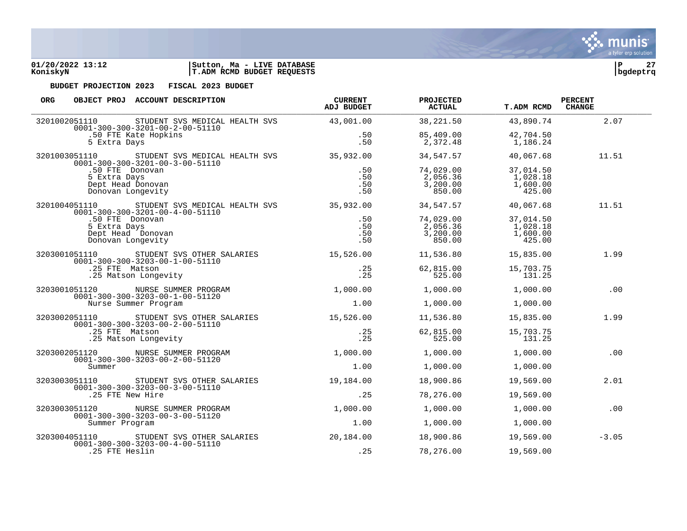| 01/20/2022 13:12 | Ma - LIVE DATABASE<br>Sutton, |          | $\sim$ |
|------------------|-------------------------------|----------|--------|
| KoniskvN         | T.ADM RCMD BUDGET REQUESTS    | bqdeptrq |        |

| <b>ORG</b> |                                                                                                                                       | OBJECT PROJ ACCOUNT DESCRIPTION                                                                                     | <b>CURRENT</b><br>ADJ BUDGET | <b>PROJECTED</b><br><b>ACTUAL</b>           | <b>T.ADM RCMD</b>                           | <b>PERCENT</b><br><b>CHANGE</b> |
|------------|---------------------------------------------------------------------------------------------------------------------------------------|---------------------------------------------------------------------------------------------------------------------|------------------------------|---------------------------------------------|---------------------------------------------|---------------------------------|
|            | 3201002051110                                                                                                                         | STUDENT SVS MEDICAL HEALTH SVS 43,001.00<br>$0001 - 300 - 300 - 3201 - 00 - 2 - 00 - 51110$                         |                              | 38,221.50                                   | 43,890.74                                   | 2.07                            |
|            | 5 Extra Days                                                                                                                          | .50 FTE Kate Hopkins                                                                                                | .50<br>.50                   | 85,409.00<br>2,372.48                       | 42,704.50<br>1,186.24                       |                                 |
|            |                                                                                                                                       | 3201003051110 STUDENT SVS MEDICAL HEALTH SVS 35,932.00<br>$0001 - 300 - 300 - 3201 - 00 - 3 - 00 - 51110$           |                              | 34,547.57                                   | 40,067.68                                   | 11.51                           |
|            | .50 FTE Donovan<br>5 Extra Days<br>Dept Head Donovan<br>Donovan Longevity                                                             |                                                                                                                     | .50<br>.50<br>.50<br>.50     | 74,029.00<br>2,056.36<br>3,200.00<br>850.00 | 37,014.50<br>1,028.18<br>1,600.00<br>425.00 |                                 |
|            |                                                                                                                                       | 3201004051110 STUDENT SVS MEDICAL HEALTH SVS 35,932.00 34,547.57<br>$0001 - 300 - 300 - 3201 - 00 - 4 - 00 - 51110$ |                              |                                             | 40,067.68                                   | 11.51                           |
|            | .50 FTE Donovan<br>5 Extra Days<br>Donovan Longevity                                                                                  | Dept Head Donovan                                                                                                   | .50<br>.50<br>.50<br>.50     | 74,029.00<br>2,056.36<br>3,200.00<br>850.00 | 37,014.50<br>1,028.18<br>1,600.00<br>425.00 |                                 |
|            | 3203001051110 STUDENT SVS OTHER SALARIES<br>$0001 - 300 - 300 - 3203 - 00 - 1 - 00 - 51110$<br>.25 FTE Matson<br>.25 Matson Longevity |                                                                                                                     | 15,526.00                    | 11,536.80                                   | 15,835.00                                   | 1.99                            |
|            |                                                                                                                                       | .25<br>.25                                                                                                          | 62,815.00<br>525.00          | 15,703.75<br>131.25                         |                                             |                                 |
|            |                                                                                                                                       | 3203001051120 NURSE SUMMER PROGRAM<br>$0001 - 300 - 300 - 3203 - 00 - 1 - 00 - 51120$                               | 1,000.00                     | 1,000.00                                    | 1,000.00                                    | .00                             |
|            |                                                                                                                                       | Nurse Summer Program                                                                                                | 1.00                         | 1,000.00                                    | 1,000.00                                    |                                 |
|            |                                                                                                                                       | 3203002051110 STUDENT SVS OTHER SALARIES<br>$0001 - 300 - 300 - 3203 - 00 - 2 - 00 - 51110$                         | 15,526.00                    | 11,536.80                                   | 15,835.00                                   | 1.99                            |
|            | .25 FTE Matson                                                                                                                        | .25 Matson Longevity                                                                                                | .25<br>.25                   | 62,815.00<br>525.00                         | 15,703.75<br>131.25                         |                                 |
|            | 3203002051120                                                                                                                         | NURSE SUMMER PROGRAM<br>$0001 - 300 - 300 - 3203 - 00 - 2 - 00 - 51120$                                             | 1,000.00                     | 1,000.00                                    | 1,000.00                                    | .00                             |
|            | Summer                                                                                                                                |                                                                                                                     | 1.00                         | 1,000.00                                    | 1,000.00                                    |                                 |
|            | 3203003051110                                                                                                                         | STUDENT SVS OTHER SALARIES<br>$0001 - 300 - 300 - 3203 - 00 - 3 - 00 - 51110$                                       | 19,184.00                    | 18,900.86                                   | 19,569.00                                   | 2.01                            |
|            | .25 FTE New Hire                                                                                                                      |                                                                                                                     | .25                          | 78,276.00                                   | 19,569.00                                   |                                 |
|            |                                                                                                                                       | 3203003051120 NURSE SUMMER PROGRAM<br>0001-300-300-3203-00-3-00-51120                                               | 1,000.00                     | 1,000.00                                    | 1,000.00                                    | .00                             |
|            | Summer Program                                                                                                                        |                                                                                                                     | 1.00                         | 1,000.00                                    | 1,000.00                                    |                                 |
|            |                                                                                                                                       | 3203004051110 STUDENT SVS OTHER SALARIES<br>$0001 - 300 - 300 - 3203 - 00 - 4 - 00 - 51110$                         | 20,184.00                    | 18,900.86                                   | 19,569.00                                   | $-3.05$                         |
|            | .25 FTE Heslin                                                                                                                        |                                                                                                                     | .25                          | 78,276.00                                   | 19,569.00                                   |                                 |

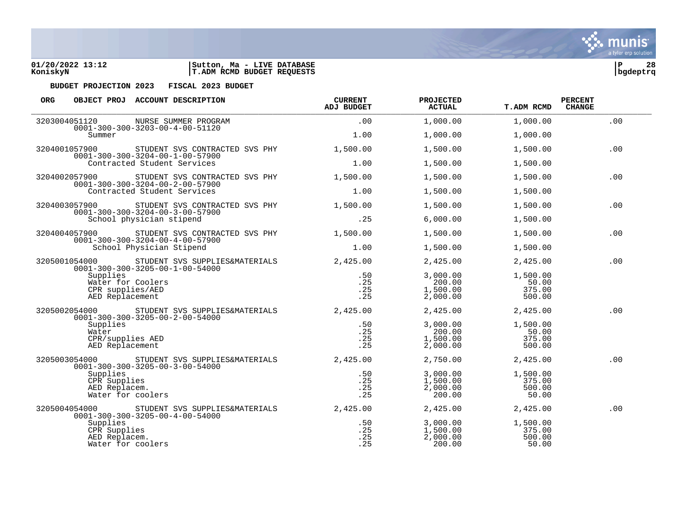

| <b>ORG</b>                                                       | OBJECT PROJ ACCOUNT DESCRIPTION                                                   | <b>CURRENT</b><br><b>ADJ BUDGET</b> | <b>PROJECTED</b><br>ACTUAL | <b>T.ADM RCMD</b>  | <b>PERCENT</b><br><b>CHANGE</b> |
|------------------------------------------------------------------|-----------------------------------------------------------------------------------|-------------------------------------|----------------------------|--------------------|---------------------------------|
| 3203004051120                                                    | NURSE SUMMER PROGRAM<br>$0001 - 300 - 300 - 3203 - 00 - 4 - 00 - 51120$           | .00                                 | 1,000.00                   | 1,000.00           | .00                             |
| Summer                                                           |                                                                                   | 1.00                                | 1,000.00                   | 1,000.00           |                                 |
| 3204001057900                                                    | STUDENT SVS CONTRACTED SVS PHY<br>$0001 - 300 - 300 - 3204 - 00 - 1 - 00 - 57900$ | 1,500.00                            | 1,500.00                   | 1,500.00           | .00                             |
|                                                                  | Contracted Student Services                                                       | 1.00                                | 1,500.00                   | 1,500.00           |                                 |
| 3204002057900                                                    | STUDENT SVS CONTRACTED SVS PHY<br>$0001 - 300 - 300 - 3204 - 00 - 2 - 00 - 57900$ | 1,500.00                            | 1,500.00                   | 1,500.00           | .00                             |
|                                                                  | Contracted Student Services                                                       | 1.00                                | 1,500.00                   | 1,500.00           |                                 |
| 3204003057900                                                    | STUDENT SVS CONTRACTED SVS PHY<br>$0001 - 300 - 300 - 3204 - 00 - 3 - 00 - 57900$ | 1,500.00                            | 1,500.00                   | 1,500.00           | .00                             |
|                                                                  | School physician stipend                                                          | .25                                 | 6,000.00                   | 1,500.00           |                                 |
| 3204004057900                                                    | STUDENT SVS CONTRACTED SVS PHY<br>$0001 - 300 - 300 - 3204 - 00 - 4 - 00 - 57900$ | 1,500.00                            | 1,500.00                   | 1,500.00           | .00                             |
|                                                                  | School Physician Stipend                                                          | 1.00                                | 1,500.00                   | 1,500.00           |                                 |
| 3205001054000<br>$0001 - 300 - 300 - 3205 - 00 - 1 - 00 - 54000$ | STUDENT SVS SUPPLIES&MATERIALS                                                    | 2,425.00                            | 2,425.00                   | 2,425.00           | .00                             |
|                                                                  | Supplies<br>Water for Coolers                                                     | .50<br>.25                          | 3,000.00<br>200.00         | 1,500.00<br>50.00  |                                 |
| CPR supplies/AED<br>AED Replacement                              |                                                                                   | .25<br>.25                          | 1,500.00<br>2,000.00       | 375.00<br>500.00   |                                 |
| 3205002054000                                                    | STUDENT SVS SUPPLIES&MATERIALS                                                    | 2,425.00                            | 2,425.00                   | 2,425.00           | .00                             |
| Supplies                                                         | $0001 - 300 - 300 - 3205 - 00 - 2 - 00 - 54000$                                   | .50                                 | 3,000.00                   | 1,500.00           |                                 |
| Water                                                            |                                                                                   | .25                                 | 200.00                     | 50.00              |                                 |
|                                                                  | CPR/supplies AED<br>AED Replacement                                               | .25<br>.25                          | 1,500.00<br>2,000.00       | 375.00<br>500.00   |                                 |
| 3205003054000                                                    | STUDENT SVS SUPPLIES&MATERIALS<br>$0001 - 300 - 300 - 3205 - 00 - 3 - 00 - 54000$ | 2,425,00                            | 2,750.00                   | 2,425.00           | .00                             |
| Supplies                                                         | CPR Supplies                                                                      | .50<br>.25                          | 3,000.00<br>1,500.00       | 1,500.00<br>375.00 |                                 |
|                                                                  | AED Replacem.                                                                     | .25                                 | 2,000.00                   | 500.00             |                                 |
|                                                                  | Water for coolers                                                                 | .25                                 | 200.00                     | 50.00              |                                 |
| 3205004054000                                                    | STUDENT SVS SUPPLIES&MATERIALS<br>$0001 - 300 - 300 - 3205 - 00 - 4 - 00 - 54000$ | 2,425.00                            | 2,425.00                   | 2,425.00           | .00                             |
| Supplies                                                         | CPR Supplies                                                                      | .50<br>.25                          | 3,000.00<br>1,500.00       | 1,500.00<br>375.00 |                                 |
|                                                                  | AED Replacem.                                                                     | .25                                 | 2,000.00                   | 500.00             |                                 |
|                                                                  | Water for coolers                                                                 | .25                                 | 200.00                     | 50.00              |                                 |

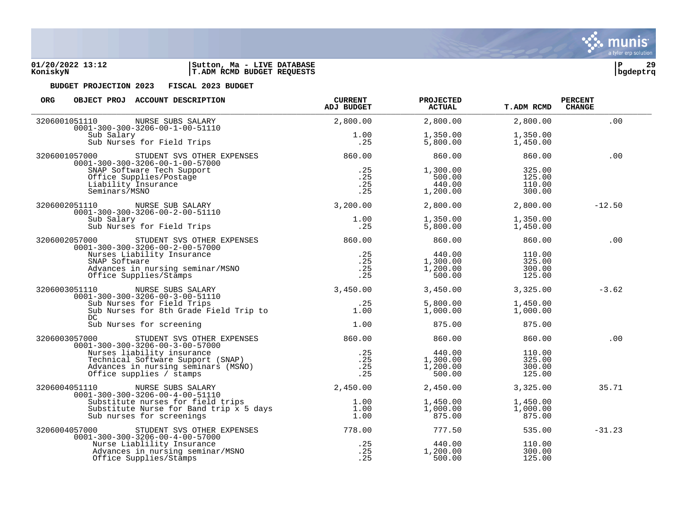

| <b>ORG</b><br>OBJECT PROJ ACCOUNT DESCRIPTION                                                                                                                           | <b>CURRENT</b><br><b>ADJ BUDGET</b> | <b>PROJECTED</b><br><b>ACTUAL</b>        | <b>T.ADM RCMD</b>                    | <b>PERCENT</b><br><b>CHANGE</b> |
|-------------------------------------------------------------------------------------------------------------------------------------------------------------------------|-------------------------------------|------------------------------------------|--------------------------------------|---------------------------------|
| 3206001051110<br>NURSE SUBS SALARY<br>$0001 - 300 - 300 - 3206 - 00 - 1 - 00 - 51110$                                                                                   | 2,800.00                            | 2,800.00                                 | 2,800.00                             | .00                             |
| Sub Salary<br>Sub Nurses for Field Trips                                                                                                                                | 1.00<br>.25                         | 1,350.00<br>5,800.00                     | 1,350.00<br>1,450.00                 |                                 |
| 3206001057000<br>STUDENT SVS OTHER EXPENSES<br>$0001 - 300 - 300 - 3206 - 00 - 1 - 00 - 57000$                                                                          | 860.00                              | 860.00                                   | 860.00                               | .00                             |
| SNAP Software Tech Support<br>Office Supplies/Postage<br>Liability Insurance<br>Seminars/MSNO                                                                           | .25<br>.25<br>.25<br>.25            | 1,300.00<br>500.00<br>440.00<br>1,200.00 | 325.00<br>125.00<br>110.00<br>300.00 |                                 |
| 3206002051110<br>NURSE SUB SALARY<br>$0001 - 300 - 300 - 3206 - 00 - 2 - 00 - 51110$                                                                                    | 3,200.00                            | 2,800.00                                 | 2,800.00                             | $-12.50$                        |
| Sub Salary<br>Sub Nurses for Field Trips                                                                                                                                | 1.00<br>.25                         | 1,350.00<br>5,800.00                     | 1,350.00<br>1,450.00                 |                                 |
| 3206002057000<br>STUDENT SVS OTHER EXPENSES<br>$0001 - 300 - 300 - 3206 - 00 - 2 - 00 - 57000$                                                                          | 860.00                              | 860.00                                   | 860.00                               | .00                             |
| Nurses Liability Insurance<br>SNAP Software<br>Advances in nursing seminar/MSNO<br>Office Supplies/Stamps                                                               | .25<br>.25<br>.25<br>.25            | 440.00<br>1,300.00<br>1,200.00<br>500.00 | 110.00<br>325.00<br>300.00<br>125.00 |                                 |
| 3206003051110<br>NURSE SUBS SALARY<br>$0001 - 300 - 300 - 3206 - 00 - 3 - 00 - 51110$                                                                                   | 3,450.00                            | 3,450.00                                 | 3,325.00                             | $-3.62$                         |
| Sub Nurses for Field Trips<br>Sub Nurses for 8th Grade Field Trip to<br>DC                                                                                              | .25<br>1.00                         | 5,800.00<br>1,000.00                     | 1,450.00<br>1,000.00                 |                                 |
| Sub Nurses for screening                                                                                                                                                | 1.00                                | 875.00                                   | 875.00                               |                                 |
| 3206003057000<br>STUDENT SVS OTHER EXPENSES<br>$0001 - 300 - 300 - 3206 - 00 - 3 - 00 - 57000$                                                                          | 860.00                              | 860.00                                   | 860.00                               | .00                             |
| Nurses liability insurance<br>Technical Software Support (SNAP)<br>Technical Software support (SNAP)<br>Advances in nursing seminars (MSNO)<br>Office supplies / stamps | .25<br>.25<br>.25<br>.25            | 440.00<br>1,300.00<br>1,200.00<br>500.00 | 110.00<br>325.00<br>300.00<br>125.00 |                                 |
| 3206004051110<br>NURSE SUBS SALARY<br>$0001 - 300 - 300 - 3206 - 00 - 4 - 00 - 51110$                                                                                   | 2,450.00                            | 2,450.00                                 | 3,325.00                             | 35.71                           |
| Substitute nurses for field trips<br>Substitute Nurse for Band trip x 5 days<br>Sub nurses for screenings                                                               | 1.00<br>1.00<br>1.00                | 1,450.00<br>1,000.00<br>875.00           | 1,450.00<br>1,000.00<br>875.00       |                                 |
| 3206004057000<br>STUDENT SVS OTHER EXPENSES<br>$0001 - 300 - 300 - 3206 - 00 - 4 - 00 - 57000$                                                                          | 778.00                              | 777.50                                   | 535.00                               | $-31.23$                        |
| Nurse Liablility Insurance<br>Advances in nursing seminar/MSNO<br>Office Supplies/Stamps                                                                                | .25<br>.25<br>.25                   | 440.00<br>1,200.00<br>500.00             | 110.00<br>300.00<br>125.00           |                                 |

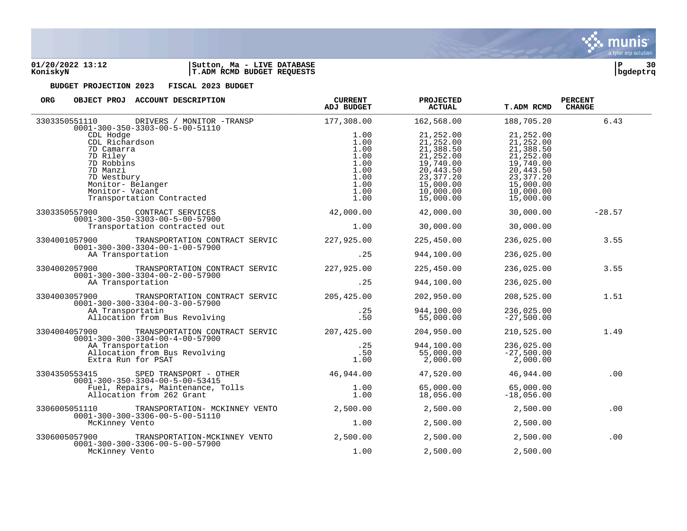

### **01/20/2022 13:12 |Sutton, Ma - LIVE DATABASE |P 30 KoniskyN |T.ADM RCMD BUDGET REQUESTS |bgdeptrq**

| ORG.<br>OBJECT PROJ ACCOUNT DESCRIPTION                                                                                                                                                   | <b>CURRENT</b><br>ADJ BUDGET                                         | <b>PROJECTED</b><br><b>ACTUAL</b>                                                                                 | <b>T.ADM RCMD</b>                                                                                                  | <b>PERCENT</b><br><b>CHANGE</b> |
|-------------------------------------------------------------------------------------------------------------------------------------------------------------------------------------------|----------------------------------------------------------------------|-------------------------------------------------------------------------------------------------------------------|--------------------------------------------------------------------------------------------------------------------|---------------------------------|
| 3303350551110<br>DRIVERS / MONITOR -TRANSP                                                                                                                                                | 177,308.00                                                           | 162,568.00                                                                                                        | 188,705.20                                                                                                         | 6.43                            |
| $0001 - 300 - 350 - 3303 - 00 - 5 - 00 - 51110$<br>CDL Hodge<br>CDL Richardson<br>7D Camarra<br>7D Riley<br>7D Robbins<br>7D Manzi<br>7D Westbury<br>Monitor- Belanger<br>Monitor- Vacant | 1.00<br>1.00<br>1.00<br>1.00<br>1.00<br>1.00<br>1.00<br>1.00<br>1.00 | 21,252.00<br>21,252.00<br>21,388.50<br>21,252.00<br>19,740.00<br>20,443.50<br>23,377.20<br>15,000.00<br>10,000.00 | 21,252.00<br>21,252.00<br>21,388.50<br>21, 252.00<br>19,740.00<br>20,443.50<br>23,377.20<br>15,000.00<br>10,000.00 |                                 |
| Transportation Contracted                                                                                                                                                                 | 1.00                                                                 | 15,000.00                                                                                                         | 15,000.00                                                                                                          |                                 |
| 3303350557900<br>CONTRACT SERVICES<br>$0001 - 300 - 350 - 3303 - 00 - 5 - 00 - 57900$<br>Transportation contracted out                                                                    | 42,000.00<br>1.00                                                    | 42,000.00<br>30,000.00                                                                                            | 30,000.00<br>30,000.00                                                                                             | $-28.57$                        |
| TRANSPORTATION CONTRACT SERVIC 227,925.00<br>3304001057900                                                                                                                                |                                                                      | 225,450.00                                                                                                        | 236,025.00                                                                                                         | 3.55                            |
| $0001 - 300 - 300 - 3304 - 00 - 1 - 00 - 57900$<br>AA Transportation                                                                                                                      | .25                                                                  | 944,100.00                                                                                                        | 236,025.00                                                                                                         |                                 |
| 3304002057900<br>TRANSPORTATION CONTRACT SERVIC<br>$0001 - 300 - 300 - 3304 - 00 - 2 - 00 - 57900$<br>AA Transportation                                                                   | 227,925.00                                                           | 225,450.00                                                                                                        | 236,025.00                                                                                                         | 3.55                            |
|                                                                                                                                                                                           | .25                                                                  | 944,100.00                                                                                                        | 236,025.00                                                                                                         |                                 |
| TRANSPORTATION CONTRACT SERVIC 205,425.00<br>3304003057900<br>$0001 - 300 - 300 - 3304 - 00 - 3 - 00 - 57900$                                                                             |                                                                      | 202,950.00                                                                                                        | 208,525.00                                                                                                         | 1.51                            |
| AA Transportatin<br>Allocation from Bus Revolving                                                                                                                                         | .25<br>.50                                                           | 944,100.00<br>55,000.00                                                                                           | 236,025.00<br>$-27,500.00$                                                                                         |                                 |
| 3304004057900<br>TRANSPORTATION CONTRACT SERVIC<br>$0001 - 300 - 300 - 3304 - 00 - 4 - 00 - 57900$                                                                                        | 207,425.00                                                           | 204,950.00                                                                                                        | 210,525.00                                                                                                         | 1.49                            |
| AA Transportation<br>Allocation from Bus Revolving<br>Extra Run for PSAT                                                                                                                  | .25<br>.50<br>1.00                                                   | 944,100.00<br>55,000.00<br>2,000.00                                                                               | 236,025.00<br>$-27,500.00$<br>2,000.00                                                                             |                                 |
| SPED TRANSPORT - OTHER<br>3304350553415<br>$0001 - 300 - 350 - 3304 - 00 - 5 - 00 - 53415$                                                                                                | 46,944.00                                                            | 47,520.00                                                                                                         | 46,944.00                                                                                                          | .00                             |
| Fuel, Repairs, Maintenance, Tolls<br>Allocation from 262 Grant                                                                                                                            | 1.00<br>1.00                                                         | 65,000.00<br>18,056.00                                                                                            | 65,000.00<br>$-18,056.00$                                                                                          |                                 |
| 3306005051110<br>TRANSPORTATION- MCKINNEY VENTO<br>$0001 - 300 - 300 - 3306 - 00 - 5 - 00 - 51110$                                                                                        | 2,500.00                                                             | 2,500.00                                                                                                          | 2,500.00                                                                                                           | .00                             |
| McKinney Vento                                                                                                                                                                            | 1.00                                                                 | 2,500.00                                                                                                          | 2,500.00                                                                                                           |                                 |
| 3306005057900<br>TRANSPORTATION-MCKINNEY VENTO<br>$0001 - 300 - 300 - 3306 - 00 - 5 - 00 - 57900$                                                                                         | 2,500.00                                                             | 2,500.00                                                                                                          | 2,500.00                                                                                                           | .00                             |
| McKinney Vento                                                                                                                                                                            | 1.00                                                                 | 2,500.00                                                                                                          | 2,500.00                                                                                                           |                                 |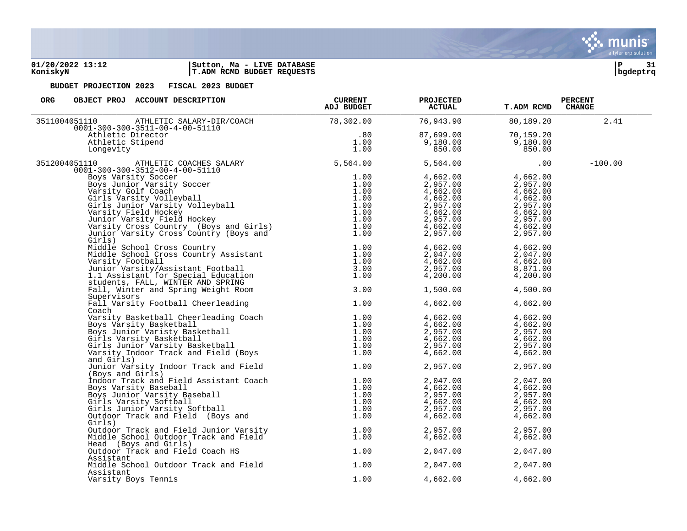### **01/20/2022 13:12 |Sutton, Ma - LIVE DATABASE |P 31 KoniskyN |T.ADM RCMD BUDGET REQUESTS |bgdeptrq**

| ORG<br>OBJECT PROJ ACCOUNT DESCRIPTION                                                                                                                                                                                                                  | <b>CURRENT</b><br><b>ADJ BUDGET</b> | <b>PROJECTED</b><br><b>ACTUAL</b>                                                                                                                                                                                                                                                               | <b>T.ADM RCMD</b> | <b>PERCENT</b><br><b>CHANGE</b> |  |
|---------------------------------------------------------------------------------------------------------------------------------------------------------------------------------------------------------------------------------------------------------|-------------------------------------|-------------------------------------------------------------------------------------------------------------------------------------------------------------------------------------------------------------------------------------------------------------------------------------------------|-------------------|---------------------------------|--|
| 151110 ATHLETIC SALARY-DIR/COACH<br>0001-300-300-3511-00-4-00-51110 78,302.00<br>Athletic Director .80<br>Athletic Stipend 1.00<br>Longevity 1.00<br>3511004051110                                                                                      |                                     | 76,943.90                                                                                                                                                                                                                                                                                       | 80,189.20         | 2.41                            |  |
|                                                                                                                                                                                                                                                         |                                     | 87,699.00                                                                                                                                                                                                                                                                                       | 70,159.20         |                                 |  |
|                                                                                                                                                                                                                                                         |                                     | 9,180.00                                                                                                                                                                                                                                                                                        | 9,180.00          |                                 |  |
| Longevity                                                                                                                                                                                                                                               |                                     | 850.00                                                                                                                                                                                                                                                                                          | 850.00            |                                 |  |
|                                                                                                                                                                                                                                                         |                                     |                                                                                                                                                                                                                                                                                                 |                   |                                 |  |
| ATHLETIC COACHES SALARY 5,564.00<br>00-300-3512-00-4-00-51110<br>3512004051110<br>$0001 - 300 - 300 - 3512 - 00 - 4 - 00 - 51110$                                                                                                                       |                                     | 5,564.00                                                                                                                                                                                                                                                                                        | $.00 \,$          | $-100.00$                       |  |
|                                                                                                                                                                                                                                                         |                                     | 4,662.00 4,662.00                                                                                                                                                                                                                                                                               |                   |                                 |  |
|                                                                                                                                                                                                                                                         |                                     |                                                                                                                                                                                                                                                                                                 |                   |                                 |  |
|                                                                                                                                                                                                                                                         |                                     |                                                                                                                                                                                                                                                                                                 |                   |                                 |  |
|                                                                                                                                                                                                                                                         |                                     |                                                                                                                                                                                                                                                                                                 |                   |                                 |  |
|                                                                                                                                                                                                                                                         |                                     |                                                                                                                                                                                                                                                                                                 |                   |                                 |  |
|                                                                                                                                                                                                                                                         |                                     |                                                                                                                                                                                                                                                                                                 |                   |                                 |  |
|                                                                                                                                                                                                                                                         |                                     |                                                                                                                                                                                                                                                                                                 |                   |                                 |  |
|                                                                                                                                                                                                                                                         |                                     |                                                                                                                                                                                                                                                                                                 |                   |                                 |  |
|                                                                                                                                                                                                                                                         |                                     |                                                                                                                                                                                                                                                                                                 |                   |                                 |  |
| 1.300-300-35112-00-4-00-51110<br>Boys Varsity Soccer<br>Boys Varsity Soccer<br>1.00<br>Varsity Soccer<br>1.00<br>Girls Unior Varsity Volleyball<br>dirls Junior Varsity Volleyball<br>dirls Junior Varsity Volleyball<br>Junior Varsity Field Ho        |                                     | $\begin{array}{r} 2,957.00 \ 4,662.00 \ 4,662.00 \ 2,957.00 \ 2,957.00 \ 4,662.00 \ 2,957.00 \ 4,662.00 \ 2,957.00 \ 4,662.00 \ 2,957.00 \ 4,662.00 \ 2,957.00 \ 4,662.00 \ 4,662.00 \ 4,662.00 \ 2,957.00 \ 2,957.00 \end{array}$<br>2, 95,<br>4, 662.00<br>2, 047.00<br>4, 662.00<br>2.957.00 |                   |                                 |  |
|                                                                                                                                                                                                                                                         |                                     |                                                                                                                                                                                                                                                                                                 | 4,662.00          |                                 |  |
|                                                                                                                                                                                                                                                         |                                     |                                                                                                                                                                                                                                                                                                 | 2,047.00          |                                 |  |
|                                                                                                                                                                                                                                                         |                                     |                                                                                                                                                                                                                                                                                                 | 4,662.00          |                                 |  |
|                                                                                                                                                                                                                                                         |                                     |                                                                                                                                                                                                                                                                                                 | 8,871.00          |                                 |  |
|                                                                                                                                                                                                                                                         |                                     | 4,200.00                                                                                                                                                                                                                                                                                        | 4,200.00          |                                 |  |
|                                                                                                                                                                                                                                                         |                                     |                                                                                                                                                                                                                                                                                                 |                   |                                 |  |
| students, FALL, WINTER AND SPRING<br>Fall, Winter and Spring Weight Room                                                                                                                                                                                | 3.00                                | 1,500.00                                                                                                                                                                                                                                                                                        | 4,500.00          |                                 |  |
| Supervisors                                                                                                                                                                                                                                             |                                     |                                                                                                                                                                                                                                                                                                 |                   |                                 |  |
| Fall Varsity Football Cheerleading                                                                                                                                                                                                                      | 1.00                                |                                                                                                                                                                                                                                                                                                 |                   |                                 |  |
|                                                                                                                                                                                                                                                         |                                     | 4,662.00                                                                                                                                                                                                                                                                                        | 4,662.00          |                                 |  |
| Coach<br>Coach<br>Varsity Basketball Cheerleading Coach<br>Boys Varsity Basketball<br>Boys Junior Varisty Basketball<br>Girls Varsity Basketball<br>Girls Junior Varsity Basketball<br>University Basketball<br>University Basketball<br>University Bas |                                     |                                                                                                                                                                                                                                                                                                 |                   |                                 |  |
|                                                                                                                                                                                                                                                         |                                     | $4,662.00$<br>$4,662.00$<br>$2,957.00$                                                                                                                                                                                                                                                          | 4,662.00          |                                 |  |
|                                                                                                                                                                                                                                                         |                                     |                                                                                                                                                                                                                                                                                                 |                   |                                 |  |
|                                                                                                                                                                                                                                                         |                                     |                                                                                                                                                                                                                                                                                                 |                   |                                 |  |
|                                                                                                                                                                                                                                                         |                                     |                                                                                                                                                                                                                                                                                                 |                   |                                 |  |
|                                                                                                                                                                                                                                                         |                                     |                                                                                                                                                                                                                                                                                                 |                   |                                 |  |
|                                                                                                                                                                                                                                                         |                                     |                                                                                                                                                                                                                                                                                                 |                   |                                 |  |
| and Girls)                                                                                                                                                                                                                                              |                                     | $\begin{array}{lll} 4,662.00 & & & 4,662.00 \ 2,957.00 & & & 2,957.00 \ 4,662.00 & & & 2,957.00 \ 2,957.00 & & & 4,662.00 \ 4,662.00 & & & & 4,662.00 \end{array}$                                                                                                                              |                   |                                 |  |
| Junior Varsity Indoor Track and Field                                                                                                                                                                                                                   | 1.00                                | 2,957.00                                                                                                                                                                                                                                                                                        | 2,957.00          |                                 |  |
| (Boys and Girls)                                                                                                                                                                                                                                        |                                     |                                                                                                                                                                                                                                                                                                 |                   |                                 |  |
|                                                                                                                                                                                                                                                         |                                     | $\begin{array}{llll} 2\, , \, 047\, . \, 00 & 2\, , \, 047\, . \, 00\, \\ 4\, , \, 662\, . \, 00 & 4\, , \, 662\, . \, 00\, \\ 2\, , \, 957\, . \, 00 & 2\, , \, 957\, . \, 00\, \\ 4\, , \, 662\, . \, 00 & 4\, , \, 662\, . \, 00\, \end{array}$                                              |                   |                                 |  |
|                                                                                                                                                                                                                                                         |                                     |                                                                                                                                                                                                                                                                                                 |                   |                                 |  |
|                                                                                                                                                                                                                                                         |                                     |                                                                                                                                                                                                                                                                                                 |                   |                                 |  |
|                                                                                                                                                                                                                                                         |                                     |                                                                                                                                                                                                                                                                                                 |                   |                                 |  |
|                                                                                                                                                                                                                                                         |                                     |                                                                                                                                                                                                                                                                                                 | 2,957.00          |                                 |  |
| (Boys and Girls)<br>Indoor Track and Field Assistant Coach<br>Boys Varsity Baseball<br>Boys Junior Varsity Baseball<br>Girls Varsity Softball<br>Girls Junior Varsity Softball<br>Outdoor Track and Field (Boys and 1.00<br>Outdoor Track an<br>Girls)  |                                     | 4,662.00<br>2,957.00<br>4,662.00                                                                                                                                                                                                                                                                | 4,662.00          |                                 |  |
| Outdoor Track and Field Junior Varsity 1.00<br>Middle School Outdoor Track and Field 1.00                                                                                                                                                               |                                     | 2,957.00                                                                                                                                                                                                                                                                                        | 2,957.00          |                                 |  |
|                                                                                                                                                                                                                                                         |                                     | 4,662.00                                                                                                                                                                                                                                                                                        |                   |                                 |  |
|                                                                                                                                                                                                                                                         |                                     |                                                                                                                                                                                                                                                                                                 | 4,662.00          |                                 |  |
| Head (Boys and Girls)                                                                                                                                                                                                                                   |                                     |                                                                                                                                                                                                                                                                                                 |                   |                                 |  |
| Outdoor Track and Field Coach HS                                                                                                                                                                                                                        | 1.00                                | 2,047.00                                                                                                                                                                                                                                                                                        | 2,047.00          |                                 |  |
| Assistant                                                                                                                                                                                                                                               |                                     |                                                                                                                                                                                                                                                                                                 |                   |                                 |  |
| Middle School Outdoor Track and Field                                                                                                                                                                                                                   | 1.00                                | 2,047.00                                                                                                                                                                                                                                                                                        | 2,047.00          |                                 |  |
| Assistant                                                                                                                                                                                                                                               |                                     |                                                                                                                                                                                                                                                                                                 |                   |                                 |  |
| Varsity Boys Tennis                                                                                                                                                                                                                                     | 1.00                                | 4,662.00                                                                                                                                                                                                                                                                                        | 4,662.00          |                                 |  |
|                                                                                                                                                                                                                                                         |                                     |                                                                                                                                                                                                                                                                                                 |                   |                                 |  |

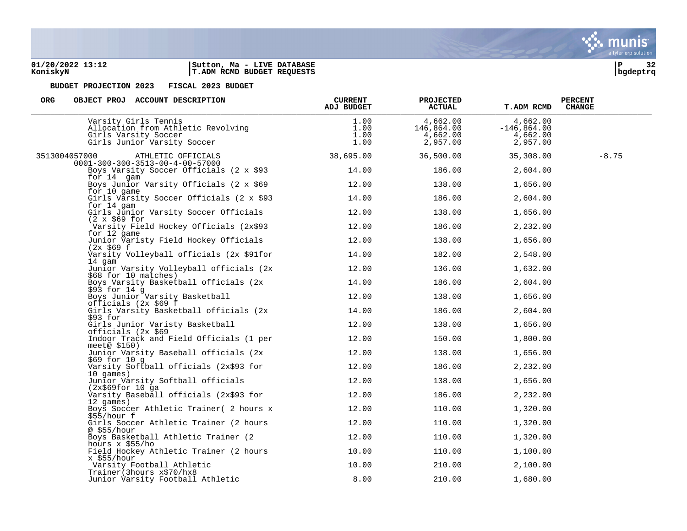### **01/20/2022 13:12 |Sutton, Ma - LIVE DATABASE |P 32 KoniskyN |T.ADM RCMD BUDGET REQUESTS |bgdeptrq**



| <b>ORG</b><br>OBJECT PROJ ACCOUNT DESCRIPTION                                                                     | <b>CURRENT</b><br>ADJ BUDGET | <b>PROJECTED</b><br><b>ACTUAL</b>              | <b>T.ADM RCMD</b>                                 | <b>PERCENT</b><br><b>CHANGE</b> |
|-------------------------------------------------------------------------------------------------------------------|------------------------------|------------------------------------------------|---------------------------------------------------|---------------------------------|
| Varsity Girls Tennis<br>Allocation from Athletic Revolving<br>Girls Varsity Soccer<br>Girls Junior Varsity Soccer | 1.00<br>1.00<br>1.00<br>1.00 | 4,662.00<br>146,864.00<br>4,662.00<br>2,957.00 | 4,662.00<br>$-146,864.00$<br>4,662.00<br>2,957.00 |                                 |
| 3513004057000<br>ATHLETIC OFFICIALS                                                                               | 38,695.00                    | 36,500.00                                      | 35,308.00                                         | $-8.75$                         |
| $0001 - 300 - 300 - 3513 - 00 - 4 - 00 - 57000$<br>Boys Varsity Soccer Officials (2 x \$93                        | 14.00                        | 186.00                                         | 2,604.00                                          |                                 |
| for 14 gam<br>Boys Junior Varsity Officials (2 x \$69                                                             | 12.00                        | 138.00                                         | 1,656.00                                          |                                 |
| for 10 game<br>Girls Varsity Soccer Officials (2 x \$93                                                           | 14.00                        | 186.00                                         | 2,604.00                                          |                                 |
| for 14 gam<br>Girls Junior Varsity Soccer Officials                                                               | 12.00                        | 138.00                                         | 1,656.00                                          |                                 |
| $(2 \times $69$ for<br>Varsity Field Hockey Officials (2x\$93                                                     | 12.00                        | 186.00                                         | 2,232.00                                          |                                 |
| for 12 game<br>Junior Varisty Field Hockey Officials                                                              | 12.00                        | 138.00                                         | 1,656.00                                          |                                 |
| (2x \$69 f<br>Varsity Volleyball officials (2x \$91for                                                            | 14.00                        | 182.00                                         | 2,548.00                                          |                                 |
| 14 gam<br>Junior Varsity Volleyball officials (2x                                                                 | 12.00                        | 136.00                                         | 1,632.00                                          |                                 |
| \$68 for 10 matches)<br>Boys Varsity Basketball officials (2x                                                     | 14.00                        | 186.00                                         | 2,604.00                                          |                                 |
| \$93 for 14 g<br>Boys Junior Varsity Basketball                                                                   | 12.00                        | 138.00                                         | 1,656.00                                          |                                 |
| officials (2x \$69 f<br>Girls Varsity Basketball officials (2x                                                    | 14.00                        | 186.00                                         | 2,604.00                                          |                                 |
| \$93 for<br>Girls Junior Varisty Basketball                                                                       | 12.00                        | 138.00                                         | 1,656.00                                          |                                 |
| officials (2x \$69<br>Indoor Track and Field Officials (1 per                                                     | 12.00                        | 150.00                                         | 1,800.00                                          |                                 |
| meet@ $$150)$<br>Junior Varsity Baseball officials (2x                                                            | 12.00                        | 138.00                                         | 1,656.00                                          |                                 |
| \$69 for 10 g<br>Varsity Softball officials (2x\$93 for                                                           | 12.00                        | 186.00                                         | 2,232.00                                          |                                 |
| 10 games)<br>Junior Varsity Softball officials                                                                    | 12.00                        | 138.00                                         | 1,656.00                                          |                                 |
| (2x\$69for 10 qa)<br>Varsity Baseball officials (2x\$93 for                                                       | 12.00                        | 186.00                                         | 2,232.00                                          |                                 |
| 12 games)<br>Boys Soccer Athletic Trainer( 2 hours x                                                              | 12.00                        | 110.00                                         | 1,320.00                                          |                                 |
| \$55/hour f<br>Girls Soccer Athletic Trainer (2 hours                                                             | 12.00                        | 110.00                                         | 1,320.00                                          |                                 |
| @ \$55/hour<br>Boys Basketball Athletic Trainer (2                                                                | 12.00                        | 110.00                                         | 1,320.00                                          |                                 |
| hours $x$ \$55/ho<br>Field Hockey Athletic Trainer (2 hours                                                       | 10.00                        | 110.00                                         | 1,100.00                                          |                                 |
| $x$ \$55/hour<br>Varsity Football Athletic                                                                        | 10.00                        | 210.00                                         | 2,100.00                                          |                                 |
| Trainer (3hours x\$70/hx8<br>Junior Varsity Football Athletic                                                     | 8.00                         | 210.00                                         | 1,680.00                                          |                                 |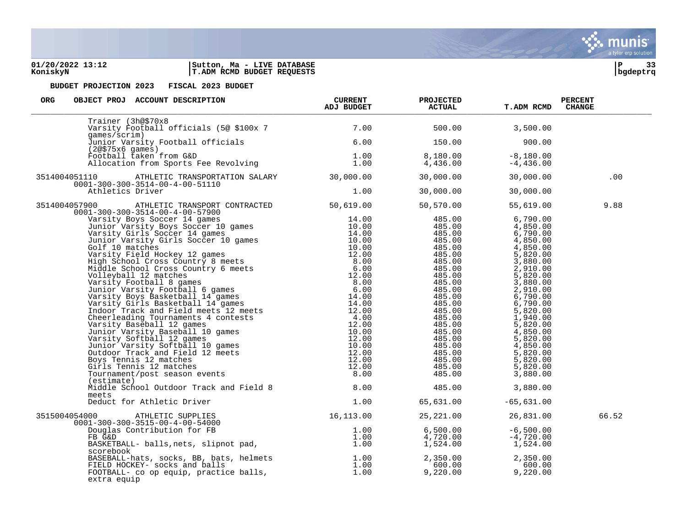

### **01/20/2022 13:12 |Sutton, Ma - LIVE DATABASE |P 33 KoniskyN |T.ADM RCMD BUDGET REQUESTS |bgdeptrq**



| OBJECT PROJ ACCOUNT DESCRIPTION CURRENT ADJ BUDGET<br><b>ORG</b>                                                                                                                                                                                                 |      | <b>PROJECTED</b><br><b>ACTUAL</b>                                                                                                                                                                                                                                                    | <b>T.ADM RCMD</b>                                       | <b>PERCENT</b><br><b>CHANGE</b> |
|------------------------------------------------------------------------------------------------------------------------------------------------------------------------------------------------------------------------------------------------------------------|------|--------------------------------------------------------------------------------------------------------------------------------------------------------------------------------------------------------------------------------------------------------------------------------------|---------------------------------------------------------|---------------------------------|
| Trainer (3h@\$70x8                                                                                                                                                                                                                                               |      |                                                                                                                                                                                                                                                                                      | 3,500.00                                                |                                 |
| qames/scrim)                                                                                                                                                                                                                                                     |      | 150.00                                                                                                                                                                                                                                                                               | 900.00                                                  |                                 |
| games/scrim)<br>Junior Varsity Football officials<br>(2@\$75x6 games)<br>Football taken from G&D 1.00<br>Allocation from Sports Fee Revolving 1.00                                                                                                               |      |                                                                                                                                                                                                                                                                                      | 8,180.00 -8,180.00<br>4,436.00 -4,436.00<br>$-4,436.00$ |                                 |
| ATHLETIC TRANSPORTATION SALARY 30,000.00<br>3514004051110<br>$0001 - 300 - 300 - 3514 - 00 - 4 - 00 - 51110$                                                                                                                                                     |      | 30,000.00                                                                                                                                                                                                                                                                            | 30,000.00                                               | .00                             |
| Athletics Driver                                                                                                                                                                                                                                                 | 1.00 | 30,000.00                                                                                                                                                                                                                                                                            | 30,000.00                                               |                                 |
| 3514004057900 ATHLETIC TRANSPORT CONTRACTED 50,619.00 50,570.00<br>$0001 - 300 - 300 - 3514 - 00 - 4 - 00 - 57900$                                                                                                                                               |      |                                                                                                                                                                                                                                                                                      | 55,619.00                                               | 9.88                            |
|                                                                                                                                                                                                                                                                  |      | 485.00<br>485.00<br>485.00<br>485.00<br>485.00<br>485.00<br>485.00<br>485.00<br>485.00<br>485.00<br>485.00<br>485.00<br>485.00<br>485.00<br>485.00<br>485.00<br>485.00<br>485.00<br>485.00<br>485.00<br>485.00<br>485.00<br>485.00<br>5,820.00<br>485.00<br>485.00<br>485.00<br>485. |                                                         |                                 |
| (estimate)<br>Middle School Outdoor Track and Field 8 8.00<br>meets                                                                                                                                                                                              |      |                                                                                                                                                                                                                                                                                      | 485.00 3,880.00                                         |                                 |
| Deduct for Athletic Driver                                                                                                                                                                                                                                       |      | $1.00$ 65,631.00 -65,631.00                                                                                                                                                                                                                                                          |                                                         |                                 |
|                                                                                                                                                                                                                                                                  |      |                                                                                                                                                                                                                                                                                      |                                                         | 66.52                           |
| 3515004054000 ATHLETIC SUPPLIES<br>0001-300-300-3515-00-4-00-54000<br>Douglas Contribution for FB<br>FB G&D<br>BASKETBALL- balls, nets, slipnot pad,<br>25, 221.00<br>1.00<br>4,720.00<br>4,720.00<br>1.00<br>4,720.00<br>4,720.00<br>1.524.00<br>1,524.         |      |                                                                                                                                                                                                                                                                                      |                                                         |                                 |
| scorebook<br>BASEBALL-hats, socks, BB, bats, helmets<br>FIELD HOCKEY- socks and balls<br>FOOTBALL- co op equip, practice balls, the corresponding the corresponding to the control of the control of the<br>FOOTBALL- co op equip, practice balls<br>extra equip |      |                                                                                                                                                                                                                                                                                      |                                                         |                                 |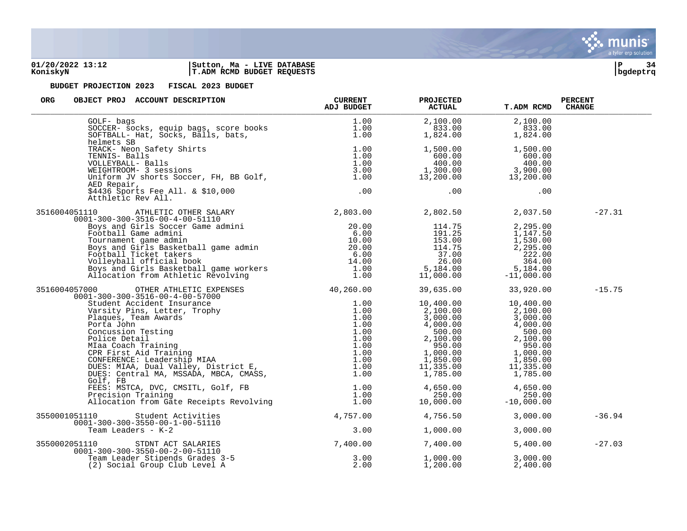

### **01/20/2022 13:12 |Sutton, Ma - LIVE DATABASE |P 34 KoniskyN |T.ADM RCMD BUDGET REQUESTS |bgdeptrq**



| ORG<br>OBJECT PROJ ACCOUNT DESCRIPTION                                                                                                                                                                                                                                                                                                                                     | CURRENT<br>ADJ BUDGET | <b>PROJECTED</b><br><b>ACTUAL</b>                                                                                                                                                                                                                                         | T.ADM RCMD | <b>PERCENT</b><br><b>CHANGE</b> |
|----------------------------------------------------------------------------------------------------------------------------------------------------------------------------------------------------------------------------------------------------------------------------------------------------------------------------------------------------------------------------|-----------------------|---------------------------------------------------------------------------------------------------------------------------------------------------------------------------------------------------------------------------------------------------------------------------|------------|---------------------------------|
| SOCCER- socks, equip bags, score books<br>SOCCER- socks, equip bags, score books<br>SOFTBALL- Hat, Socks, Balls, bats,<br>1.00<br>helmets SB<br>TRACK- Neon Safety Shirts                                                                                                                                                                                                  |                       | $\begin{array}{cccc} 2,100.00 & 2,100.00 \\ 833.00 & 833.00 \\ 1,824.00 & 1,824.00 \end{array}$                                                                                                                                                                           |            |                                 |
| 1.00 1,500.00 1,500.00<br>TRACK- Neon Safety Shirts<br>TENNIS-Balls 1.00 1,500.00 1,500.00 1,500.00<br>VOLLEYBALL-Balls 1.00 400.00 600.00 600.00<br>WEIGHTROOM-3 sessions 3.00 1,300.00 3,900.00<br>Uniform JV shorts Soccer, FH, BB Go<br>AED Repair,                                                                                                                    |                       |                                                                                                                                                                                                                                                                           |            |                                 |
| AED Repair,<br>\$4436 Sports Fee All. & \$10,000<br>\$4435 Fee All. & \$10,000<br>Atthletic Rev All.                                                                                                                                                                                                                                                                       |                       |                                                                                                                                                                                                                                                                           | .00        |                                 |
| 3516004051110 ATHLETIC OTHER SALARY 2,803.00 2,802.50 2,037.50<br>0001-300-300-3516-00-4-00-51110                                                                                                                                                                                                                                                                          |                       |                                                                                                                                                                                                                                                                           |            | $-27.31$                        |
| 110 ATHLETIC UIHER SHIPS1<br>01-300-300-3516-00-51110<br>Boys and Girls Soccer Game admini 20.00<br>Football Game admini 6.00<br>Tournament game admini 10.00<br>Boys and Girls Basketball game admin 20.00<br>Football Ticket takers 6.00                                                                                                                                 |                       | $\begin{array}{cccc} 114 \cdot 75 & 2, 295 \cdot 00 \\ 191 \cdot 25 & 1, 147 \cdot 50 \\ 153 \cdot 00 & 1, 530 \cdot 00 \\ 114 \cdot 75 & 2, 295 \cdot 00 \\ 37 \cdot 00 & 222 \cdot 00 \\ 26 \cdot 00 & 364 \cdot 00 \\ 1, 000 \cdot 00 & -11, 000 \cdot 00 \end{array}$ |            |                                 |
|                                                                                                                                                                                                                                                                                                                                                                            |                       |                                                                                                                                                                                                                                                                           |            | $-15.75$                        |
| $\begin{tabular}{cccc} 3516004057000 & \begin{array}{cccc} \text{OTHER} & \text{ATHLETIC} & \text{EXPENSES} \end{array} & 40\,, 260\,.00 & 39\,, 635\,.00 & 33\,, 920\,.00 \\ 0001-300-300-3516-00-4-00-57000 & & & & & & 10\,, 400\,.00 & 10\,, 400\,.00 \\ & \text{Student According} & \text{I.00} & 10\,, 400\,.00 & 10\,, 400\,.00 \\ & \text{Plargues}\$<br>Golf, FB |                       |                                                                                                                                                                                                                                                                           |            |                                 |
| VOLT 1.00 4,650.00 4,650.00 4,650.00 4,650.00 4,650.00 4,650.00 4,650.00 4,650.00 4,650.00 4,650.00 4,650.00 4,<br>Precision Training 1.00 1.00 250.00 250.00 250.00 250.00 250.00 250.00 250.00 250.00 250.00 250.00 250.00 250                                                                                                                                           |                       |                                                                                                                                                                                                                                                                           |            |                                 |
|                                                                                                                                                                                                                                                                                                                                                                            |                       | 4,756.50                                                                                                                                                                                                                                                                  | 3,000.00   | $-36.94$                        |
|                                                                                                                                                                                                                                                                                                                                                                            |                       | 1,000.00                                                                                                                                                                                                                                                                  | 3,000.00   |                                 |
| 3550001051110<br>0001-300-300-3550-00-1-00-51110<br>Team Leaders - K-2<br>3550002051110<br>0001-300-300-3550-00-1-00-51110<br>3550002051110<br>0001-300-300-3550-00-2-00-51110<br>Team Leader Stipends Grades 3-5<br>(2) Social Group                                                                                                                                      |                       | 7,400.00                                                                                                                                                                                                                                                                  | 5,400.00   | $-27.03$                        |
|                                                                                                                                                                                                                                                                                                                                                                            |                       | $1,000.00$<br>$1,200.00$<br>$2,400.00$<br>1,200.00                                                                                                                                                                                                                        | 2,400.00   |                                 |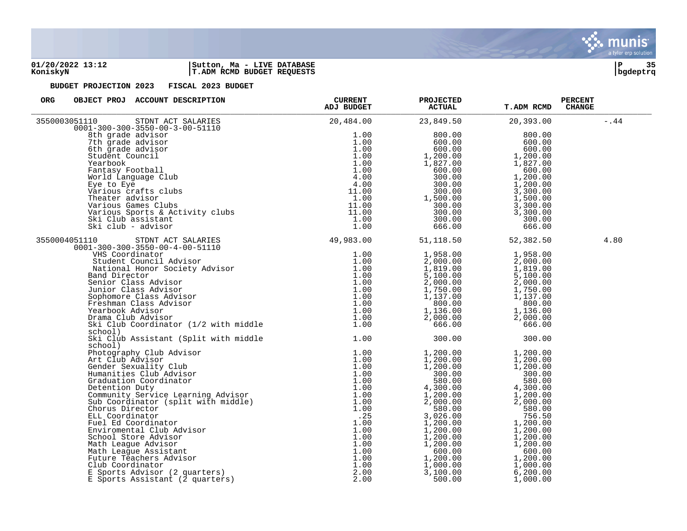

### **01/20/2022 13:12 |Sutton, Ma - LIVE DATABASE |P 35 KoniskyN |T.ADM RCMD BUDGET REQUESTS |bgdeptrq**

| 20,484.00                                                                                                                   |                                                                                                                                                                                                                                                                                                                                                                                                                                                                                                                                                                                                                                             |                                                                                                                                                                                    |                                                                                                                               |
|-----------------------------------------------------------------------------------------------------------------------------|---------------------------------------------------------------------------------------------------------------------------------------------------------------------------------------------------------------------------------------------------------------------------------------------------------------------------------------------------------------------------------------------------------------------------------------------------------------------------------------------------------------------------------------------------------------------------------------------------------------------------------------------|------------------------------------------------------------------------------------------------------------------------------------------------------------------------------------|-------------------------------------------------------------------------------------------------------------------------------|
|                                                                                                                             | 23,849.50                                                                                                                                                                                                                                                                                                                                                                                                                                                                                                                                                                                                                                   | 20,393.00                                                                                                                                                                          | $-.44$                                                                                                                        |
| 1.00<br>1.00<br>1.00                                                                                                        | 800.00<br>600.00<br>600.00                                                                                                                                                                                                                                                                                                                                                                                                                                                                                                                                                                                                                  | 800.00<br>600.00<br>600.00                                                                                                                                                         |                                                                                                                               |
| 1.00<br>1.00<br>4.00                                                                                                        | 1,827.00<br>600.00<br>300.00                                                                                                                                                                                                                                                                                                                                                                                                                                                                                                                                                                                                                | 1,827.00<br>600.00<br>1,200.00                                                                                                                                                     |                                                                                                                               |
| 1.00<br>11.00<br>11.00                                                                                                      | 300.00<br>1,500.00<br>300.00<br>300.00                                                                                                                                                                                                                                                                                                                                                                                                                                                                                                                                                                                                      | 3,300.00<br>1,500.00<br>3,300.00<br>3,300.00                                                                                                                                       |                                                                                                                               |
| 1.00                                                                                                                        | 666.00                                                                                                                                                                                                                                                                                                                                                                                                                                                                                                                                                                                                                                      | 666.00                                                                                                                                                                             |                                                                                                                               |
|                                                                                                                             | 51,118.50                                                                                                                                                                                                                                                                                                                                                                                                                                                                                                                                                                                                                                   | 52,382.50                                                                                                                                                                          | 4.80                                                                                                                          |
| 1.00<br>1.00<br>1.00                                                                                                        | 2,000.00<br>1,819.00<br>5,100.00                                                                                                                                                                                                                                                                                                                                                                                                                                                                                                                                                                                                            | 2,000.00<br>1,819.00<br>5,100.00                                                                                                                                                   |                                                                                                                               |
| 1.00<br>1.00<br>1.00                                                                                                        | 1,750.00<br>1,137.00<br>800.00<br>1,136.00                                                                                                                                                                                                                                                                                                                                                                                                                                                                                                                                                                                                  | 1,137.00<br>800.00<br>1,136.00                                                                                                                                                     |                                                                                                                               |
| 1.00                                                                                                                        | 666.00                                                                                                                                                                                                                                                                                                                                                                                                                                                                                                                                                                                                                                      | 666.00                                                                                                                                                                             |                                                                                                                               |
|                                                                                                                             |                                                                                                                                                                                                                                                                                                                                                                                                                                                                                                                                                                                                                                             |                                                                                                                                                                                    |                                                                                                                               |
| 1.00<br>1.00<br>1.00<br>1.00<br>1.00<br>1.00<br>1.00<br>1.00<br>.25<br>1.00<br>1.00<br>1.00<br>1.00<br>1.00<br>1.00<br>1.00 | 1,200.00<br>1,200.00<br>300.00<br>580.00<br>4,300.00<br>1,200.00<br>2,000.00<br>580.00<br>3,026.00<br>1,200.00<br>1,200.00<br>1,200.00<br>1,200.00<br>600.00<br>1,200.00<br>1,000.00<br>3,100.00                                                                                                                                                                                                                                                                                                                                                                                                                                            | 1,200.00<br>1,200.00<br>300.00<br>580.00<br>4,300.00<br>1,200.00<br>2,000.00<br>580.00<br>756.50<br>1,200.00<br>1,200.00<br>1,200.00<br>1,200.00<br>600.00<br>1,200.00<br>1,000.00 |                                                                                                                               |
|                                                                                                                             | ACCOOLSTERING THE SALARIES<br>-300-3550-00-3-00-51110<br>grade advisor<br>grade advisor<br>grade advisor<br>dent Council<br>achook<br>dent Council<br>antasy Football<br>World Language Club<br>For to Eye to Eye<br>Throus crafts clubs<br>Throus cra<br>1.00<br>4.00<br>11.00<br>1.00<br>STDNT ACT SALARIES 49,983.00<br>351110 STDNT ACT SALARIES<br>0001-300-300-3550-00-4-00-51110<br>VHS Coordinator<br>Student Council Advisor<br>Mational Honor Society Advisor<br>Band Director<br>Senior Class Advisor<br>Junior Class Advisor<br>Sophomore Class Advisor<br>Fres<br>1.00<br>1.00<br>1.00<br>1.00<br>1.00<br>1.00<br>2.00<br>2.00 | 1,200.00<br>300.00<br>300.00<br>1,958.00<br>2,000.00<br>2,000.00<br>300.00<br>1,200.00<br>500.00                                                                                   | 1,200.00<br>1,200.00<br>300.00<br>1,958.00<br>2,000.00<br>1,750.00<br>2,000.00<br>300.00<br>1,200.00<br>6, 200.00<br>1,000.00 |

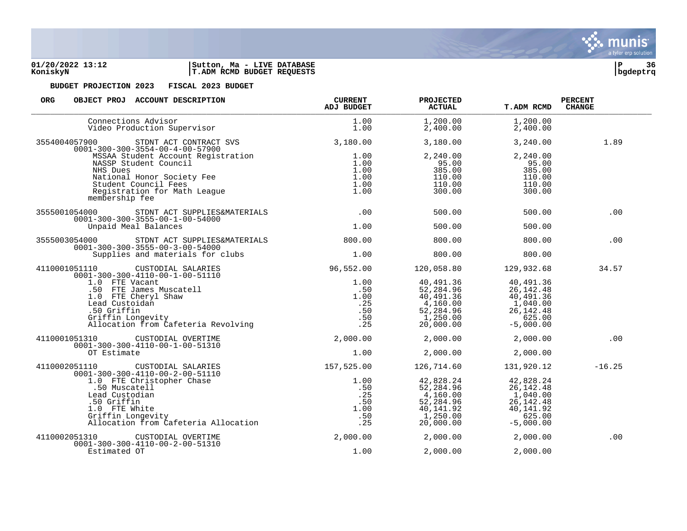

# **KoniskyN |T.ADM RCMD BUDGET REQUESTS |bgdeptrq**



| ORG<br>OBJECT PROJ ACCOUNT DESCRIPTION                                                                                                                                                       | <b>CURRENT</b><br>ADJ BUDGET                        | <b>PROJECTED</b><br><b>ACTUAL</b>                                                       | <b>T.ADM RCMD</b>                                                                         | <b>PERCENT</b><br><b>CHANGE</b> |
|----------------------------------------------------------------------------------------------------------------------------------------------------------------------------------------------|-----------------------------------------------------|-----------------------------------------------------------------------------------------|-------------------------------------------------------------------------------------------|---------------------------------|
| Connections Advisor<br>Video Production Supervisor                                                                                                                                           | 1.00<br>1.00                                        | 1,200.00<br>2,400.00                                                                    | 1,200.00<br>2,400.00                                                                      |                                 |
| 3554004057900<br>STDNT ACT CONTRACT SVS<br>$0001 - 300 - 300 - 3554 - 00 - 4 - 00 - 57900$                                                                                                   | 3,180.00                                            | 3,180.00                                                                                | 3,240.00                                                                                  | 1.89                            |
| MSSAA Student Account Registration<br>NASSP Student Council<br>NHS Dues<br>National Honor Society Fee<br>Student Council Fees<br>Registration for Math League<br>membership fee              | 1.00<br>1.00<br>1.00<br>1.00<br>1.00<br>1.00        | 2,240.00<br>95.00<br>385.00<br>110.00<br>110.00<br>300.00                               | 2,240.00<br>95.00<br>385.00<br>110.00<br>110.00<br>300.00                                 |                                 |
| 3555001054000 STDNT ACT SUPPLIES&MATERIALS<br>$0001 - 300 - 300 - 3555 - 00 - 1 - 00 - 54000$                                                                                                | .00                                                 | 500.00                                                                                  | 500.00                                                                                    | .00                             |
| Unpaid Meal Balances                                                                                                                                                                         | 1.00                                                | 500.00                                                                                  | 500.00                                                                                    |                                 |
| 3555003054000<br>STDNT ACT SUPPLIES&MATERIALS<br>$0001 - 300 - 300 - 3555 - 00 - 3 - 00 - 54000$                                                                                             | 800.00                                              | 800.00                                                                                  | 800.00                                                                                    | .00                             |
| Supplies and materials for clubs                                                                                                                                                             | 1.00                                                | 800.00                                                                                  | 800.00                                                                                    |                                 |
| 4110001051110 CUSTODIAL SALARIES<br>$0001 - 300 - 300 - 4110 - 00 - 1 - 00 - 51110$                                                                                                          | 96,552.00                                           |                                                                                         | 120,058.80 129,932.68                                                                     | 34.57                           |
| 01-300-300-4110-00-1-00-51110<br>1.0 FTE Vacant<br>50 FTE James Muscatell<br>1.0 FTE Cheryl Shaw<br>Lead Custoidan<br>50 Griffin<br>Griffin Longevity<br>Allocation from Cafeteria Revolving | 1.00<br>.50<br>1.00<br>.25<br>.50<br>$\frac{1}{25}$ | 40,491.36<br>52,284.96<br>40,491.36<br>4,160.00<br>$52,284.96$<br>1,250.00<br>20,000.00 | 40,491.36<br>26, 142. 48<br>40,491.36<br>1,040.00<br>26, 142. 48<br>625.00<br>$-5,000.00$ |                                 |
| 4110001051310 CUSTODIAL OVERTIME<br>$0001 - 300 - 300 - 4110 - 00 - 1 - 00 - 51310$                                                                                                          |                                                     | 2,000.00 2,000.00                                                                       | 2,000.00                                                                                  | .00                             |
| OT Estimate                                                                                                                                                                                  | 1.00                                                | 2,000.00                                                                                | 2,000.00                                                                                  |                                 |
| 4110002051110 CUSTODIAL SALARIES<br>$0001 - 300 - 300 - 4110 - 00 - 2 - 00 - 51110$                                                                                                          | 157,525.00                                          | 126,714.60                                                                              | 131,920.12                                                                                | $-16.25$                        |
| 1.0 FTE Christopher Chase<br>.50 Muscatell<br>Lead Custodian<br>.50 Griffin<br>1.0 FTE White<br>Griffin Longevity<br>Allocation from Cafeteria Allocation                                    | 1.00<br>.50<br>.25<br>.50<br>1.00<br>.50<br>.25     | 42,828.24<br>52,284.96<br>4,160.00<br>52, 284.96<br>40,141.92<br>1,250.00<br>20,000.00  | 42,828.24<br>26, 142. 48<br>1,040.00<br>26, 142. 48<br>40,141.92<br>625.00<br>$-5,000.00$ |                                 |
| 4110002051310<br>CUSTODIAL OVERTIME<br>$0001 - 300 - 300 - 4110 - 00 - 2 - 00 - 51310$                                                                                                       | 2,000.00                                            | 2,000.00                                                                                | 2,000.00                                                                                  | .00                             |
| Estimated OT                                                                                                                                                                                 | 1.00                                                | 2,000.00                                                                                | 2,000.00                                                                                  |                                 |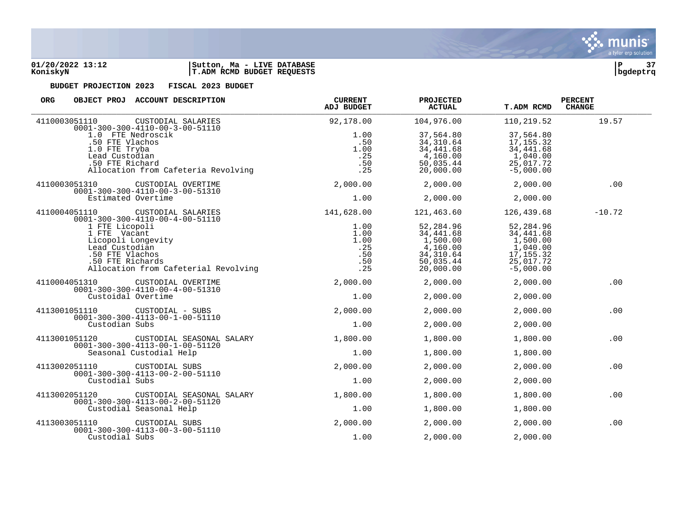

| <b>ORG</b><br>OBJECT PROJ ACCOUNT DESCRIPTION                                        |                           | <b>CURRENT</b><br>ADJ BUDGET | PROJECTED<br><b>ACTUAL</b> | <b>T.ADM RCMD</b> | <b>PERCENT</b><br><b>CHANGE</b> |
|--------------------------------------------------------------------------------------|---------------------------|------------------------------|----------------------------|-------------------|---------------------------------|
| 4110003051110<br>$0001 - 300 - 300 - 4110 - 00 - 3 - 00 - 51110$                     | CUSTODIAL SALARIES        | 92,178.00                    | 104,976.00                 | 110,219.52        | 19.57                           |
| 1.0 FTE Nedroscik                                                                    |                           | 1.00                         | 37,564.80                  | 37,564.80         |                                 |
| .50 FTE Vlachos                                                                      |                           | .50                          | 34, 310.64                 | 17, 155.32        |                                 |
| 1.0 FTE Tryba                                                                        |                           | 1.00                         | 34,441.68                  | 34, 441.68        |                                 |
|                                                                                      |                           |                              |                            |                   |                                 |
| Lead Custodian                                                                       |                           | .25                          | 4,160.00                   | 1,040.00          |                                 |
| .50 FTE Richard                                                                      |                           | .50                          | 50,035.44                  | 25,017.72         |                                 |
| Allocation from Cafeteria Revolving                                                  |                           | .25                          | 20,000.00                  | $-5,000.00$       |                                 |
| 4110003051310<br>$0001 - 300 - 300 - 4110 - 00 - 3 - 00 - 51310$                     | CUSTODIAL OVERTIME        | 2,000.00                     | 2,000.00                   | 2,000.00          | .00                             |
| Estimated Overtime                                                                   |                           | 1.00                         | 2,000.00                   | 2,000.00          |                                 |
| 4110004051110<br>$0001 - 300 - 300 - 4110 - 00 - 4 - 00 - 51110$                     | CUSTODIAL SALARIES        | 141,628.00                   | 121,463.60                 | 126,439.68        | $-10.72$                        |
| 1 FTE Licopoli                                                                       |                           | 1.00                         | 52,284.96                  | 52,284.96         |                                 |
| 1 FTE Vacant                                                                         |                           | 1.00                         | 34,441.68                  | 34,441.68         |                                 |
| Licopoli Longevity                                                                   |                           | 1.00                         | 1,500.00                   | 1,500.00          |                                 |
| Lead Custodian                                                                       |                           | .25                          | 4,160.00                   | 1,040.00          |                                 |
| .50 FTE Vlachos                                                                      |                           | .50                          | 34, 310.64                 | 17, 155.32        |                                 |
| .50 FTE Richards                                                                     |                           | .50                          | 50,035.44                  | 25,017.72         |                                 |
|                                                                                      |                           |                              |                            |                   |                                 |
| Allocation from Cafeterial Revolving                                                 |                           | .25                          | 20,000.00                  | $-5,000.00$       |                                 |
| 4110004051310<br>$0001 - 300 - 300 - 4110 - 00 - 4 - 00 - 51310$                     | CUSTODIAL OVERTIME        | 2,000.00                     | 2,000.00                   | 2,000.00          | .00                             |
| Custoidal Overtime                                                                   |                           | 1.00                         | 2,000.00                   | 2,000.00          |                                 |
| 4113001051110<br>CUSTODIAL - SUBS<br>$0001 - 300 - 300 - 4113 - 00 - 1 - 00 - 51110$ |                           | 2,000.00                     | 2,000.00                   | 2,000.00          | .00                             |
| Custodian Subs                                                                       |                           | 1.00                         | 2,000.00                   | 2,000.00          |                                 |
| 4113001051120<br>$0001 - 300 - 300 - 4113 - 00 - 1 - 00 - 51120$                     | CUSTODIAL SEASONAL SALARY | 1,800.00                     | 1,800.00                   | 1,800.00          | .00                             |
| Seasonal Custodial Help                                                              |                           | 1.00                         | 1,800.00                   | 1,800.00          |                                 |
| 4113002051110<br>CUSTODIAL SUBS<br>$0001 - 300 - 300 - 4113 - 00 - 2 - 00 - 51110$   |                           | 2,000.00                     | 2,000.00                   | 2,000.00          | .00                             |
| Custodial Subs                                                                       |                           | 1.00                         | 2,000.00                   | 2,000.00          |                                 |
| 4113002051120                                                                        | CUSTODIAL SEASONAL SALARY | 1,800.00                     | 1,800.00                   | 1,800.00          | .00                             |
| $0001 - 300 - 300 - 4113 - 00 - 2 - 00 - 51120$<br>Custodial Seasonal Help           |                           | 1.00                         | 1,800.00                   | 1,800.00          |                                 |
| 4113003051110<br>CUSTODIAL SUBS                                                      |                           | 2,000.00                     | 2,000.00                   | 2,000.00          | .00                             |
| $0001 - 300 - 300 - 4113 - 00 - 3 - 00 - 51110$<br>Custodial Subs                    |                           | 1.00                         | 2,000.00                   | 2,000.00          |                                 |

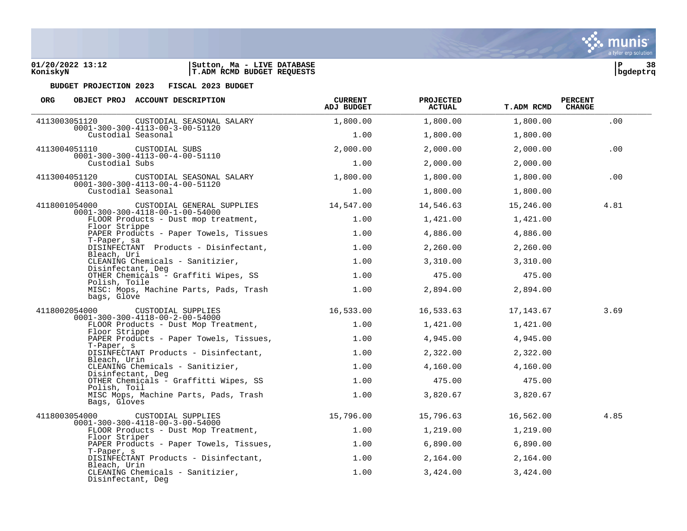



| ORG |                                    | OBJECT PROJ ACCOUNT DESCRIPTION                                                         | <b>CURRENT</b><br>ADJ BUDGET | <b>PROJECTED</b><br><b>ACTUAL</b> | <b>T.ADM RCMD</b> | <b>PERCENT</b><br><b>CHANGE</b> |
|-----|------------------------------------|-----------------------------------------------------------------------------------------|------------------------------|-----------------------------------|-------------------|---------------------------------|
|     |                                    | 4113003051120 CUSTODIAL SEASONAL SALARY                                                 | 1,800.00                     | 1,800.00                          | 1,800.00          | .00                             |
|     | Custodial Seasonal                 | $0001 - 300 - 300 - 4113 - 00 - 3 - 00 - 51120$                                         | 1.00                         | 1,800.00                          | 1,800.00          |                                 |
|     | 4113004051110                      | CUSTODIAL SUBS                                                                          | 2,000.00                     | 2,000.00                          | 2,000.00          | .00                             |
|     | Custodial Subs                     | $0001 - 300 - 300 - 4113 - 00 - 4 - 00 - 51110$                                         | 1.00                         | 2,000.00                          | 2,000.00          |                                 |
|     | 4113004051120                      | CUSTODIAL SEASONAL SALARY                                                               | 1,800.00                     | 1,800.00                          | 1,800.00          | .00                             |
|     | Custodial Seasonal                 | $0001 - 300 - 300 - 4113 - 00 - 4 - 00 - 51120$                                         | 1.00                         | 1,800.00                          | 1,800.00          |                                 |
|     |                                    | 4118001054000 CUSTODIAL GENERAL SUPPLIES                                                | 14,547.00                    | 14,546.63                         | 15,246.00         | 4.81                            |
|     |                                    | $0001 - 300 - 300 - 4118 - 00 - 1 - 00 - 54000$<br>FLOOR Products - Dust mop treatment, | 1.00                         | 1,421.00                          | 1,421.00          |                                 |
|     | Floor Strippe                      | PAPER Products - Paper Towels, Tissues                                                  | 1.00                         | 4,886.00                          | 4,886.00          |                                 |
|     | T-Paper, sa                        | DISINFECTANT Products - Disinfectant,                                                   | 1.00                         | 2,260.00                          | 2,260.00          |                                 |
|     | Bleach, Uri                        | CLEANING Chemicals - Sanitizier,                                                        | 1.00                         | 3,310.00                          | 3,310.00          |                                 |
|     | Disinfectant, Deg<br>Polish, Toile | OTHER Chemicals - Graffiti Wipes, SS 1.00                                               |                              | 475.00                            | 475.00            |                                 |
|     | bags, Glove                        | MISC: Mops, Machine Parts, Pads, Trash 1.00                                             |                              | 2,894.00                          | 2,894.00          |                                 |
|     |                                    | 4118002054000 CUSTODIAL SUPPLIES<br>$0001 - 300 - 300 - 4118 - 00 - 2 - 00 - 54000$     | 16,533.00                    | 16,533.63                         | 17,143.67         | 3.69                            |
|     | Floor Strippe                      | FLOOR Products - Dust Mop Treatment,                                                    | 1.00                         | 1,421.00                          | 1,421.00          |                                 |
|     | T-Paper, s                         | PAPER Products - Paper Towels, Tissues,                                                 | 1.00                         | 4,945.00                          | 4,945.00          |                                 |
|     | Bleach, Urin                       | DISINFECTANT Products - Disinfectant,                                                   | 1.00                         | 2,322.00                          | 2,322.00          |                                 |
|     | Disinfectant, Deg                  | CLEANING Chemicals - Sanitizier,                                                        | 1.00                         | 4,160.00                          | 4,160.00          |                                 |
|     | Polish, Toil                       | OTHER Chemicals - Graffitti Wipes, SS                                                   | 1.00                         | 475.00                            | 475.00            |                                 |
|     | Bags, Gloves                       | MISC Mops, Machine Parts, Pads, Trash                                                   | 1.00                         | 3,820.67                          | 3,820.67          |                                 |
|     |                                    | 4118003054000 CUSTODIAL SUPPLIES<br>$0001 - 300 - 300 - 4118 - 00 - 3 - 00 - 54000$     | 15,796.00                    | 15,796.63                         | 16,562.00         | 4.85                            |
|     |                                    | FLOOR Products - Dust Mop Treatment,                                                    | 1.00                         | 1,219.00                          | 1,219.00          |                                 |
|     | Floor Striper                      | PAPER Products - Paper Towels, Tissues,                                                 | 1.00                         | 6,890.00                          | 6,890.00          |                                 |
|     | T-Paper, s                         | DISINFECTANT Products - Disinfectant,                                                   | 1.00                         | 2,164.00                          | 2,164.00          |                                 |
|     | Bleach, Urin<br>Disinfectant, Deg  | CLEANING Chemicals - Sanitizier,                                                        | 1.00                         | 3,424.00                          | 3,424.00          |                                 |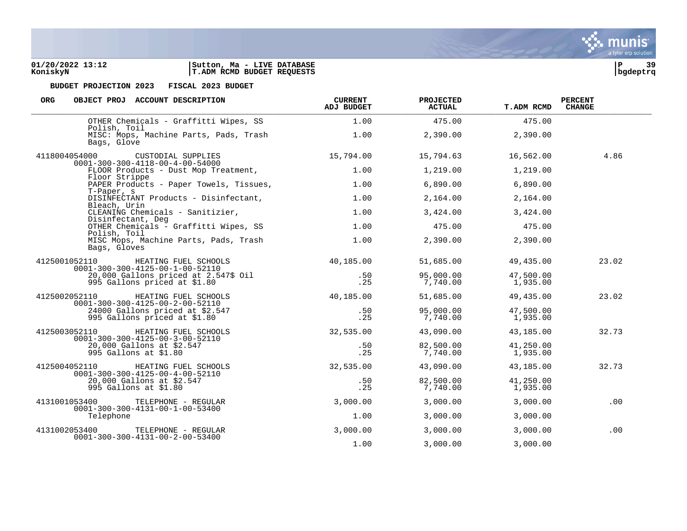**01/20/2022 13:12 |Sutton, Ma - LIVE DATABASE |P 39 KoniskyN |T.ADM RCMD BUDGET REQUESTS |bgdeptrq**

| <b>ORG</b><br>OBJECT PROJ ACCOUNT DESCRIPTION                                            | <b>CURRENT</b><br>ADJ BUDGET | <b>PROJECTED</b><br>ACTUAL | <b>T.ADM RCMD</b>     | <b>PERCENT</b><br><b>CHANGE</b> |
|------------------------------------------------------------------------------------------|------------------------------|----------------------------|-----------------------|---------------------------------|
| OTHER Chemicals - Graffitti Wipes, SS<br>Polish, Toil                                    | 1.00                         | 475.00                     | 475.00                |                                 |
| MISC: Mops, Machine Parts, Pads, Trash<br>Bags, Glove                                    | 1.00                         | 2,390.00                   | 2,390.00              |                                 |
| 4118004054000 CUSTODIAL SUPPLIES<br>$0001 - 300 - 300 - 4118 - 00 - 4 - 00 - 54000$      | 15,794.00                    | 15,794.63                  | 16,562.00             | 4.86                            |
| FLOOR Products - Dust Mop Treatment,<br>Floor Strippe                                    | 1.00                         | 1,219.00                   | 1,219.00              |                                 |
| PAPER Products - Paper Towels, Tissues,<br>T-Paper, s                                    | 1.00                         | 6,890.00                   | 6,890.00              |                                 |
| DISINFECTANT Products - Disinfectant,<br>Bleach, Urin                                    | 1.00                         | 2,164.00                   | 2,164.00              |                                 |
| CLEANING Chemicals - Sanitizier,<br>Disinfectant, Deg                                    | 1.00                         | 3,424.00                   | 3,424.00              |                                 |
| OTHER Chemicals - Graffitti Wipes, SS<br>Polish, Toil                                    | 1.00                         | 475.00                     | 475.00                |                                 |
| MISC Mops, Machine Parts, Pads, Trash<br>Bags, Gloves                                    | 1.00                         | 2,390.00                   | 2,390.00              |                                 |
| 4125001052110<br>HEATING FUEL SCHOOLS<br>$0001 - 300 - 300 - 4125 - 00 - 1 - 00 - 52110$ | 40,185.00                    | 51,685.00                  | 49,435.00             | 23.02                           |
| 20,000 Gallons priced at 2.547\$ Oil<br>995 Gallons priced at \$1.80                     | .50<br>.25                   | 95,000.00<br>7,740.00      | 47,500.00<br>1,935.00 |                                 |
| 4125002052110<br>HEATING FUEL SCHOOLS<br>$0001 - 300 - 300 - 4125 - 00 - 2 - 00 - 52110$ | 40,185.00                    | 51,685.00                  | 49,435.00             | 23.02                           |
| 24000 Gallons priced at \$2.547<br>995 Gallons priced at \$1.80                          | .50<br>.25                   | 95,000.00<br>7,740.00      | 47,500.00<br>1,935.00 |                                 |
| 4125003052110<br>HEATING FUEL SCHOOLS<br>$0001 - 300 - 300 - 4125 - 00 - 3 - 00 - 52110$ | 32,535.00                    | 43,090.00                  | 43,185.00             | 32.73                           |
| 20,000 Gallons at \$2.547<br>995 Gallons at \$1.80                                       | .50<br>.25                   | 82,500.00<br>7,740.00      | 41,250.00<br>1,935.00 |                                 |
| 4125004052110<br>HEATING FUEL SCHOOLS<br>$0001 - 300 - 300 - 4125 - 00 - 4 - 00 - 52110$ | 32,535.00                    | 43,090.00                  | 43,185.00             | 32.73                           |
| 20,000 Gallons at \$2.547<br>995 Gallons at \$1.80                                       | .50<br>.25                   | 82,500.00<br>7,740.00      | 41,250.00<br>1,935.00 |                                 |
| 4131001053400<br>TELEPHONE - REGULAR<br>$0001 - 300 - 300 - 4131 - 00 - 1 - 00 - 53400$  | 3,000.00                     | 3,000.00                   | 3,000.00              | .00                             |
| Telephone                                                                                | 1.00                         | 3,000.00                   | 3,000.00              |                                 |
| 4131002053400<br>TELEPHONE - REGULAR<br>$0001 - 300 - 300 - 4131 - 00 - 2 - 00 - 53400$  | 3,000.00                     | 3,000.00                   | 3,000.00              | .00                             |
|                                                                                          | 1.00                         | 3,000.00                   | 3,000.00              |                                 |

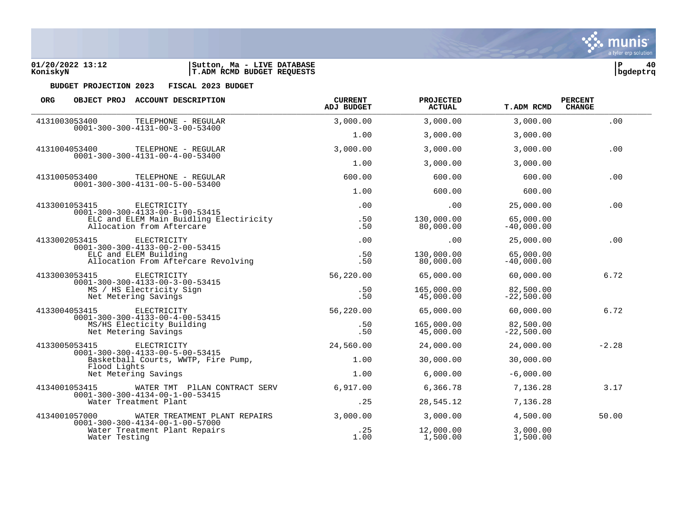

| <b>ORG</b>                                                                                          |                       | OBJECT PROJ ACCOUNT DESCRIPTION                                                  | <b>CURRENT</b><br>ADJ BUDGET | <b>PROJECTED</b><br><b>ACTUAL</b> | <b>T.ADM RCMD</b>         | <b>PERCENT</b><br><b>CHANGE</b> |
|-----------------------------------------------------------------------------------------------------|-----------------------|----------------------------------------------------------------------------------|------------------------------|-----------------------------------|---------------------------|---------------------------------|
| 4131003053400                                                                                       |                       | TELEPHONE - REGULAR                                                              | 3,000.00                     | 3,000.00                          | 3,000.00                  | .00                             |
|                                                                                                     |                       | $0001 - 300 - 300 - 4131 - 00 - 3 - 00 - 53400$                                  | 1.00                         | 3,000.00                          | 3,000.00                  |                                 |
|                                                                                                     | 4131004053400         | TELEPHONE - REGULAR<br>$0001 - 300 - 300 - 4131 - 00 - 4 - 00 - 53400$           | 3,000.00                     | 3,000.00                          | 3,000.00                  | .00                             |
|                                                                                                     |                       |                                                                                  | 1.00                         | 3,000.00                          | 3,000.00                  |                                 |
|                                                                                                     | 4131005053400         | TELEPHONE - REGULAR<br>$0001 - 300 - 300 - 4131 - 00 - 5 - 00 - 53400$           | 600.00                       | 600.00                            | 600.00                    | .00                             |
|                                                                                                     |                       |                                                                                  | 1.00                         | 600.00                            | 600.00                    |                                 |
|                                                                                                     | 4133001053415         | ELECTRICITY<br>$0001 - 300 - 300 - 4133 - 00 - 1 - 00 - 53415$                   | .00                          | .00.                              | 25,000.00                 | .00                             |
|                                                                                                     |                       | ELC and ELEM Main Buidling Electiricity<br>Allocation from Aftercare             | .50<br>.50                   | 130,000.00<br>80,000.00           | 65,000.00<br>$-40,000.00$ |                                 |
| 4133002053415                                                                                       |                       | ELECTRICITY<br>$0001 - 300 - 300 - 4133 - 00 - 2 - 00 - 53415$                   | .00                          | $.00 \,$                          | 25,000.00                 | .00                             |
|                                                                                                     | ELC and ELEM Building | Allocation From Aftercare Revolving                                              | .50<br>.50                   | 130,000.00<br>80,000.00           | 65,000.00<br>$-40,000.00$ |                                 |
|                                                                                                     | 4133003053415         | ELECTRICITY                                                                      | 56,220.00                    | 65,000.00                         | 60,000.00                 | 6.72                            |
| $0001 - 300 - 300 - 4133 - 00 - 3 - 00 - 53415$<br>MS / HS Electricity Sign<br>Net Metering Savings |                       | .50<br>.50                                                                       | 165,000.00<br>45,000.00      | 82,500.00<br>$-22,500.00$         |                           |                                 |
|                                                                                                     | 4133004053415         | ELECTRICITY<br>$0001 - 300 - 300 - 4133 - 00 - 4 - 00 - 53415$                   | 56,220.00                    | 65,000.00                         | 60,000.00                 | 6.72                            |
|                                                                                                     |                       | MS/HS Electicity Building<br>Net Metering Savings                                | .50<br>.50                   | 165,000.00<br>45,000.00           | 82,500.00<br>$-22,500.00$ |                                 |
| 4133005053415                                                                                       |                       | ELECTRICITY<br>$0001 - 300 - 300 - 4133 - 00 - 5 - 00 - 53415$                   | 24,560.00                    | 24,000.00                         | 24,000.00                 | $-2.28$                         |
|                                                                                                     | Flood Lights          | Basketball Courts, WWTP, Fire Pump,                                              | 1.00                         | 30,000.00                         | 30,000.00                 |                                 |
|                                                                                                     |                       | Net Metering Savings                                                             | 1.00                         | 6,000.00                          | $-6.000.00$               |                                 |
| 4134001053415                                                                                       |                       | WATER TMT PILAN CONTRACT SERV<br>$0001 - 300 - 300 - 4134 - 00 - 1 - 00 - 53415$ | 6,917.00                     | 6,366.78                          | 7,136.28                  | 3.17                            |
|                                                                                                     |                       | Water Treatment Plant                                                            | .25                          | 28,545.12                         | 7,136.28                  |                                 |
|                                                                                                     | 4134001057000         | WATER TREATMENT PLANT REPAIRS<br>$0001 - 300 - 300 - 4134 - 00 - 1 - 00 - 57000$ | 3,000.00                     | 3,000.00                          | 4,500.00                  | 50.00                           |
|                                                                                                     | Water Testing         | Water Treatment Plant Repairs                                                    | .25<br>1.00                  | 12,000.00<br>1,500.00             | 3,000.00<br>1,500.00      |                                 |

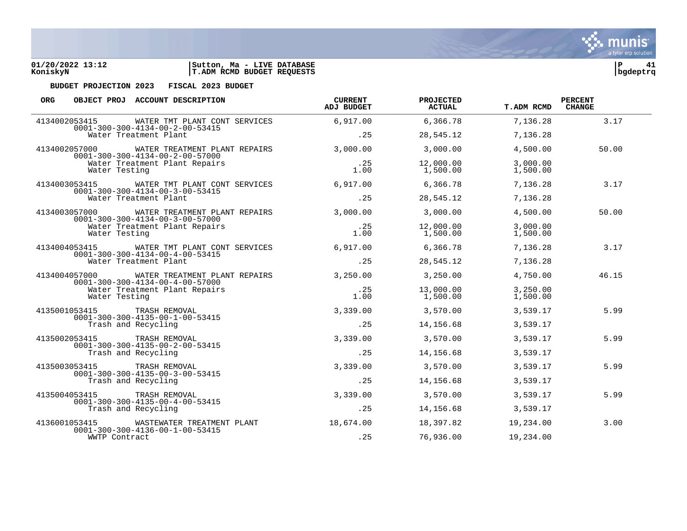

| <b>ORG</b>                                                                                                                 | OBJECT PROJ ACCOUNT DESCRIPTION                                                  | <b>CURRENT</b><br>ADJ BUDGET | PROJECTED<br><b>ACTUAL</b> | T.ADM RCMD           | <b>PERCENT</b><br><b>CHANGE</b> |
|----------------------------------------------------------------------------------------------------------------------------|----------------------------------------------------------------------------------|------------------------------|----------------------------|----------------------|---------------------------------|
| 4134002053415                                                                                                              | WATER TMT PLANT CONT SERVICES<br>$0001 - 300 - 300 - 4134 - 00 - 2 - 00 - 53415$ | 6,917.00                     | 6,366.78                   | 7,136.28             | 3.17                            |
|                                                                                                                            | Water Treatment Plant                                                            | .25                          | 28,545.12                  | 7,136.28             |                                 |
| 4134002057000                                                                                                              | WATER TREATMENT PLANT REPAIRS<br>$0001 - 300 - 300 - 4134 - 00 - 2 - 00 - 57000$ | 3,000.00                     | 3,000.00                   | 4,500.00             | 50.00                           |
| Water Testing                                                                                                              | Water Treatment Plant Repairs                                                    | .25<br>1.00                  | 12,000.00<br>1,500.00      | 3,000.00<br>1,500.00 |                                 |
| 4134003053415                                                                                                              | WATER TMT PLANT CONT SERVICES<br>$0001 - 300 - 300 - 4134 - 00 - 3 - 00 - 53415$ | 6,917.00                     | 6,366.78                   | 7,136.28             | 3.17                            |
|                                                                                                                            | Water Treatment Plant                                                            | .25                          | 28,545.12                  | 7,136.28             |                                 |
| 4134003057000                                                                                                              | WATER TREATMENT PLANT REPAIRS<br>$0001 - 300 - 300 - 4134 - 00 - 3 - 00 - 57000$ | 3,000.00                     | 3,000.00                   | 4,500.00             | 50.00                           |
| Water Testing                                                                                                              | Water Treatment Plant Repairs                                                    | .25<br>1.00                  | 12,000.00<br>1,500.00      | 3,000.00<br>1,500.00 |                                 |
| 4134004053415<br>WATER TMT PLANT CONT SERVICES<br>$0001 - 300 - 300 - 4134 - 00 - 4 - 00 - 53415$<br>Water Treatment Plant |                                                                                  | 6,917.00                     | 6,366.78                   | 7,136.28             | 3.17                            |
|                                                                                                                            | .25                                                                              | 28,545.12                    | 7,136.28                   |                      |                                 |
| 4134004057000                                                                                                              | WATER TREATMENT PLANT REPAIRS<br>$0001 - 300 - 300 - 4134 - 00 - 4 - 00 - 57000$ | 3,250.00                     | 3,250.00                   | 4,750.00             | 46.15                           |
| Water Testing                                                                                                              | Water Treatment Plant Repairs                                                    | .25<br>1.00                  | 13,000.00<br>1,500.00      | 3,250.00<br>1,500.00 |                                 |
| 4135001053415                                                                                                              | TRASH REMOVAL<br>$0001 - 300 - 300 - 4135 - 00 - 1 - 00 - 53415$                 | 3,339.00                     | 3,570.00                   | 3,539.17             | 5.99                            |
|                                                                                                                            | Trash and Recycling                                                              | .25                          | 14,156.68                  | 3,539.17             |                                 |
| 4135002053415                                                                                                              | TRASH REMOVAL<br>$0001 - 300 - 300 - 4135 - 00 - 2 - 00 - 53415$                 | 3,339,00                     | 3,570.00                   | 3,539.17             | 5.99                            |
|                                                                                                                            | Trash and Recycling                                                              | .25                          | 14,156.68                  | 3,539.17             |                                 |
| 4135003053415                                                                                                              | TRASH REMOVAL<br>$0001 - 300 - 300 - 4135 - 00 - 3 - 00 - 53415$                 | 3,339.00                     | 3,570.00                   | 3,539.17             | 5.99                            |
|                                                                                                                            | Trash and Recycling                                                              | .25                          | 14,156.68                  | 3,539.17             |                                 |
| 4135004053415                                                                                                              | TRASH REMOVAL<br>$0001 - 300 - 300 - 4135 - 00 - 4 - 00 - 53415$                 | 3,339.00                     | 3,570.00                   | 3,539.17             | 5.99                            |
|                                                                                                                            | Trash and Recycling                                                              | .25                          | 14,156.68                  | 3,539.17             |                                 |
| 4136001053415                                                                                                              | WASTEWATER TREATMENT PLANT<br>$0001 - 300 - 300 - 4136 - 00 - 1 - 00 - 53415$    | 18,674.00                    | 18,397.82                  | 19,234.00            | 3.00                            |
| WWTP Contract                                                                                                              |                                                                                  | .25                          | 76,936.00                  | 19,234.00            |                                 |

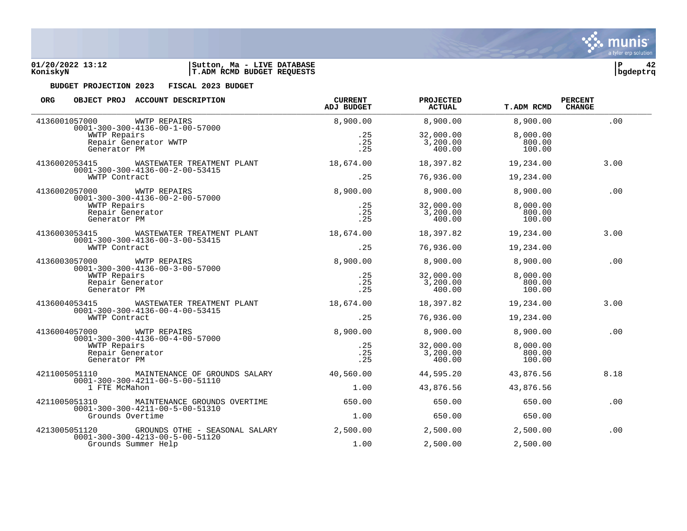

| <b>ORG</b>    |                            | OBJECT PROJ ACCOUNT DESCRIPTION                                                   | <b>CURRENT</b><br><b>ADJ BUDGET</b> | <b>PROJECTED</b><br>ACTUAL | <b>T.ADM RCMD</b> | <b>PERCENT</b><br><b>CHANGE</b> |
|---------------|----------------------------|-----------------------------------------------------------------------------------|-------------------------------------|----------------------------|-------------------|---------------------------------|
|               | 4136001057000              | <b>WWTP REPAIRS</b><br>$0001 - 300 - 300 - 4136 - 00 - 1 - 00 - 57000$            | 8,900.00                            | 8,900.00                   | 8,900.00          | .00                             |
|               | WWTP Repairs               |                                                                                   | . 25                                | 32,000.00                  | 8,000.00          |                                 |
|               |                            | Repair Generator WWTP                                                             | .25                                 | 3,200.00                   | 800.00            |                                 |
|               | Generator PM               |                                                                                   | .25                                 | 400.00                     | 100.00            |                                 |
|               | 4136002053415              | WASTEWATER TREATMENT PLANT<br>$0001 - 300 - 300 - 4136 - 00 - 2 - 00 - 53415$     | 18,674.00                           | 18,397.82                  | 19,234.00         | 3.00                            |
|               | WWTP Contract              |                                                                                   | .25                                 | 76,936.00                  | 19,234.00         |                                 |
|               | 4136002057000 WWTP REPAIRS | $0001 - 300 - 300 - 4136 - 00 - 2 - 00 - 57000$                                   | 8,900.00                            | 8,900.00                   | 8,900.00          | .00                             |
|               | WWTP Repairs               |                                                                                   | .25                                 | 32,000.00                  | 8,000.00          |                                 |
|               | Repair Generator           |                                                                                   | .25                                 | 3,200.00                   | 800.00            |                                 |
|               | Generator PM               |                                                                                   | .25                                 | 400.00                     | 100.00            |                                 |
|               | 4136003053415              | WASTEWATER TREATMENT PLANT<br>$0001 - 300 - 300 - 4136 - 00 - 3 - 00 - 53415$     | 18,674.00                           | 18,397.82                  | 19,234.00         | 3.00                            |
|               | WWTP Contract              |                                                                                   | .25                                 | 76,936.00                  | 19,234.00         |                                 |
| 4136003057000 |                            | WWTP REPAIRS<br>$0001 - 300 - 300 - 4136 - 00 - 3 - 00 - 57000$                   | 8,900,00                            | 8,900.00                   | 8,900.00          | .00                             |
|               | WWTP Repairs               |                                                                                   | .25                                 | 32,000.00                  | 8,000.00          |                                 |
|               | Repair Generator           |                                                                                   | .25                                 | 3,200.00                   | 800.00            |                                 |
|               | Generator PM               |                                                                                   | .25                                 | 400.00                     | 100.00            |                                 |
|               | 4136004053415              | WASTEWATER TREATMENT PLANT<br>$0001 - 300 - 300 - 4136 - 00 - 4 - 00 - 53415$     | 18,674.00                           | 18,397.82                  | 19,234.00         | 3.00                            |
|               | WWTP Contract              |                                                                                   | .25                                 | 76,936.00                  | 19,234.00         |                                 |
|               | 4136004057000              | WWTP REPAIRS<br>$0001 - 300 - 300 - 4136 - 00 - 4 - 00 - 57000$                   | 8,900.00                            | 8,900.00                   | 8,900.00          | .00                             |
|               | WWTP Repairs               |                                                                                   | .25                                 | 32,000.00                  | 8,000.00          |                                 |
|               | Repair Generator           |                                                                                   | .25                                 | 3,200.00                   | 800.00            |                                 |
|               | Generator PM               |                                                                                   | .25                                 | 400.00                     | 100.00            |                                 |
|               | 4211005051110              | MAINTENANCE OF GROUNDS SALARY<br>$0001 - 300 - 300 - 4211 - 00 - 5 - 00 - 51110$  | 40,560.00                           | 44,595.20                  | 43,876.56         | 8.18                            |
|               | 1 FTE McMahon              |                                                                                   | 1.00                                | 43,876.56                  | 43,876.56         |                                 |
|               | 4211005051310              | MAINTENANCE GROUNDS OVERTIME<br>$0001 - 300 - 300 - 4211 - 00 - 5 - 00 - 51310$   | 650.00                              | 650.00                     | 650.00            | .00                             |
|               | Grounds Overtime           |                                                                                   | 1.00                                | 650.00                     | 650.00            |                                 |
|               | 4213005051120              | GROUNDS OTHE - SEASONAL SALARY<br>$0001 - 300 - 300 - 4213 - 00 - 5 - 00 - 51120$ | 2,500.00                            | 2,500.00                   | 2,500.00          | .00                             |
|               |                            | Grounds Summer Help                                                               | 1.00                                | 2,500.00                   | 2,500.00          |                                 |

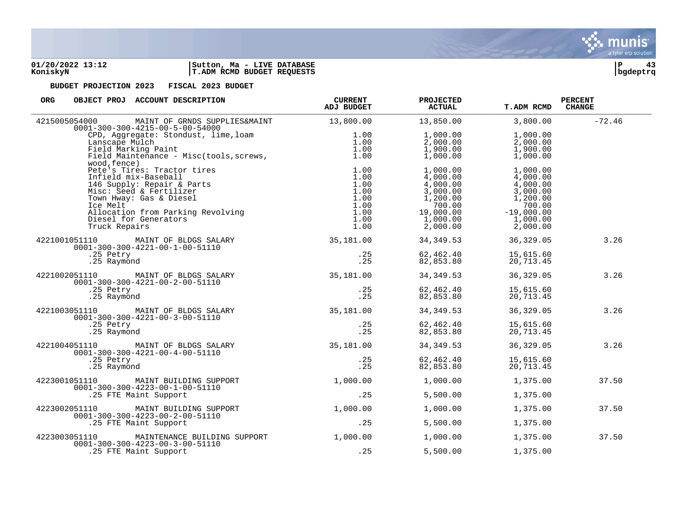

| <b>ORG</b><br>OBJECT PROJ ACCOUNT DESCRIPTION                                                                                                                                                                                                            | <b>CURRENT</b><br>ADJ BUDGET | <b>PROJECTED</b><br><b>ACTUAL</b>                                                                       | <b>T.ADM RCMD</b>                                                                                          | <b>PERCENT</b><br><b>CHANGE</b> |
|----------------------------------------------------------------------------------------------------------------------------------------------------------------------------------------------------------------------------------------------------------|------------------------------|---------------------------------------------------------------------------------------------------------|------------------------------------------------------------------------------------------------------------|---------------------------------|
| MAINT OF GRNDS SUPPLIES&MAINT 13,800.00<br>4215005054000<br>$0001 - 300 - 300 - 4215 - 00 - 5 - 00 - 54000$                                                                                                                                              |                              | 13,850.00                                                                                               | 3,800.00                                                                                                   | $-72.46$                        |
| CPD, Aggregate: Stondust, lime, loam 1.00<br>Lanscape Mulch 1.00<br>Field Marking Paint 1.00<br>Field Maintenance - Misc(tools, screws, 1.00<br>1.00<br>wood, fence)                                                                                     |                              | 1,000.00<br>2,000.00<br>1,900.00<br>1,000.00                                                            | 1,000.00<br>2,000.00<br>1,900.00<br>1,000.00                                                               |                                 |
| wood, fence)<br>Pete's Tires: Tractor tires<br>Infield mix-Baseball<br>146 Supply: Repair & Parts<br>Misc: Seed & Fertilizer<br>Town Hway: Gas & Diesel<br>1.00<br>Ice Melt<br>1.00<br>Ice Melt<br>1.00<br>Diesel for Generators<br>Truck Repairs<br>1.0 | 1.00<br>1.00<br>1.00<br>1.00 | 1,000.00<br>4,000.00<br>4,000.00<br>3,000.00<br>1,200.00<br>700.00<br>19,000.00<br>1,000.00<br>2,000.00 | 1,000.00<br>4,000.00<br>4,000.00<br>3,000.00<br>1,200.00<br>700.00<br>$-19,000.00$<br>1,000.00<br>2,000.00 |                                 |
| 4221001051110 MAINT OF BLDGS SALARY                                                                                                                                                                                                                      | 35,181.00                    | 34,349.53                                                                                               | 36,329.05                                                                                                  | 3.26                            |
| 0001-300-300-4221-00-1-00-51110<br>.25 Petry<br>.25 Raymond                                                                                                                                                                                              | .25<br>.25                   | 62,462.40<br>82,853.80                                                                                  | 15,615.60<br>20,713.45                                                                                     |                                 |
| 4221002051110 MAINT OF BLDGS SALARY 35,181.00<br>$0001 - 300 - 300 - 4221 - 00 - 2 - 00 - 51110$                                                                                                                                                         |                              | 34,349.53                                                                                               | 36,329.05                                                                                                  | 3.26                            |
| .25 Petry<br>.25 Raymond                                                                                                                                                                                                                                 | .25<br>.25                   | 62,462.40<br>82,853.80                                                                                  | 15,615.60<br>20,713.45                                                                                     |                                 |
| 4221003051110 MAINT OF BLDGS SALARY<br>0001-300-300-4221-00-3-00-51110                                                                                                                                                                                   | 35,181.00                    | 34,349.53                                                                                               | 36, 329.05                                                                                                 | 3.26                            |
| .25 Petry<br>.25 Raymond                                                                                                                                                                                                                                 | .25<br>.25                   | 62,462.40<br>82,853.80                                                                                  | 15,615.60<br>20,713.45                                                                                     |                                 |
| 4221004051110 MAINT OF BLDGS SALARY<br>$0001-300-300-4221-00-4-00-51110$                                                                                                                                                                                 | 35,181.00                    | 34,349.53                                                                                               | 36, 329.05                                                                                                 | 3.26                            |
| .25 Raymond                                                                                                                                                                                                                                              | .25<br>.25                   | 62,462.40<br>82,853.80                                                                                  | 15,615.60<br>20,713.45                                                                                     |                                 |
| 4223001051110 MAINT BUILDING SUPPORT<br>$0001 - 300 - 300 - 4223 - 00 - 1 - 00 - 51110$                                                                                                                                                                  | 1,000.00                     | 1,000.00                                                                                                | 1,375.00                                                                                                   | 37.50                           |
| .25 FTE Maint Support                                                                                                                                                                                                                                    | .25                          | 5,500.00                                                                                                | 1,375.00                                                                                                   |                                 |
| 4223002051110<br>MAINT BUILDING SUPPORT<br>$0001 - 300 - 300 - 4223 - 00 - 2 - 00 - 51110$                                                                                                                                                               | 1,000.00                     | 1,000.00                                                                                                | 1,375.00                                                                                                   | 37.50                           |
| .25 FTE Maint Support                                                                                                                                                                                                                                    | .25                          | 5,500.00                                                                                                | 1,375.00                                                                                                   |                                 |
| 4223003051110<br>MAINTENANCE BUILDING SUPPORT<br>$0001 - 300 - 300 - 4223 - 00 - 3 - 00 - 51110$                                                                                                                                                         | 1,000.00                     | 1,000.00                                                                                                | 1,375.00                                                                                                   | 37.50                           |
| .25 FTE Maint Support                                                                                                                                                                                                                                    | .25                          | 5,500.00                                                                                                | 1,375.00                                                                                                   |                                 |

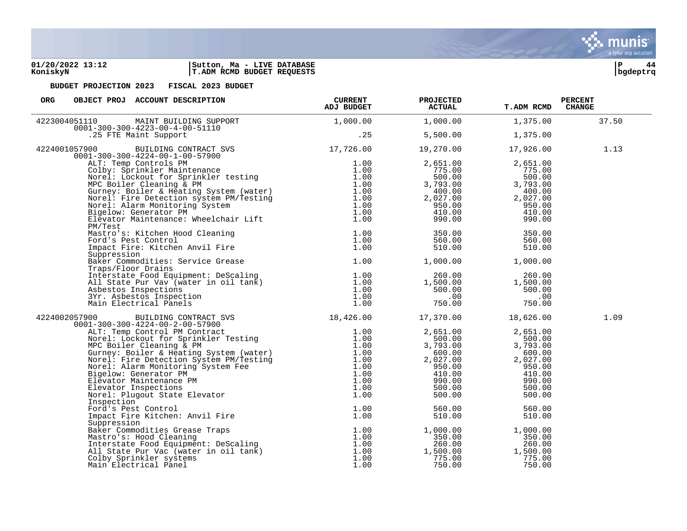### **01/20/2022 13:12 |Sutton, Ma - LIVE DATABASE |P 44 KoniskyN |T.ADM RCMD BUDGET REQUESTS |bgdeptrq**



| ORG<br>OBJECT PROJ ACCOUNT DESCRIPTION                                                                                                                                                                                                       | <b>CURRENT</b><br>ADJ BUDGET | <b>PROJECTED</b><br><b>ACTUAL</b>                                                                                                 | <b>T.ADM RCMD</b>                                                                                                          | <b>PERCENT</b><br><b>CHANGE</b> |
|----------------------------------------------------------------------------------------------------------------------------------------------------------------------------------------------------------------------------------------------|------------------------------|-----------------------------------------------------------------------------------------------------------------------------------|----------------------------------------------------------------------------------------------------------------------------|---------------------------------|
| 1,000.00 MAINT BUILDING SUPPORT<br>0001-300-300-4223-00-4-00-51110<br>.25 FTE Maint Support<br>.25 CHE Maint Support<br>.25<br>4223004051110                                                                                                 |                              | 1,000.00                                                                                                                          | 1,375.00                                                                                                                   | 37.50                           |
|                                                                                                                                                                                                                                              |                              | 5,500.00                                                                                                                          | 1,375.00                                                                                                                   |                                 |
| 4224001057900                                                                                                                                                                                                                                |                              | 19,270.00                                                                                                                         | 17,926.00                                                                                                                  | 1.13                            |
| 35<br>057900 BUILDING CONTRACT SVS 17,726.00<br>0001-300-300-4224-00-1-00-57900 17,726.00<br>ALT: Temp Controls PM<br>Colby: Sprinkler Maintenance 1.00<br>Norel: Lockout for Sprinkler testing 1.00<br>MPC Boiler Cleaning & PM<br>durney:  |                              | 2,651.00<br>775.00<br>500.00<br>$3,793.00$<br>$400.00$<br>$-0.00$<br>$2,027.00$<br>950.00<br>410.00<br>990.00<br>990.00<br>350.00 | 2,651.00<br>775.00<br>500.00<br>3,793.00<br>400.00<br>2,027.00<br>$950.00$<br>$410.00$<br>$990.00$<br>990.00<br>350.00     |                                 |
|                                                                                                                                                                                                                                              |                              | 560.00<br>510.00                                                                                                                  | 560.00<br>510.00                                                                                                           |                                 |
| Suppression<br>Baker Commodities: Service Grease 1.00<br>Press (Fleer Preise<br>Traps/Floor Drains                                                                                                                                           |                              | 1,000.00                                                                                                                          | 1,000.00                                                                                                                   |                                 |
| Traps/Floor Drains<br>Interstate Food Equipment: DeScaling<br>1.00<br>All State Pur Vav (water in oil tank)<br>8)<br>Asbestos Inspections<br>3Yr. Asbestos Inspection<br>1.00<br>Main Electrical Panels<br>1.00<br>1.00                      |                              | 260.00<br>$1,500.00$<br>500.00<br>500.00<br>750.00                                                                                | 260.00<br>1,500.00<br>500.00<br>.00<br>750.00                                                                              |                                 |
| 4224002057900                                                                                                                                                                                                                                |                              |                                                                                                                                   | 18,626.00                                                                                                                  | 1.09                            |
| Main Electrical Panels<br>0001-300-300-4224-00-2-00-57900<br>0001-300-300-4224-00-2-00-57900<br>ALT: Temp Control PM Contract<br>Morel: Lockout for Sprinkler Testing<br>MC Rolier Cleaning & PM<br>MC Bolier Cleaning & PM<br>MC Bolier & H |                              |                                                                                                                                   | 2,651.00<br>500.00<br>3,793.00<br>600.00<br>$600.00$<br>$2,027.00$<br>$950.00$<br>$410.00$<br>$990.00$<br>500.00<br>500.00 |                                 |
|                                                                                                                                                                                                                                              |                              |                                                                                                                                   | 560.00<br>510.00                                                                                                           |                                 |
|                                                                                                                                                                                                                                              |                              |                                                                                                                                   | 1,000.00<br>350.00<br>260.00<br>1,500.00<br>775.00<br>750.00                                                               |                                 |

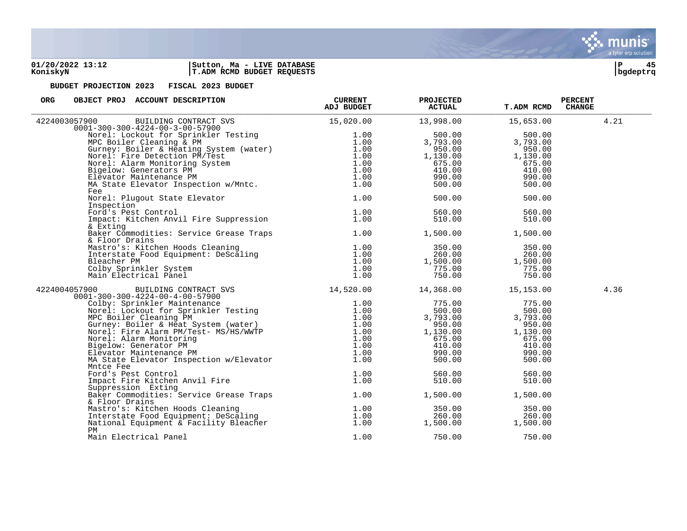

| ORG<br>OBJECT PROJ ACCOUNT DESCRIPTION                                                                                                                                                                                                            | <b>CURRENT</b><br>ADJ BUDGET | <b>PROJECTED</b><br><b>ACTUAL</b> | <b>T.ADM RCMD</b> | <b>PERCENT</b><br><b>CHANGE</b> |
|---------------------------------------------------------------------------------------------------------------------------------------------------------------------------------------------------------------------------------------------------|------------------------------|-----------------------------------|-------------------|---------------------------------|
| BUILDING CONTRACT SVS 15,020.00<br>4224003057900                                                                                                                                                                                                  |                              | 13,998.00                         | 15,653.00         | 4.21                            |
| $0001 - 300 - 300 - 4224 - 00 - 3 - 00 - 57900$                                                                                                                                                                                                   |                              |                                   |                   |                                 |
|                                                                                                                                                                                                                                                   |                              | 500.00                            | 500.00            |                                 |
|                                                                                                                                                                                                                                                   |                              | 3,793.00                          | 3,793.00          |                                 |
|                                                                                                                                                                                                                                                   |                              | 950.00                            | 950.00            |                                 |
|                                                                                                                                                                                                                                                   |                              | 1,130.00                          | 1,130.00          |                                 |
|                                                                                                                                                                                                                                                   |                              | 675.00                            | 675.00            |                                 |
|                                                                                                                                                                                                                                                   |                              | 410.00                            | 410.00            |                                 |
|                                                                                                                                                                                                                                                   |                              | 990.00                            | 990.00            |                                 |
| 01-300-300-4224-00-3-00-57900<br>Norel: Lockout for Sprinkler Testing 1.00<br>MPC Boiler Cleaning & PM<br>MPC Boiler & Heating System (water) 1.00<br>Gurney: Boiler & Heating System 1.00<br>Norel: Fire Detection PM/Test 1.00<br>Norel:<br>Fee | 1.00                         | 500.00                            | 500.00            |                                 |
| Norel: Plugout State Elevator                                                                                                                                                                                                                     | 1.00                         | 500.00                            | 500.00            |                                 |
| Inspection                                                                                                                                                                                                                                        |                              |                                   |                   |                                 |
|                                                                                                                                                                                                                                                   | 1.00                         | 560.00                            | 560.00            |                                 |
| Ford's Pest Control<br>Impact: Kitchen Anvil Fire Suppression<br>& Exting<br>& Exting                                                                                                                                                             | 1.00                         | 510.00                            | 510.00            |                                 |
| Baker Commodities: Service Grease Traps 1.00<br>& Floor Drains                                                                                                                                                                                    |                              | 1,500.00                          | 1,500.00          |                                 |
|                                                                                                                                                                                                                                                   |                              | 350.00                            | 350.00            |                                 |
|                                                                                                                                                                                                                                                   |                              | 260.00                            | 260.00            |                                 |
|                                                                                                                                                                                                                                                   |                              |                                   | 1,500.00          |                                 |
|                                                                                                                                                                                                                                                   |                              | 1,500.00<br>775.00                | 775.00            |                                 |
|                                                                                                                                                                                                                                                   |                              | 750.00                            | 750.00            |                                 |
| Mastro's: Kitchen Hoods Cleaning<br>Interstate Food Equipment: DeScaling<br>Bleacher PM 1.00<br>Colby Sprinkler System<br>Main Electrical Panel 1.00<br>1.00<br>1.00<br>1.00<br>1.00                                                              |                              |                                   |                   |                                 |
| 4224004057900<br>$0001 - 300 - 300 - 4224 - 00 - 4 - 00 - 57900$                                                                                                                                                                                  |                              |                                   | 15,153.00         | 4.36                            |
|                                                                                                                                                                                                                                                   |                              |                                   | 775.00            |                                 |
|                                                                                                                                                                                                                                                   |                              |                                   | 500.00            |                                 |
|                                                                                                                                                                                                                                                   |                              |                                   | 3,793.00          |                                 |
|                                                                                                                                                                                                                                                   |                              |                                   | 950.00            |                                 |
|                                                                                                                                                                                                                                                   |                              |                                   | 1,130.00          |                                 |
|                                                                                                                                                                                                                                                   |                              |                                   | 675.00            |                                 |
|                                                                                                                                                                                                                                                   |                              |                                   | 410.00            |                                 |
|                                                                                                                                                                                                                                                   |                              |                                   | 990.00            |                                 |
| Mntce Fee                                                                                                                                                                                                                                         |                              |                                   | 500.00            |                                 |
|                                                                                                                                                                                                                                                   | 1.00                         | 560.00                            | 560.00            |                                 |
| Ford's Pest Control<br>Impact Fire Kitchen Anvil Fire<br>Suppression Exting                                                                                                                                                                       | 1.00                         | 510.00                            | 510.00            |                                 |
| Suppression Exting                                                                                                                                                                                                                                |                              |                                   |                   |                                 |
| Baker Commodities: Service Grease Traps<br>f. Floor Drains<br>& Floor Drains                                                                                                                                                                      |                              | 1,500.00                          | 1,500.00          |                                 |
|                                                                                                                                                                                                                                                   |                              | 350.00                            | 350.00            |                                 |
|                                                                                                                                                                                                                                                   |                              | 260.00                            | 260.00            |                                 |
|                                                                                                                                                                                                                                                   |                              | 1,500.00                          | 1,500.00          |                                 |
| 1.00 Interstate Food Equipment: DeScaling 1.00<br>National Equipment & Facility Bleacher 1.00<br>PM                                                                                                                                               |                              |                                   |                   |                                 |
| Main Electrical Panel                                                                                                                                                                                                                             | 1.00                         | 750.00                            | 750.00            |                                 |

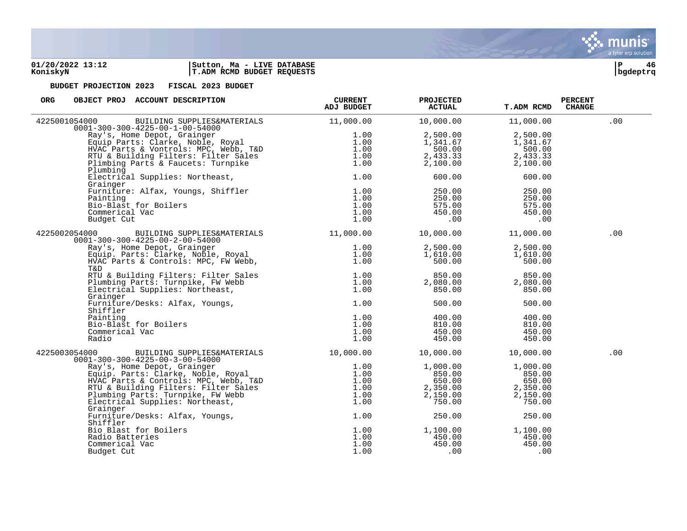**01/20/2022 13:12 |Sutton, Ma - LIVE DATABASE |P 46 KoniskyN |T.ADM RCMD BUDGET REQUESTS |bgdeptrq**

| <b>ORG</b><br>OBJECT PROJ ACCOUNT DESCRIPTION                                                                                                                                                                                                | <b>CURRENT</b><br>ADJ BUDGET | <b>PROJECTED</b><br><b>ACTUAL</b> | <b>T.ADM RCMD</b> | <b>PERCENT</b><br><b>CHANGE</b> |
|----------------------------------------------------------------------------------------------------------------------------------------------------------------------------------------------------------------------------------------------|------------------------------|-----------------------------------|-------------------|---------------------------------|
| 4225001054000<br>BUILDING SUPPLIES&MATERIALS 11,000.00<br>$0001 - 300 - 300 - 4225 - 00 - 1 - 00 - 54000$                                                                                                                                    |                              | 10,000.00                         | 11,000.00         | .00                             |
| Ray's, Home Depot, Grainger<br>Equip Parts: Clarke, Noble, Royal<br>HVAC Parts & Vontrols: MPC, Webb, T&D<br>HVAC Parts & Vontrols: MPC, Webb, T&D<br>RTU & Building Filters: Filter Sales<br>1.00<br>Plumbing Parts & Faucets: Turnpike<br> |                              | 2,500.00                          | 2,500.00          |                                 |
|                                                                                                                                                                                                                                              |                              | 1,341.67                          | 1,341.67          |                                 |
|                                                                                                                                                                                                                                              |                              | 500.00                            | 500.00            |                                 |
|                                                                                                                                                                                                                                              |                              | 2,433.33                          | 2,433.33          |                                 |
|                                                                                                                                                                                                                                              |                              | 2,100.00                          | 2,100.00          |                                 |
| Plumbing                                                                                                                                                                                                                                     |                              |                                   |                   |                                 |
| Electrical Supplies: Northeast,                                                                                                                                                                                                              | 1.00                         | 600.00                            | 600.00            |                                 |
| Grainger                                                                                                                                                                                                                                     | 1.00                         | 250.00                            | 250.00            |                                 |
|                                                                                                                                                                                                                                              | 1.00                         | 250.00                            | 250.00            |                                 |
|                                                                                                                                                                                                                                              | 1.00                         | 575.00                            | 575.00            |                                 |
|                                                                                                                                                                                                                                              | 1.00                         | 450.00                            | 450.00            |                                 |
|                                                                                                                                                                                                                                              | 1.00                         | $\overline{00}$                   | .00               |                                 |
| Furniture: Alfax, Youngs, Shiffler<br>Painting<br>Bio-Blast for Boilers<br>Commerical Vac<br>Budget Cut                                                                                                                                      |                              |                                   |                   |                                 |
| BUILDING SUPPLIES&MATERIALS 11,000.00<br>4225002054000<br>$0001 - 300 - 300 - 4225 - 00 - 2 - 00 - 54000$                                                                                                                                    |                              | 10,000.00                         | 11,000.00         | .00                             |
|                                                                                                                                                                                                                                              | 1.00                         | 2,500.00                          | 2,500.00          |                                 |
|                                                                                                                                                                                                                                              | 1.00                         | 1,610.00                          | 1,610.00          |                                 |
| Ray's, Home Depot, Grainger<br>Equip. Parts: Clarke, Noble, Royal<br>HVAC Parts & Controls: MPC, FW Webb,<br>T&D                                                                                                                             | 1.00                         | 500.00                            | 500.00            |                                 |
| RTU & Building Filters: Filter Sales<br>Plumbing Parts: Turnpike, FW Webb 1.00<br>Electrical Supplies: Northeast, 1.00<br>1.00                                                                                                               |                              | 850.00                            | 850.00            |                                 |
|                                                                                                                                                                                                                                              |                              | 2,080.00                          | 2,080.00          |                                 |
|                                                                                                                                                                                                                                              |                              | 850.00                            | 850.00            |                                 |
| Grainger                                                                                                                                                                                                                                     |                              |                                   |                   |                                 |
| Furniture/Desks: Alfax, Youngs,<br>Furniture/Desks: Alfax, Youngs,<br>Shiffler<br>Painting<br>Bio-Blast for Boilers<br>Commerical Vac                                                                                                        | 1.00                         | 500.00                            | 500.00            |                                 |
|                                                                                                                                                                                                                                              | 1.00                         | 400.00                            | 400.00            |                                 |
|                                                                                                                                                                                                                                              | 1.00                         | 810.00                            | 810.00            |                                 |
|                                                                                                                                                                                                                                              | 1.00                         | 450.00                            | 450.00            |                                 |
|                                                                                                                                                                                                                                              | 1.00                         | 450.00                            | 450.00            |                                 |
| BUILDING SUPPLIES&MATERIALS 10,000.00<br>4225003054000<br>$0001 - 300 - 300 - 4225 - 00 - 3 - 00 - 54000$                                                                                                                                    |                              | 10,000.00                         | 10,000.00         | .00                             |
| 01-300-300-4225-00-3-00-54000<br>Ray's, Home Depot, Grainger<br>Equip. Parts: Clarke, Noble, Royal<br>HVAC Parts & Controls: MPC, Webb, T&D<br>RTU & Building Filters: Filter Sales<br>Plumbing Parts: Turnpike, FW Webb<br>Flumbing Parts   |                              | 1,000.00                          | 1,000.00          |                                 |
|                                                                                                                                                                                                                                              |                              | 850.00                            | 850.00            |                                 |
|                                                                                                                                                                                                                                              |                              | 650.00                            | 650.00            |                                 |
|                                                                                                                                                                                                                                              |                              | 2,350.00                          | 2,350.00          |                                 |
|                                                                                                                                                                                                                                              |                              | 2,150.00                          | 2,150.00          |                                 |
|                                                                                                                                                                                                                                              |                              | 750.00                            | 750.00            |                                 |
| Grainger                                                                                                                                                                                                                                     |                              |                                   |                   |                                 |
| Furniture/Desks: Alfax, Youngs,                                                                                                                                                                                                              | 1.00                         | 250.00                            | 250.00            |                                 |
| Shiffler                                                                                                                                                                                                                                     |                              |                                   |                   |                                 |
| Bio Blast for Boilers                                                                                                                                                                                                                        | 1.00                         | 1,100.00                          | 1,100.00          |                                 |
| Radio Batteries                                                                                                                                                                                                                              | 1.00                         | 450.00                            | 450.00            |                                 |
| Commerical Vac                                                                                                                                                                                                                               | 1.00                         | 450.00                            | 450.00            |                                 |
| Budget Cut                                                                                                                                                                                                                                   | 1.00                         | .00                               | .00               |                                 |

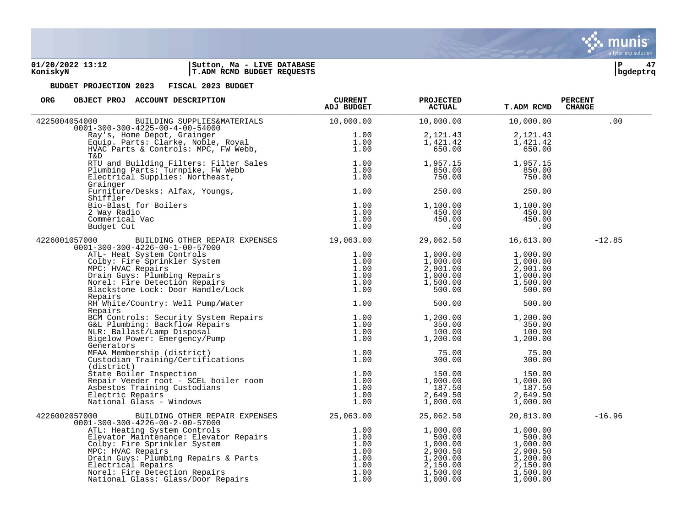**01/20/2022 13:12 |Sutton, Ma - LIVE DATABASE |P 47 KoniskyN |T.ADM RCMD BUDGET REQUESTS |bgdeptrq**



| OBJECT PROJ ACCOUNT DESCRIPTION<br>ORG                                                                                                                                                                                                              | <b>CURRENT</b><br><b>ADJ BUDGET</b> | <b>PROJECTED</b><br><b>ACTUAL</b>            | <b>T.ADM RCMD</b>    | <b>PERCENT</b><br><b>CHANGE</b> |
|-----------------------------------------------------------------------------------------------------------------------------------------------------------------------------------------------------------------------------------------------------|-------------------------------------|----------------------------------------------|----------------------|---------------------------------|
| BUILDING SUPPLIES&MATERIALS 10,000.00<br>4225004054000<br>$0001 - 300 - 300 - 4225 - 00 - 4 - 00 - 54000$                                                                                                                                           |                                     | 10,000.00                                    | 10,000.00            | .00                             |
|                                                                                                                                                                                                                                                     | 1.00                                | 2,121.43                                     | 2,121.43             |                                 |
|                                                                                                                                                                                                                                                     | 1.00                                | 1,421.42                                     | 1,421.42             |                                 |
| Ray's, Home Depot, Grainger<br>Equip. Parts: Clarke, Noble, Royal<br>HVAC Parts & Controls: MPC, FW Webb,<br>T&D                                                                                                                                    | 1.00                                | 650.00                                       | 650.00               |                                 |
|                                                                                                                                                                                                                                                     |                                     | 1,957.15                                     | 1,957.15             |                                 |
|                                                                                                                                                                                                                                                     |                                     | 850.00                                       | 850.00               |                                 |
| ATU and Building Filters: Filter Sales<br>Plumbing Parts: Turnpike, FW Webb<br>Electrical Supplies: Northeast,<br>Grainger (1.00<br>Crainger<br>Grainger                                                                                            |                                     | 750.00                                       | 750.00               |                                 |
| Furniture/Desks: Alfax, Youngs,<br>Shiffler<br>Shiffler                                                                                                                                                                                             | 1.00                                | 250.00                                       | 250.00               |                                 |
| Bio-Blast for Boilers                                                                                                                                                                                                                               | 1.00                                | 1,100.00                                     | 1,100.00             |                                 |
| 2 Way Radio                                                                                                                                                                                                                                         | 1.00                                | 450.00                                       | $450.00$<br>$450.00$ |                                 |
| Commerical Vac                                                                                                                                                                                                                                      | 1.00                                | 450.00                                       |                      |                                 |
| Budget Cut                                                                                                                                                                                                                                          | 1.00                                | $\overline{\phantom{0}}$ .00                 | .00                  |                                 |
| BUILDING OTHER REPAIR EXPENSES 19,063.00 29,062.50<br>4226001057000<br>$0001 - 300 - 300 - 4226 - 00 - 1 - 00 - 57000$                                                                                                                              |                                     |                                              | 16,613.00            | $-12.85$                        |
| J1-300-300-4226-00-1-00-57000<br>ATL- Heat System Controls<br>Colby: Fire Sprinkler System<br>MPC: HVAC Repairs<br>Drain Guys: Plumbing Repairs<br>Norel: Fire Detection Repairs<br>Blackstone Lock: Door Handle/Lock<br>Plackstone Lock: Door Hand | 1.00                                | 1,000.00<br>1,000.00                         | 1,000.00<br>1,000.00 |                                 |
|                                                                                                                                                                                                                                                     | 1.00                                |                                              |                      |                                 |
|                                                                                                                                                                                                                                                     | 1.00                                | 2,901.00                                     | 2,901.00             |                                 |
|                                                                                                                                                                                                                                                     | 1.00                                | 1,000.00                                     | 1,000.00             |                                 |
|                                                                                                                                                                                                                                                     | 1.00<br>1.00                        | 1,500.00<br>500.00                           | 1,500.00<br>500.00   |                                 |
| Repairs                                                                                                                                                                                                                                             |                                     |                                              |                      |                                 |
| RH White/Country: Well Pump/Water<br>Repairs                                                                                                                                                                                                        | 1.00                                | 500.00                                       | 500.00               |                                 |
|                                                                                                                                                                                                                                                     |                                     | 1,200.00                                     | 1,200.00             |                                 |
|                                                                                                                                                                                                                                                     | 1.00                                | 350.00                                       | 350.00               |                                 |
|                                                                                                                                                                                                                                                     | 1.00                                | 100.00                                       | 100.00               |                                 |
| Repairs<br>BCM Controls: Security System Repairs<br>G&L Plumbing: Backflow Repairs<br>NLR: Ballast/Lamp Disposal<br>Bigelow Power: Emergency/Pump<br>1.00<br>1.00<br>Generators                                                                     | 1.00                                | 1,200.00                                     | 1,200.00             |                                 |
|                                                                                                                                                                                                                                                     | 1.00                                | 75.00                                        | 75.00                |                                 |
| Generators<br>MFAA Membership (district)<br>Custodian Training/Certifications<br>(district)                                                                                                                                                         | 1.00                                | 300.00                                       | 300.00               |                                 |
|                                                                                                                                                                                                                                                     |                                     | 150.00                                       | 150.00               |                                 |
|                                                                                                                                                                                                                                                     | 1.00                                | 1,000.00                                     | 1,000.00             |                                 |
|                                                                                                                                                                                                                                                     |                                     | 187.50                                       | 187.50               |                                 |
|                                                                                                                                                                                                                                                     |                                     | $2,649.50$<br>$1,000.00$                     | 2,649.50             |                                 |
| Xtate Boiler Inspection<br>Repair Veeder root - SCEL boiler room<br>Asbestos Training Custodians<br>Electric Repairs<br>National Glass - Windows<br>1.00<br>1.00<br>1.00<br>1.00                                                                    | 1.00                                |                                              | 1,000.00             |                                 |
| BUILDING OTHER REPAIR EXPENSES 25,063.00<br>4226002057000<br>$0001 - 300 - 300 - 4226 - 00 - 2 - 00 - 57000$                                                                                                                                        |                                     | 25,062.50                                    | 20,813.00            | $-16.96$                        |
|                                                                                                                                                                                                                                                     |                                     | 1,000.00                                     | 1,000.00             |                                 |
|                                                                                                                                                                                                                                                     |                                     | 500.00                                       | 500.00               |                                 |
|                                                                                                                                                                                                                                                     |                                     | 1,000.uu<br>2,900.50<br>1,200.00<br>3,350.00 | 1,000.00<br>2,900.50 |                                 |
|                                                                                                                                                                                                                                                     |                                     |                                              |                      |                                 |
|                                                                                                                                                                                                                                                     |                                     |                                              | 1,200.00             |                                 |
|                                                                                                                                                                                                                                                     |                                     | 1,500.00                                     | 2,150.00<br>1,500.00 |                                 |
| 01-300-300-4226-00-2-00-57000<br>ATL: Heating System Controls<br>Elevator Maintenance: Elevator Repairs<br>Colby: Fire Sprinkler System<br>MPC: HVAC Repairs<br>Drain Guys: Plumbing Repairs & Parts<br>Drain Guys: Plumbing Repairs & Par          |                                     | 1,000.00                                     | 1,000.00             |                                 |

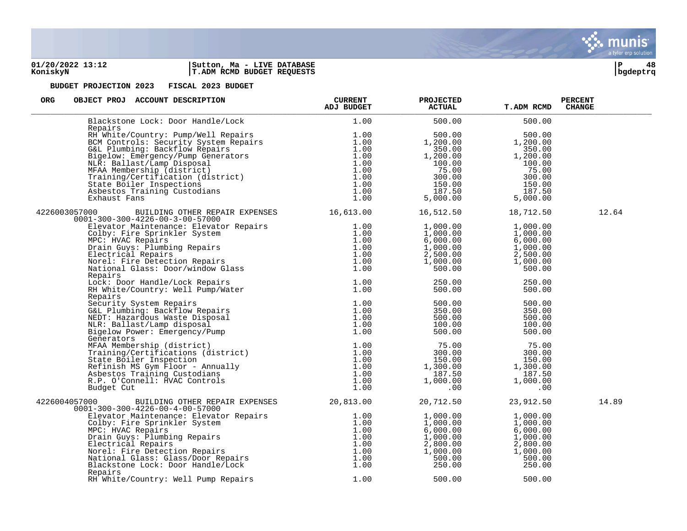### **01/20/2022 13:12 |Sutton, Ma - LIVE DATABASE |P 48 KoniskyN |T.ADM RCMD BUDGET REQUESTS |bgdeptrq**



| ORG<br>OBJECT PROJ ACCOUNT DESCRIPTION                                                                                                                                                                                                                                                                     | <b>CURRENT</b><br>ADJ BUDGET | <b>PROJECTED</b><br><b>ACTUAL</b>                                                                                                                                                                                                                                                         | <b>T.ADM RCMD</b>                                                                                                          | <b>PERCENT</b><br><b>CHANGE</b> |
|------------------------------------------------------------------------------------------------------------------------------------------------------------------------------------------------------------------------------------------------------------------------------------------------------------|------------------------------|-------------------------------------------------------------------------------------------------------------------------------------------------------------------------------------------------------------------------------------------------------------------------------------------|----------------------------------------------------------------------------------------------------------------------------|---------------------------------|
| Blackstone Lock: Door Handle/Lock                                                                                                                                                                                                                                                                          | 1.00                         | 500.00                                                                                                                                                                                                                                                                                    | 500.00                                                                                                                     |                                 |
| Repairs<br>Repairs<br>RH White/Country: Pump/Well Repairs<br>BCM Controls: Security System Repairs<br>G&L Plumbing: Backflow Repairs<br>Bigelow: Emergency/Pump Generators<br>NLR: Ballast/Lamp Disposal<br>NER: Ballast/Lamp Disposal<br>MFAA Membersh                                                    |                              | 500.00<br>1,200.00<br>1, 200.00<br>350.00<br>1, 200.00<br>1, 200.00<br>1, 200.00<br>1, 200.00<br>75.00<br>300.00<br>150.00<br>150.00<br>150.00<br>150.00<br>5, 000.00<br>5, 000.00                                                                                                        | 500.00<br>1,200.00                                                                                                         |                                 |
| 4226003057000 BUILDING OTHER REPAIR EXPENSES 16,613.00 16,512.50<br>$0001 - 300 - 300 - 4226 - 00 - 3 - 00 - 57000$                                                                                                                                                                                        |                              |                                                                                                                                                                                                                                                                                           | 18,712.50                                                                                                                  | 12.64                           |
| 01-300-300-4226-00-3-00-57000<br>Elevator Maintenance: Elevator Repairs<br>Colby: Fire Sprinkler System<br>MPC: HVAC Repairs<br>Drain Guys: Plumbing Repairs<br>Drain Guys: Plumbing Repairs<br>Norel: Fire Detection Repairs<br>Norel: Fire                                                               |                              | $\begin{array}{cccc} 1\, , 000\, . \, 00 & 1\, , 000\, . \, 00 & 1\, , 000\, . \, 00 & 1\, , 000\, . \, 00 & 1\, , 000\, . \, 00 & 6\, , 000\, . \, 00 & 6\, , 000\, . \, 00 & 1\, , 000\, . \, 00 & 2\, , 500\, . \, 00 & 2\, , 500\, . \, 00 & 1\, , 000\, . \, 00 & 1\, , 000\, . \, $ |                                                                                                                            |                                 |
| Repairs<br>Exepairs<br>Lock: Door Handle/Lock Repairs<br>RH White/Country: Well Pump/Water 1.00                                                                                                                                                                                                            |                              | 250.00<br>500.00                                                                                                                                                                                                                                                                          | 250.00<br>500.00                                                                                                           |                                 |
| Repairs                                                                                                                                                                                                                                                                                                    |                              | 500.00<br>350.00<br>500.00<br>100.00                                                                                                                                                                                                                                                      | 500.00<br>350.00<br>500.00<br>100.00<br>500.00                                                                             |                                 |
| Repairs<br>Security System Repairs<br>Security System Repairs<br>G&L Plumbing: Backflow Repairs<br>NEDT: Hazardous Waste Disposal<br>NLR: Ballast/Lamp disposal<br>Di.00<br>NLR: Ballast/Lamp disposal<br>Digelow Power: Emergency/Pump<br>1.00<br>                                                        |                              | $75.00$<br>$300.00$<br>$1,300.00$<br>$187.50$<br>$1,000.00$                                                                                                                                                                                                                               | 75.00<br>$\begin{array}{r} 30 \cup \\ 150 \cdot 0 \cup \\ 1,300 \cdot 00 \\ 187 \cdot 5' \\ \end{array}$<br>$1,000$<br>.00 |                                 |
| BUILDING OTHER REPAIR EXPENSES 20,813.00 20,712.50<br>4226004057000                                                                                                                                                                                                                                        |                              |                                                                                                                                                                                                                                                                                           | 23,912.50                                                                                                                  | 14.89                           |
| $0001 - 300 - 300 - 4226 - 00 - 4 - 00 - 57000$<br>01-300-300-4226-00-4-00-57000<br>Elevator Maintenance: Elevator Repairs<br>Colby: Fire Sprinkler System<br>MPC: HVAC Repairs<br>Drain Guys: Plumbing Repairs<br>Drain Guys: Plumbing Repairs<br>Norel: Fire Detection Repairs<br>Norel: Fire<br>Repairs |                              | $\begin{array}{cccc} 1\, , 000\, .00 & 1\, , 000\, .00\ 1\, , 000\, .00 & 1\, , 000\, .00\ 6\, , 000\, .00 & 6\, , 000\, .00\ 1\, , 000\, .00 & 1\, , 000\, .00\ 2\, , 800\, .00 & 2\, , 800\, .00\ 1\, , 000\, .00 & 1\, , 000\, .00\ 500\, .00 & 500\, .00\ 250\, .00 & 25$             |                                                                                                                            |                                 |
| RH White/Country: Well Pump Repairs                                                                                                                                                                                                                                                                        | 1.00                         | 500.00                                                                                                                                                                                                                                                                                    | 500.00                                                                                                                     |                                 |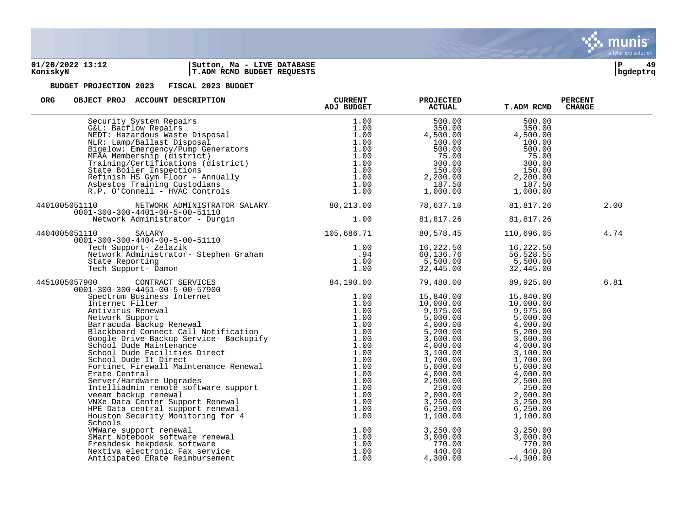

### **01/20/2022 13:12 |Sutton, Ma - LIVE DATABASE |P 49 KoniskyN |T.ADM RCMD BUDGET REQUESTS |bgdeptrq**



| <b>ORG</b><br>OBJECT PROJ ACCOUNT DESCRIPTION                                                                                                                                                                                                                                      | <b>CURRENT</b><br><b>ADJ BUDGET</b> | <b>PROJECTED</b><br><b>ACTUAL</b>                                                                                                                                                                                                                                                                    | <b>T.ADM RCMD</b>                                                                                                                                                                                                                                                                         | <b>PERCENT</b><br><b>CHANGE</b> |
|------------------------------------------------------------------------------------------------------------------------------------------------------------------------------------------------------------------------------------------------------------------------------------|-------------------------------------|------------------------------------------------------------------------------------------------------------------------------------------------------------------------------------------------------------------------------------------------------------------------------------------------------|-------------------------------------------------------------------------------------------------------------------------------------------------------------------------------------------------------------------------------------------------------------------------------------------|---------------------------------|
| Security System Repairs<br>G&L: Bacflow Repairs<br>NEDT: Hazardous Waste Disposal<br>NLR: Lamp/Ballast Disposal<br>NLR: Lamp/Ballast Disposal<br>Bigelow: Emergency/Pump Generators<br>NFAA Membership (district)<br>Training/Certifications                                       |                                     | 500.00<br>$500.00$<br>350.00<br>4,500.00<br>100.00<br>$\begin{array}{cccc} 100.00 & & & & & 100.00 \ 500.00 & & & & & 500.00 \ 75.00 & & & & & 75.00 \ 300.00 & & & & & 75.00 \ 150.00 & & & & & 300.00 \ 2,200.00 & & & & 2,200.00 \ 187.50 & & & & 187.50 \ 1,000.00 & & & & 1,000.00 \end{array}$ | 500.00<br>350.00<br>4,500.00<br>100.00                                                                                                                                                                                                                                                    |                                 |
| 4401005051110 NETWORK ADMINISTRATOR SALARY 80,213.00<br>$0001 - 300 - 300 - 4401 - 00 - 5 - 00 - 51110$                                                                                                                                                                            |                                     | 78,637.10                                                                                                                                                                                                                                                                                            | 81,817.26                                                                                                                                                                                                                                                                                 | 2.00                            |
|                                                                                                                                                                                                                                                                                    |                                     | 81,817.26                                                                                                                                                                                                                                                                                            | 81,817.26                                                                                                                                                                                                                                                                                 |                                 |
| 4404005051110                                                                                                                                                                                                                                                                      |                                     | 80,578.45                                                                                                                                                                                                                                                                                            | 110,696.05                                                                                                                                                                                                                                                                                | 4.74                            |
| 0001-300-300-4401-00-5-00-51110<br>Network Administrator - Durgin<br>051110 SALARY<br>0001-300-300-4404-00-5-00-51110<br>Tech Support- Zelazik<br>Network Administrator- Stephen Graham<br>State Reporting<br>1.00<br>Tech Support- Damon<br>1.0                                   |                                     | 16,222.50<br>60,136.76<br>5,500.00<br>32,445.00<br>32,445.00<br>32,445.00                                                                                                                                                                                                                            |                                                                                                                                                                                                                                                                                           |                                 |
|                                                                                                                                                                                                                                                                                    |                                     |                                                                                                                                                                                                                                                                                                      | 89,925.00                                                                                                                                                                                                                                                                                 | 6.81                            |
| $\begin{tabular}{l c c c} {\bf 1.00} & 32,445.00 \\ 4451005057900 & {\bf 0.007007675.000} & 1.00 & 32,445.00 \\ 0001-300-300-4451-00-5-00-57900 & 84,190.00 & 79,480.00 \\ 89,6700.00 & {\bf 0.00000} & {\bf 0.00000} & {\bf 0.00000} & {\bf 0.00000} & {\bf 0.00000} & {\bf 0.00$ |                                     |                                                                                                                                                                                                                                                                                                      | $\begin{array}{cccc} 15\, , 840\, .00 & 15\, , 840\, .00 \\ 10\, , 000\, .00 & 10\, , 000\, .00 \\ 9\, , 975\, .00 & 9\, , 975\, .00 \\ 5\, , 000\, .00 & 5\, , 000\, .00 \\ 4\, , 000\, .00 & 5\, , 200\, .00 \\ 3\, , 600\, .00 & 3\, , 600\, .00 \\ 4\, , 000\, .00 & 3\, , 100\, .00$ |                                 |
| Houston Security Monitoring ion<br>Schools<br>VMWare support renewal<br>SMart Notebook software renewal<br>Freshdesk hekpdesk software<br>Nextiva electronic Fax service<br>1.00<br>Nextiva electronic Fax service<br>1.00<br>Nextiva electronic                                   |                                     | $\begin{array}{llll} 3\,,250\,.00 & 3\,,250\,.00 \\ 3\,,000\,.00 & 3\,,000\,.00 \\ 770\,.00 & 770\,.00 \\ 440\,.00 & 440\,.00 \end{array}$<br>4,300.00                                                                                                                                               | $-4,300.00$                                                                                                                                                                                                                                                                               |                                 |